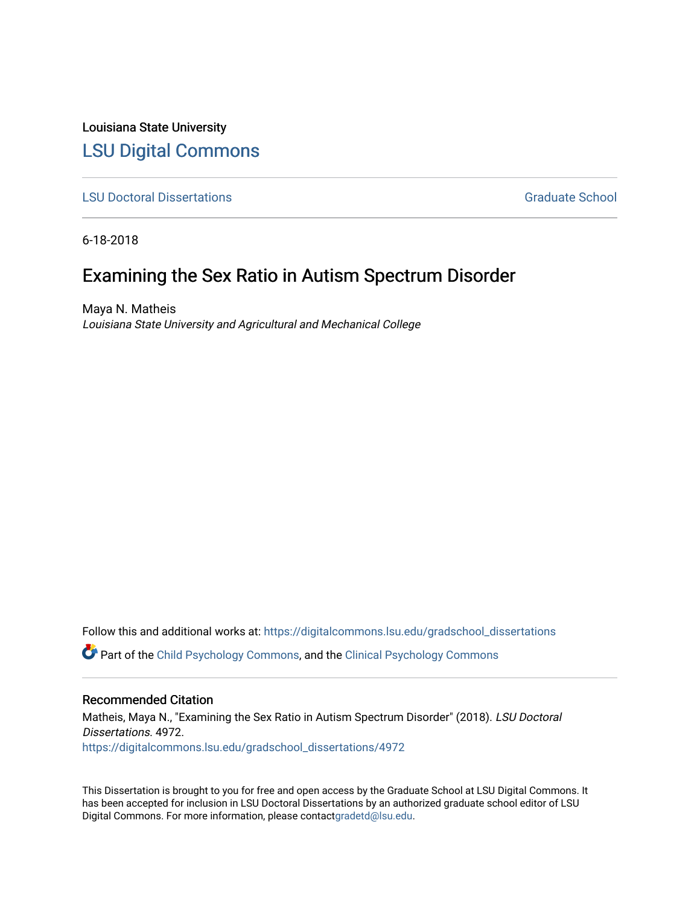Louisiana State University [LSU Digital Commons](https://digitalcommons.lsu.edu/)

**[LSU Doctoral Dissertations](https://digitalcommons.lsu.edu/gradschool_dissertations) Graduate School** Controller Controller Controller Controller Controller Controller Controller Controller Controller Controller Controller Controller Controller Controller Controller Controller C

6-18-2018

# Examining the Sex Ratio in Autism Spectrum Disorder

Maya N. Matheis Louisiana State University and Agricultural and Mechanical College

Follow this and additional works at: [https://digitalcommons.lsu.edu/gradschool\\_dissertations](https://digitalcommons.lsu.edu/gradschool_dissertations?utm_source=digitalcommons.lsu.edu%2Fgradschool_dissertations%2F4972&utm_medium=PDF&utm_campaign=PDFCoverPages) **C** Part of the [Child Psychology Commons,](https://network.bepress.com/hgg/discipline/1023?utm_source=digitalcommons.lsu.edu%2Fgradschool_dissertations%2F4972&utm_medium=PDF&utm_campaign=PDFCoverPages) and the [Clinical Psychology Commons](https://network.bepress.com/hgg/discipline/406?utm_source=digitalcommons.lsu.edu%2Fgradschool_dissertations%2F4972&utm_medium=PDF&utm_campaign=PDFCoverPages)

## Recommended Citation

Matheis, Maya N., "Examining the Sex Ratio in Autism Spectrum Disorder" (2018). LSU Doctoral Dissertations. 4972. [https://digitalcommons.lsu.edu/gradschool\\_dissertations/4972](https://digitalcommons.lsu.edu/gradschool_dissertations/4972?utm_source=digitalcommons.lsu.edu%2Fgradschool_dissertations%2F4972&utm_medium=PDF&utm_campaign=PDFCoverPages)

This Dissertation is brought to you for free and open access by the Graduate School at LSU Digital Commons. It has been accepted for inclusion in LSU Doctoral Dissertations by an authorized graduate school editor of LSU Digital Commons. For more information, please contac[tgradetd@lsu.edu.](mailto:gradetd@lsu.edu)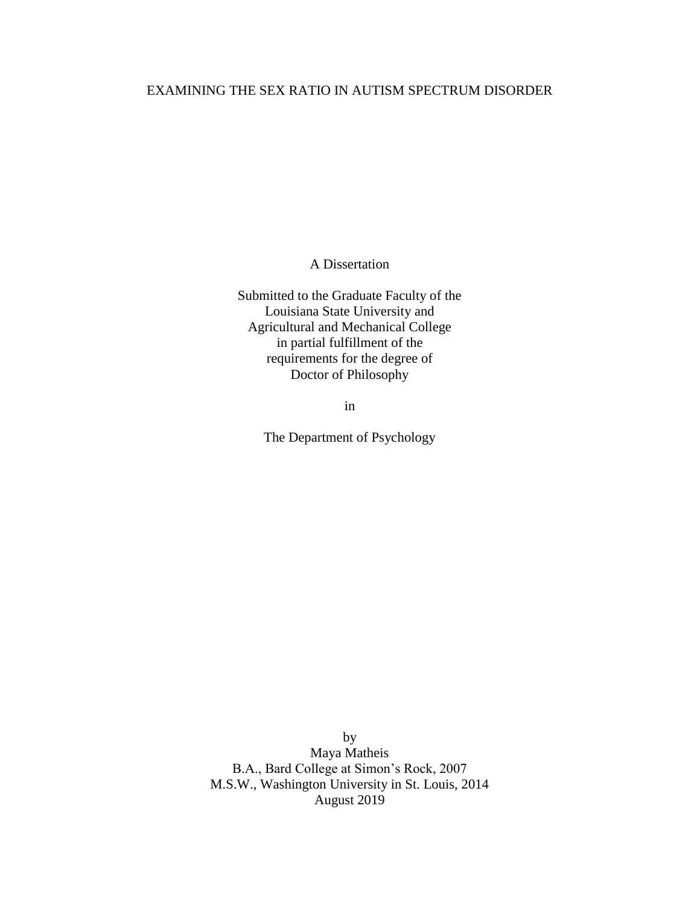## EXAMINING THE SEX RATIO IN AUTISM SPECTRUM DISORDER

A Dissertation

Submitted to the Graduate Faculty of the Louisiana State University and Agricultural and Mechanical College in partial fulfillment of the requirements for the degree of Doctor of Philosophy

in

The Department of Psychology

by Maya Matheis B.A., Bard College at Simon's Rock, 2007 M.S.W., Washington University in St. Louis, 2014 August 2019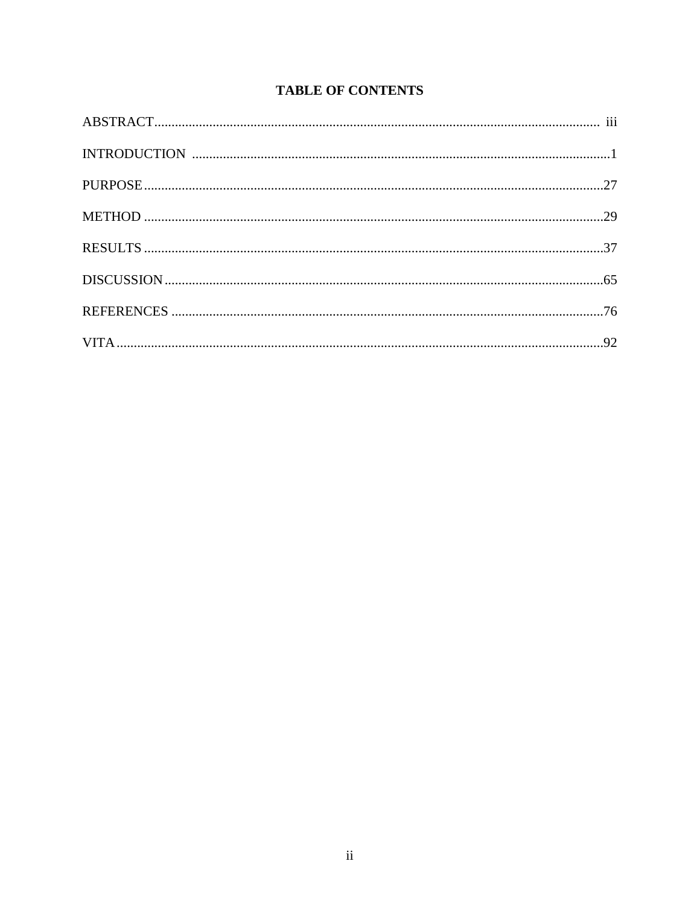## **TABLE OF CONTENTS**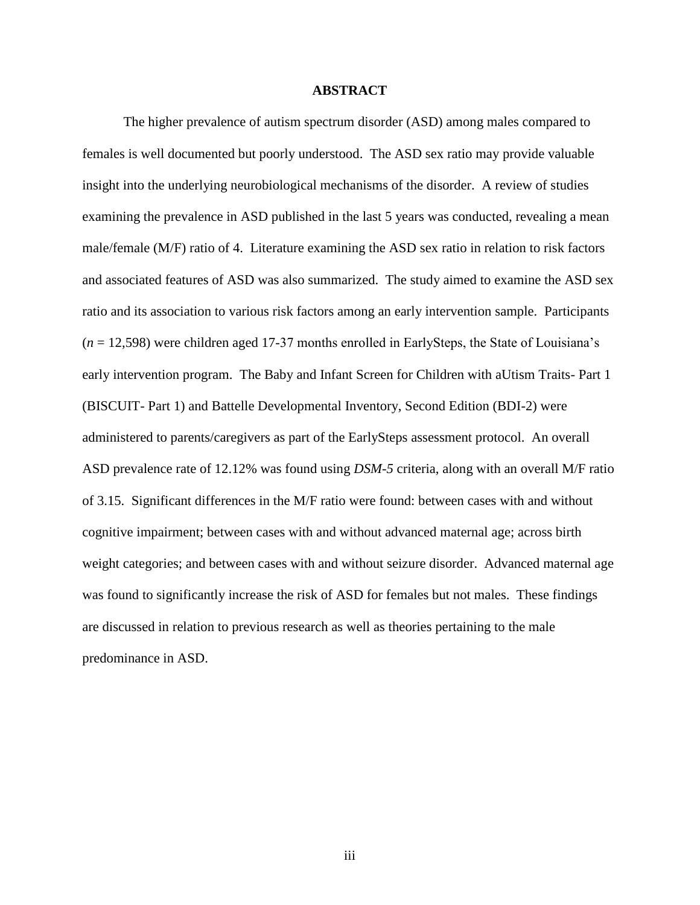#### **ABSTRACT**

The higher prevalence of autism spectrum disorder (ASD) among males compared to females is well documented but poorly understood. The ASD sex ratio may provide valuable insight into the underlying neurobiological mechanisms of the disorder. A review of studies examining the prevalence in ASD published in the last 5 years was conducted, revealing a mean male/female (M/F) ratio of 4. Literature examining the ASD sex ratio in relation to risk factors and associated features of ASD was also summarized. The study aimed to examine the ASD sex ratio and its association to various risk factors among an early intervention sample. Participants (*n* = 12,598) were children aged 17-37 months enrolled in EarlySteps, the State of Louisiana's early intervention program. The Baby and Infant Screen for Children with aUtism Traits- Part 1 (BISCUIT- Part 1) and Battelle Developmental Inventory, Second Edition (BDI-2) were administered to parents/caregivers as part of the EarlySteps assessment protocol. An overall ASD prevalence rate of 12.12% was found using *DSM-5* criteria, along with an overall M/F ratio of 3.15. Significant differences in the M/F ratio were found: between cases with and without cognitive impairment; between cases with and without advanced maternal age; across birth weight categories; and between cases with and without seizure disorder. Advanced maternal age was found to significantly increase the risk of ASD for females but not males. These findings are discussed in relation to previous research as well as theories pertaining to the male predominance in ASD.

iii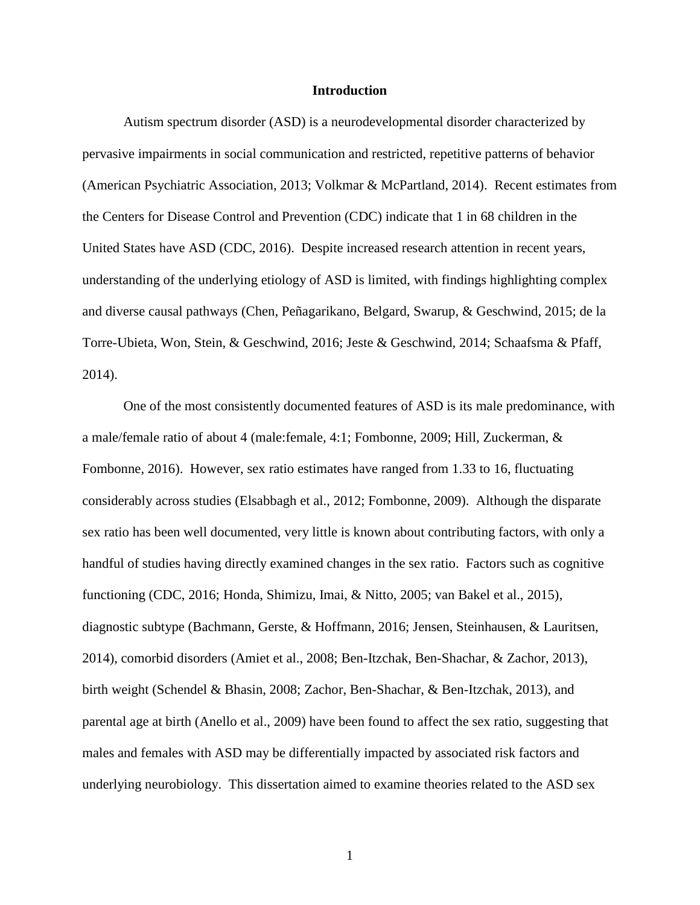#### **Introduction**

Autism spectrum disorder (ASD) is a neurodevelopmental disorder characterized by pervasive impairments in social communication and restricted, repetitive patterns of behavior (American Psychiatric Association, 2013; Volkmar & McPartland, 2014). Recent estimates from the Centers for Disease Control and Prevention (CDC) indicate that 1 in 68 children in the United States have ASD (CDC, 2016). Despite increased research attention in recent years, understanding of the underlying etiology of ASD is limited, with findings highlighting complex and diverse causal pathways (Chen, Peñagarikano, Belgard, Swarup, & Geschwind, 2015; de la Torre-Ubieta, Won, Stein, & Geschwind, 2016; Jeste & Geschwind, 2014; Schaafsma & Pfaff, 2014).

One of the most consistently documented features of ASD is its male predominance, with a male/female ratio of about 4 (male:female, 4:1; Fombonne, 2009; Hill, Zuckerman, & Fombonne, 2016). However, sex ratio estimates have ranged from 1.33 to 16, fluctuating considerably across studies (Elsabbagh et al., 2012; Fombonne, 2009). Although the disparate sex ratio has been well documented, very little is known about contributing factors, with only a handful of studies having directly examined changes in the sex ratio. Factors such as cognitive functioning (CDC, 2016; Honda, Shimizu, Imai, & Nitto, 2005; van Bakel et al., 2015), diagnostic subtype (Bachmann, Gerste, & Hoffmann, 2016; Jensen, Steinhausen, & Lauritsen, 2014), comorbid disorders (Amiet et al., 2008; Ben-Itzchak, Ben-Shachar, & Zachor, 2013), birth weight (Schendel & Bhasin, 2008; Zachor, Ben-Shachar, & Ben-Itzchak, 2013), and parental age at birth (Anello et al., 2009) have been found to affect the sex ratio, suggesting that males and females with ASD may be differentially impacted by associated risk factors and underlying neurobiology. This dissertation aimed to examine theories related to the ASD sex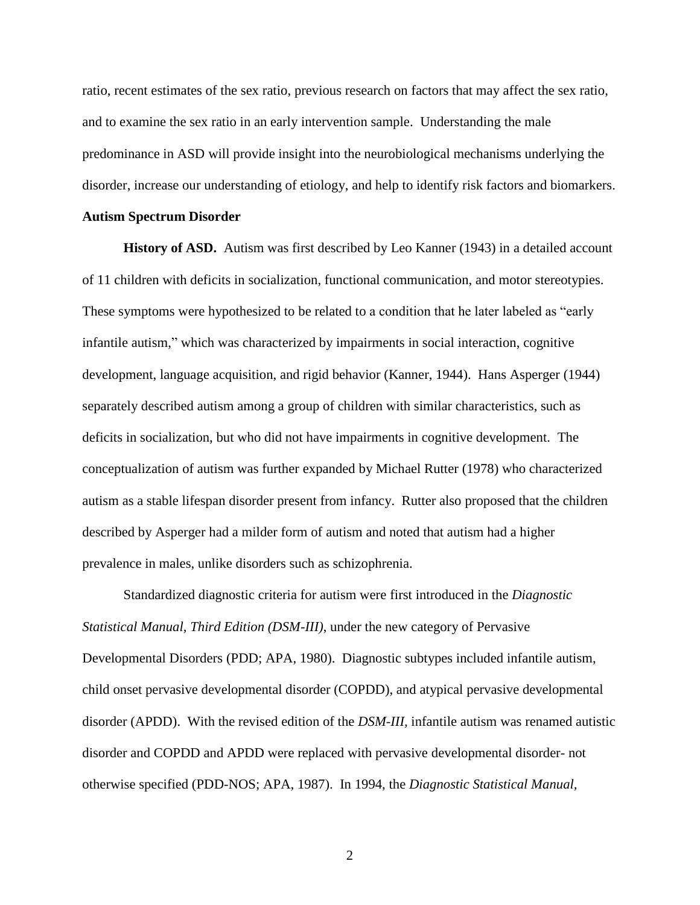ratio, recent estimates of the sex ratio, previous research on factors that may affect the sex ratio, and to examine the sex ratio in an early intervention sample. Understanding the male predominance in ASD will provide insight into the neurobiological mechanisms underlying the disorder, increase our understanding of etiology, and help to identify risk factors and biomarkers.

#### **Autism Spectrum Disorder**

**History of ASD.** Autism was first described by Leo Kanner (1943) in a detailed account of 11 children with deficits in socialization, functional communication, and motor stereotypies. These symptoms were hypothesized to be related to a condition that he later labeled as "early infantile autism," which was characterized by impairments in social interaction, cognitive development, language acquisition, and rigid behavior (Kanner, 1944). Hans Asperger (1944) separately described autism among a group of children with similar characteristics, such as deficits in socialization, but who did not have impairments in cognitive development. The conceptualization of autism was further expanded by Michael Rutter (1978) who characterized autism as a stable lifespan disorder present from infancy. Rutter also proposed that the children described by Asperger had a milder form of autism and noted that autism had a higher prevalence in males, unlike disorders such as schizophrenia.

Standardized diagnostic criteria for autism were first introduced in the *Diagnostic Statistical Manual, Third Edition (DSM-III)*, under the new category of Pervasive Developmental Disorders (PDD; APA, 1980). Diagnostic subtypes included infantile autism, child onset pervasive developmental disorder (COPDD), and atypical pervasive developmental disorder (APDD). With the revised edition of the *DSM-III,* infantile autism was renamed autistic disorder and COPDD and APDD were replaced with pervasive developmental disorder- not otherwise specified (PDD-NOS; APA, 1987). In 1994, the *Diagnostic Statistical Manual,*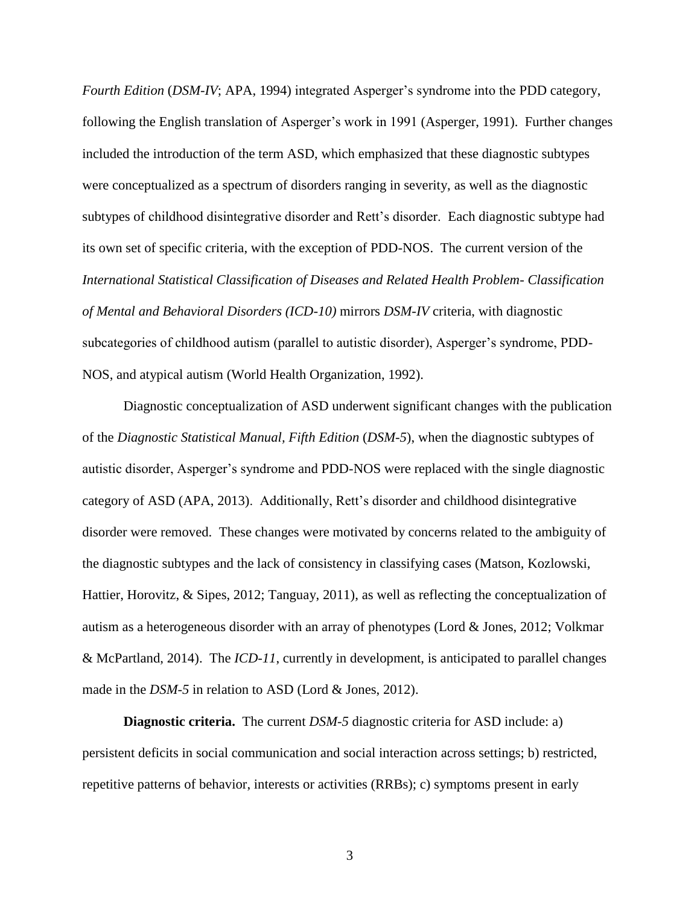*Fourth Edition (DSM-IV*; APA, 1994) integrated Asperger's syndrome into the PDD category, following the English translation of Asperger's work in 1991 (Asperger, 1991). Further changes included the introduction of the term ASD, which emphasized that these diagnostic subtypes were conceptualized as a spectrum of disorders ranging in severity, as well as the diagnostic subtypes of childhood disintegrative disorder and Rett's disorder. Each diagnostic subtype had its own set of specific criteria, with the exception of PDD-NOS. The current version of the *International Statistical Classification of Diseases and Related Health Problem- Classification of Mental and Behavioral Disorders (ICD-10)* mirrors *DSM-IV* criteria, with diagnostic subcategories of childhood autism (parallel to autistic disorder), Asperger's syndrome, PDD-NOS, and atypical autism (World Health Organization, 1992).

Diagnostic conceptualization of ASD underwent significant changes with the publication of the *Diagnostic Statistical Manual, Fifth Edition* (*DSM-5*), when the diagnostic subtypes of autistic disorder, Asperger's syndrome and PDD-NOS were replaced with the single diagnostic category of ASD (APA, 2013). Additionally, Rett's disorder and childhood disintegrative disorder were removed. These changes were motivated by concerns related to the ambiguity of the diagnostic subtypes and the lack of consistency in classifying cases (Matson, Kozlowski, Hattier, Horovitz, & Sipes, 2012; Tanguay, 2011), as well as reflecting the conceptualization of autism as a heterogeneous disorder with an array of phenotypes (Lord & Jones, 2012; Volkmar & McPartland, 2014). The *ICD-11*, currently in development, is anticipated to parallel changes made in the *DSM-5* in relation to ASD (Lord & Jones, 2012).

**Diagnostic criteria.** The current *DSM-5* diagnostic criteria for ASD include: a) persistent deficits in social communication and social interaction across settings; b) restricted, repetitive patterns of behavior, interests or activities (RRBs); c) symptoms present in early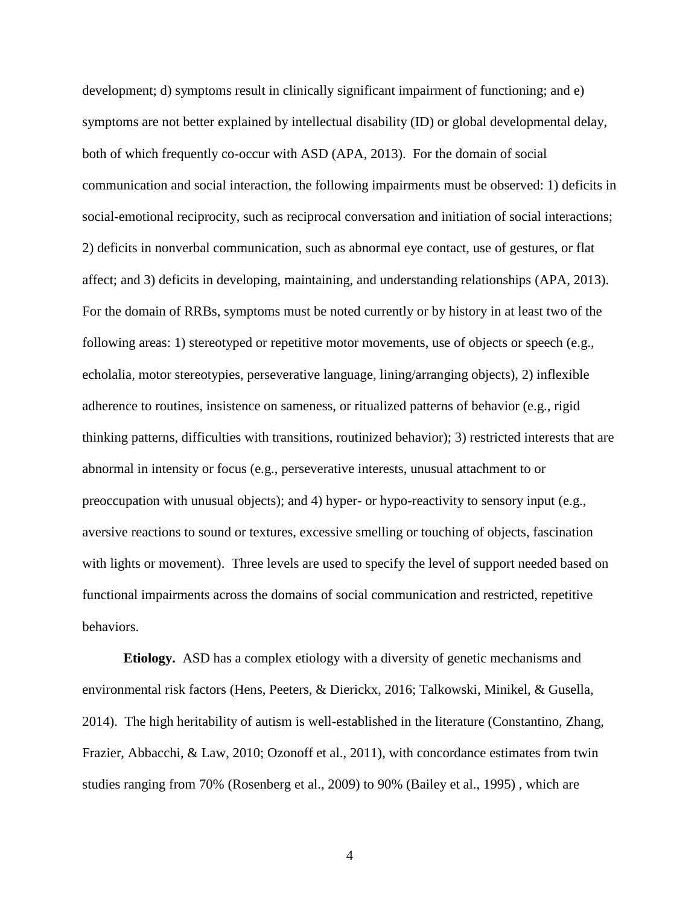development; d) symptoms result in clinically significant impairment of functioning; and e) symptoms are not better explained by intellectual disability (ID) or global developmental delay, both of which frequently co-occur with ASD (APA, 2013). For the domain of social communication and social interaction, the following impairments must be observed: 1) deficits in social-emotional reciprocity, such as reciprocal conversation and initiation of social interactions; 2) deficits in nonverbal communication, such as abnormal eye contact, use of gestures, or flat affect; and 3) deficits in developing, maintaining, and understanding relationships (APA, 2013). For the domain of RRBs, symptoms must be noted currently or by history in at least two of the following areas: 1) stereotyped or repetitive motor movements, use of objects or speech (e.g., echolalia, motor stereotypies, perseverative language, lining/arranging objects), 2) inflexible adherence to routines, insistence on sameness, or ritualized patterns of behavior (e.g., rigid thinking patterns, difficulties with transitions, routinized behavior); 3) restricted interests that are abnormal in intensity or focus (e.g., perseverative interests, unusual attachment to or preoccupation with unusual objects); and 4) hyper- or hypo-reactivity to sensory input (e.g., aversive reactions to sound or textures, excessive smelling or touching of objects, fascination with lights or movement). Three levels are used to specify the level of support needed based on functional impairments across the domains of social communication and restricted, repetitive behaviors.

**Etiology.** ASD has a complex etiology with a diversity of genetic mechanisms and environmental risk factors (Hens, Peeters, & Dierickx, 2016; Talkowski, Minikel, & Gusella, 2014). The high heritability of autism is well-established in the literature (Constantino, Zhang, Frazier, Abbacchi, & Law, 2010; Ozonoff et al., 2011), with concordance estimates from twin studies ranging from 70% (Rosenberg et al., 2009) to 90% (Bailey et al., 1995) , which are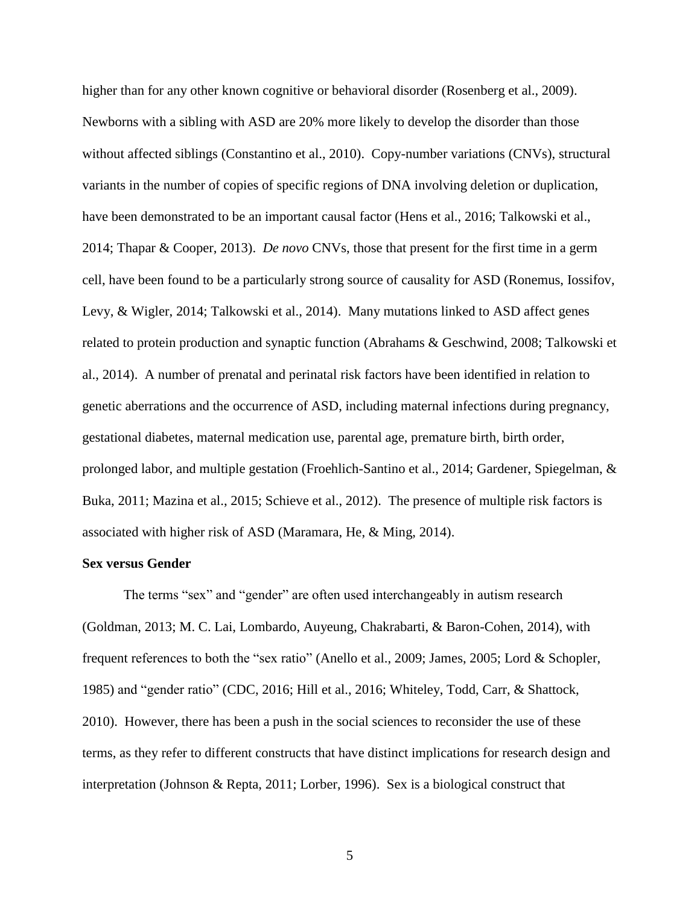higher than for any other known cognitive or behavioral disorder (Rosenberg et al., 2009). Newborns with a sibling with ASD are 20% more likely to develop the disorder than those without affected siblings (Constantino et al., 2010). Copy-number variations (CNVs), structural variants in the number of copies of specific regions of DNA involving deletion or duplication, have been demonstrated to be an important causal factor (Hens et al., 2016; Talkowski et al., 2014; Thapar & Cooper, 2013). *De novo* CNVs, those that present for the first time in a germ cell, have been found to be a particularly strong source of causality for ASD (Ronemus, Iossifov, Levy, & Wigler, 2014; Talkowski et al., 2014). Many mutations linked to ASD affect genes related to protein production and synaptic function (Abrahams & Geschwind, 2008; Talkowski et al., 2014). A number of prenatal and perinatal risk factors have been identified in relation to genetic aberrations and the occurrence of ASD, including maternal infections during pregnancy, gestational diabetes, maternal medication use, parental age, premature birth, birth order, prolonged labor, and multiple gestation (Froehlich-Santino et al., 2014; Gardener, Spiegelman, & Buka, 2011; Mazina et al., 2015; Schieve et al., 2012). The presence of multiple risk factors is associated with higher risk of ASD (Maramara, He, & Ming, 2014).

### **Sex versus Gender**

The terms "sex" and "gender" are often used interchangeably in autism research (Goldman, 2013; M. C. Lai, Lombardo, Auyeung, Chakrabarti, & Baron-Cohen, 2014), with frequent references to both the "sex ratio" (Anello et al., 2009; James, 2005; Lord & Schopler, 1985) and "gender ratio" (CDC, 2016; Hill et al., 2016; Whiteley, Todd, Carr, & Shattock, 2010). However, there has been a push in the social sciences to reconsider the use of these terms, as they refer to different constructs that have distinct implications for research design and interpretation (Johnson & Repta, 2011; Lorber, 1996). Sex is a biological construct that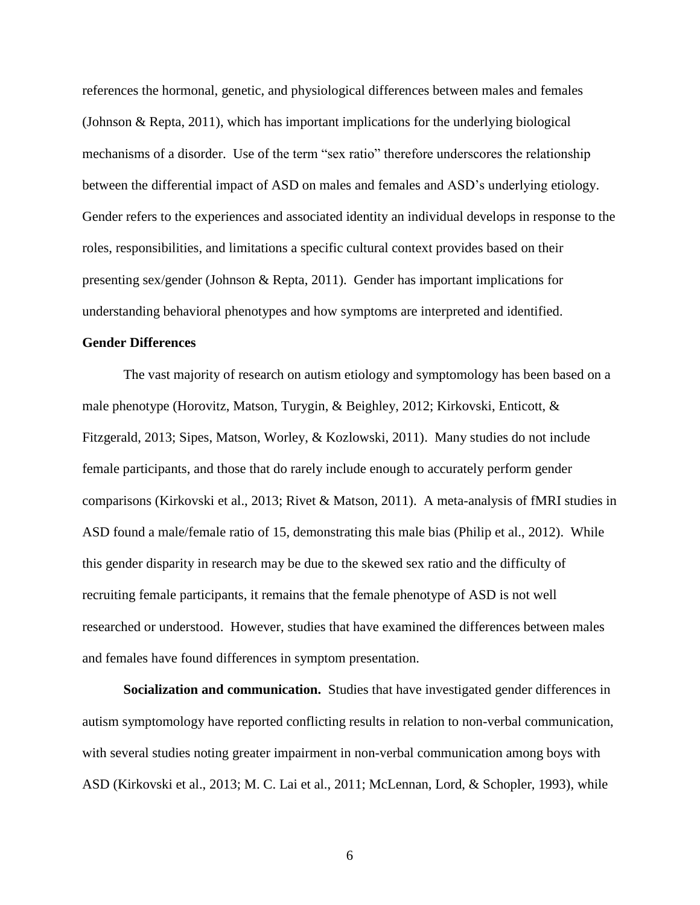references the hormonal, genetic, and physiological differences between males and females (Johnson & Repta, 2011), which has important implications for the underlying biological mechanisms of a disorder. Use of the term "sex ratio" therefore underscores the relationship between the differential impact of ASD on males and females and ASD's underlying etiology. Gender refers to the experiences and associated identity an individual develops in response to the roles, responsibilities, and limitations a specific cultural context provides based on their presenting sex/gender (Johnson & Repta, 2011). Gender has important implications for understanding behavioral phenotypes and how symptoms are interpreted and identified.

## **Gender Differences**

The vast majority of research on autism etiology and symptomology has been based on a male phenotype (Horovitz, Matson, Turygin, & Beighley, 2012; Kirkovski, Enticott, & Fitzgerald, 2013; Sipes, Matson, Worley, & Kozlowski, 2011). Many studies do not include female participants, and those that do rarely include enough to accurately perform gender comparisons (Kirkovski et al., 2013; Rivet & Matson, 2011). A meta-analysis of fMRI studies in ASD found a male/female ratio of 15, demonstrating this male bias (Philip et al., 2012). While this gender disparity in research may be due to the skewed sex ratio and the difficulty of recruiting female participants, it remains that the female phenotype of ASD is not well researched or understood. However, studies that have examined the differences between males and females have found differences in symptom presentation.

**Socialization and communication.** Studies that have investigated gender differences in autism symptomology have reported conflicting results in relation to non-verbal communication, with several studies noting greater impairment in non-verbal communication among boys with ASD (Kirkovski et al., 2013; M. C. Lai et al., 2011; McLennan, Lord, & Schopler, 1993), while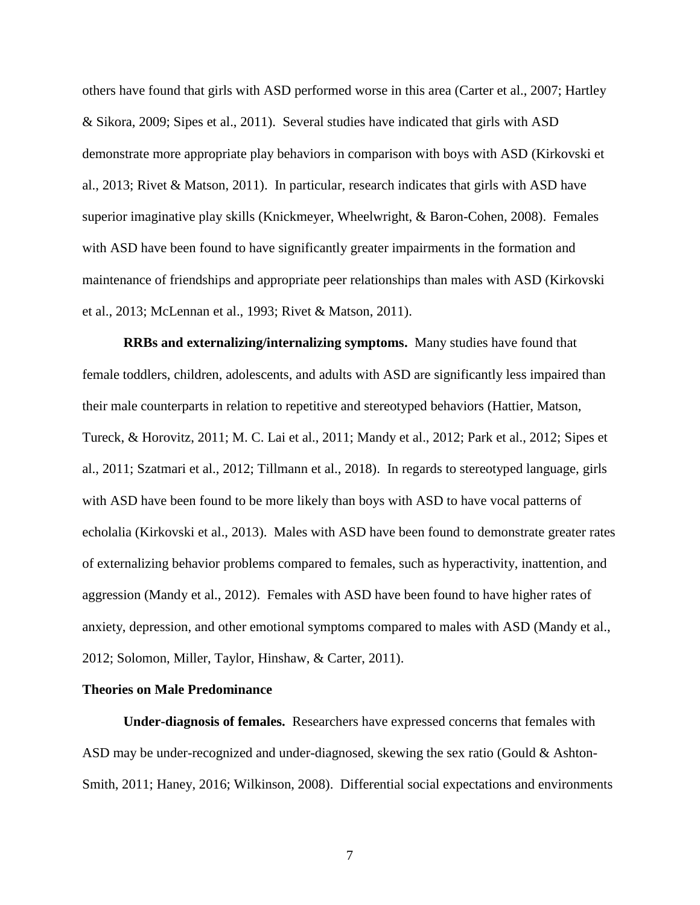others have found that girls with ASD performed worse in this area (Carter et al., 2007; Hartley & Sikora, 2009; Sipes et al., 2011). Several studies have indicated that girls with ASD demonstrate more appropriate play behaviors in comparison with boys with ASD (Kirkovski et al., 2013; Rivet & Matson, 2011). In particular, research indicates that girls with ASD have superior imaginative play skills (Knickmeyer, Wheelwright, & Baron-Cohen, 2008). Females with ASD have been found to have significantly greater impairments in the formation and maintenance of friendships and appropriate peer relationships than males with ASD (Kirkovski et al., 2013; McLennan et al., 1993; Rivet & Matson, 2011).

**RRBs and externalizing/internalizing symptoms.** Many studies have found that female toddlers, children, adolescents, and adults with ASD are significantly less impaired than their male counterparts in relation to repetitive and stereotyped behaviors (Hattier, Matson, Tureck, & Horovitz, 2011; M. C. Lai et al., 2011; Mandy et al., 2012; Park et al., 2012; Sipes et al., 2011; Szatmari et al., 2012; Tillmann et al., 2018). In regards to stereotyped language, girls with ASD have been found to be more likely than boys with ASD to have vocal patterns of echolalia (Kirkovski et al., 2013).Males with ASD have been found to demonstrate greater rates of externalizing behavior problems compared to females, such as hyperactivity, inattention, and aggression (Mandy et al., 2012). Females with ASD have been found to have higher rates of anxiety, depression, and other emotional symptoms compared to males with ASD (Mandy et al., 2012; Solomon, Miller, Taylor, Hinshaw, & Carter, 2011).

### **Theories on Male Predominance**

**Under-diagnosis of females.** Researchers have expressed concerns that females with ASD may be under-recognized and under-diagnosed, skewing the sex ratio (Gould & Ashton-Smith, 2011; Haney, 2016; Wilkinson, 2008). Differential social expectations and environments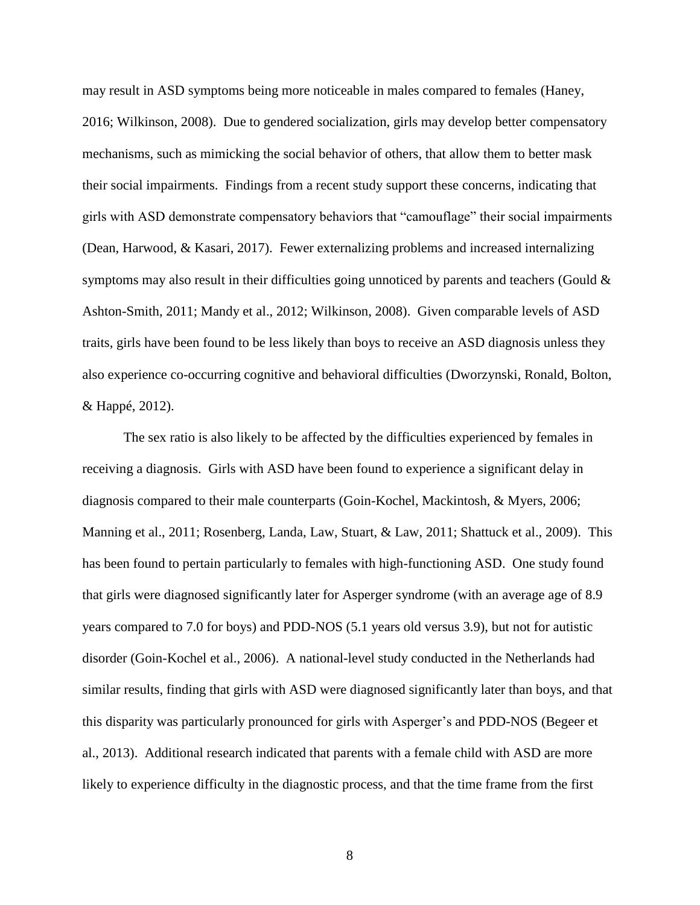may result in ASD symptoms being more noticeable in males compared to females (Haney, 2016; Wilkinson, 2008). Due to gendered socialization, girls may develop better compensatory mechanisms, such as mimicking the social behavior of others, that allow them to better mask their social impairments. Findings from a recent study support these concerns, indicating that girls with ASD demonstrate compensatory behaviors that "camouflage" their social impairments (Dean, Harwood, & Kasari, 2017). Fewer externalizing problems and increased internalizing symptoms may also result in their difficulties going unnoticed by parents and teachers (Gould  $\&$ Ashton-Smith, 2011; Mandy et al., 2012; Wilkinson, 2008). Given comparable levels of ASD traits, girls have been found to be less likely than boys to receive an ASD diagnosis unless they also experience co-occurring cognitive and behavioral difficulties (Dworzynski, Ronald, Bolton, & Happé, 2012).

The sex ratio is also likely to be affected by the difficulties experienced by females in receiving a diagnosis. Girls with ASD have been found to experience a significant delay in diagnosis compared to their male counterparts (Goin-Kochel, Mackintosh, & Myers, 2006; Manning et al., 2011; Rosenberg, Landa, Law, Stuart, & Law, 2011; Shattuck et al., 2009). This has been found to pertain particularly to females with high-functioning ASD. One study found that girls were diagnosed significantly later for Asperger syndrome (with an average age of 8.9 years compared to 7.0 for boys) and PDD-NOS (5.1 years old versus 3.9), but not for autistic disorder (Goin-Kochel et al., 2006). A national-level study conducted in the Netherlands had similar results, finding that girls with ASD were diagnosed significantly later than boys, and that this disparity was particularly pronounced for girls with Asperger's and PDD-NOS (Begeer et al., 2013). Additional research indicated that parents with a female child with ASD are more likely to experience difficulty in the diagnostic process, and that the time frame from the first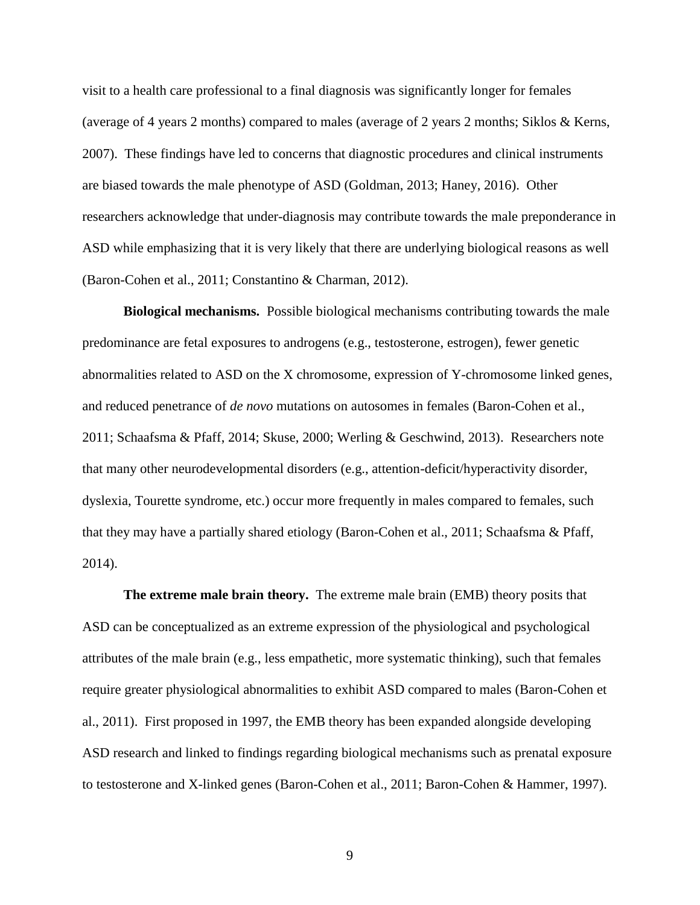visit to a health care professional to a final diagnosis was significantly longer for females (average of 4 years 2 months) compared to males (average of 2 years 2 months; Siklos & Kerns, 2007). These findings have led to concerns that diagnostic procedures and clinical instruments are biased towards the male phenotype of ASD (Goldman, 2013; Haney, 2016). Other researchers acknowledge that under-diagnosis may contribute towards the male preponderance in ASD while emphasizing that it is very likely that there are underlying biological reasons as well (Baron-Cohen et al., 2011; Constantino & Charman, 2012).

**Biological mechanisms.** Possible biological mechanisms contributing towards the male predominance are fetal exposures to androgens (e.g., testosterone, estrogen), fewer genetic abnormalities related to ASD on the X chromosome, expression of Y-chromosome linked genes, and reduced penetrance of *de novo* mutations on autosomes in females (Baron-Cohen et al., 2011; Schaafsma & Pfaff, 2014; Skuse, 2000; Werling & Geschwind, 2013). Researchers note that many other neurodevelopmental disorders (e.g., attention-deficit/hyperactivity disorder, dyslexia, Tourette syndrome, etc.) occur more frequently in males compared to females, such that they may have a partially shared etiology (Baron-Cohen et al., 2011; Schaafsma & Pfaff, 2014).

**The extreme male brain theory.** The extreme male brain (EMB) theory posits that ASD can be conceptualized as an extreme expression of the physiological and psychological attributes of the male brain (e.g., less empathetic, more systematic thinking), such that females require greater physiological abnormalities to exhibit ASD compared to males (Baron-Cohen et al., 2011). First proposed in 1997, the EMB theory has been expanded alongside developing ASD research and linked to findings regarding biological mechanisms such as prenatal exposure to testosterone and X-linked genes (Baron-Cohen et al., 2011; Baron-Cohen & Hammer, 1997).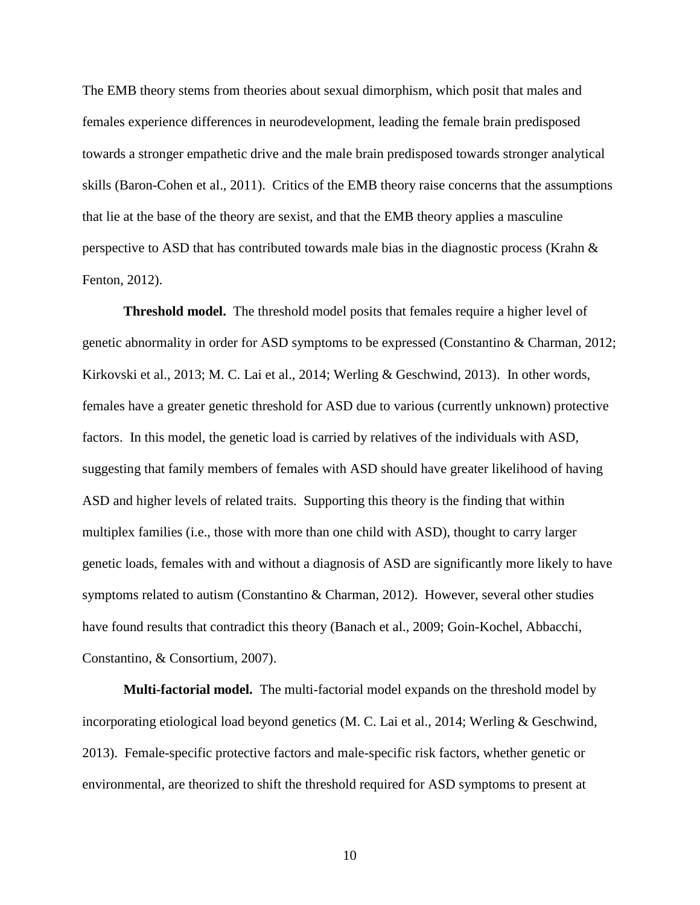The EMB theory stems from theories about sexual dimorphism, which posit that males and females experience differences in neurodevelopment, leading the female brain predisposed towards a stronger empathetic drive and the male brain predisposed towards stronger analytical skills (Baron-Cohen et al., 2011). Critics of the EMB theory raise concerns that the assumptions that lie at the base of the theory are sexist, and that the EMB theory applies a masculine perspective to ASD that has contributed towards male bias in the diagnostic process (Krahn & Fenton, 2012).

**Threshold model.** The threshold model posits that females require a higher level of genetic abnormality in order for ASD symptoms to be expressed (Constantino & Charman, 2012; Kirkovski et al., 2013; M. C. Lai et al., 2014; Werling & Geschwind, 2013). In other words, females have a greater genetic threshold for ASD due to various (currently unknown) protective factors. In this model, the genetic load is carried by relatives of the individuals with ASD, suggesting that family members of females with ASD should have greater likelihood of having ASD and higher levels of related traits. Supporting this theory is the finding that within multiplex families (i.e., those with more than one child with ASD), thought to carry larger genetic loads, females with and without a diagnosis of ASD are significantly more likely to have symptoms related to autism (Constantino & Charman, 2012). However, several other studies have found results that contradict this theory (Banach et al., 2009; Goin-Kochel, Abbacchi, Constantino, & Consortium, 2007).

**Multi-factorial model.** The multi-factorial model expands on the threshold model by incorporating etiological load beyond genetics (M. C. Lai et al., 2014; Werling & Geschwind, 2013). Female-specific protective factors and male-specific risk factors, whether genetic or environmental, are theorized to shift the threshold required for ASD symptoms to present at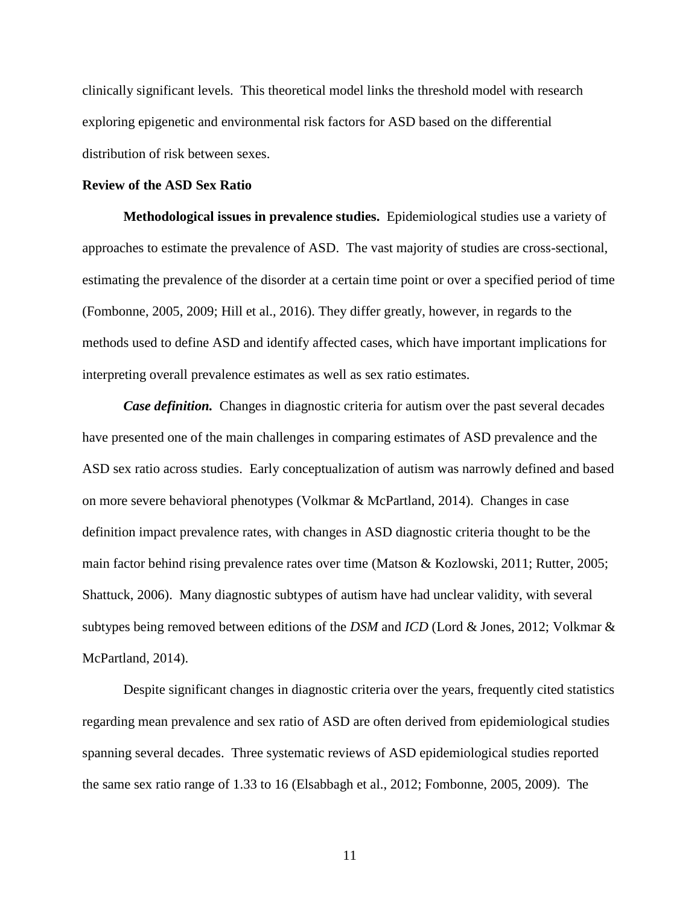clinically significant levels. This theoretical model links the threshold model with research exploring epigenetic and environmental risk factors for ASD based on the differential distribution of risk between sexes.

#### **Review of the ASD Sex Ratio**

**Methodological issues in prevalence studies.** Epidemiological studies use a variety of approaches to estimate the prevalence of ASD. The vast majority of studies are cross-sectional, estimating the prevalence of the disorder at a certain time point or over a specified period of time (Fombonne, 2005, 2009; Hill et al., 2016). They differ greatly, however, in regards to the methods used to define ASD and identify affected cases, which have important implications for interpreting overall prevalence estimates as well as sex ratio estimates.

*Case definition.* Changes in diagnostic criteria for autism over the past several decades have presented one of the main challenges in comparing estimates of ASD prevalence and the ASD sex ratio across studies. Early conceptualization of autism was narrowly defined and based on more severe behavioral phenotypes (Volkmar & McPartland, 2014). Changes in case definition impact prevalence rates, with changes in ASD diagnostic criteria thought to be the main factor behind rising prevalence rates over time (Matson & Kozlowski, 2011; Rutter, 2005; Shattuck, 2006). Many diagnostic subtypes of autism have had unclear validity, with several subtypes being removed between editions of the *DSM* and *ICD* (Lord & Jones, 2012; Volkmar & McPartland, 2014).

Despite significant changes in diagnostic criteria over the years, frequently cited statistics regarding mean prevalence and sex ratio of ASD are often derived from epidemiological studies spanning several decades. Three systematic reviews of ASD epidemiological studies reported the same sex ratio range of 1.33 to 16 (Elsabbagh et al., 2012; Fombonne, 2005, 2009). The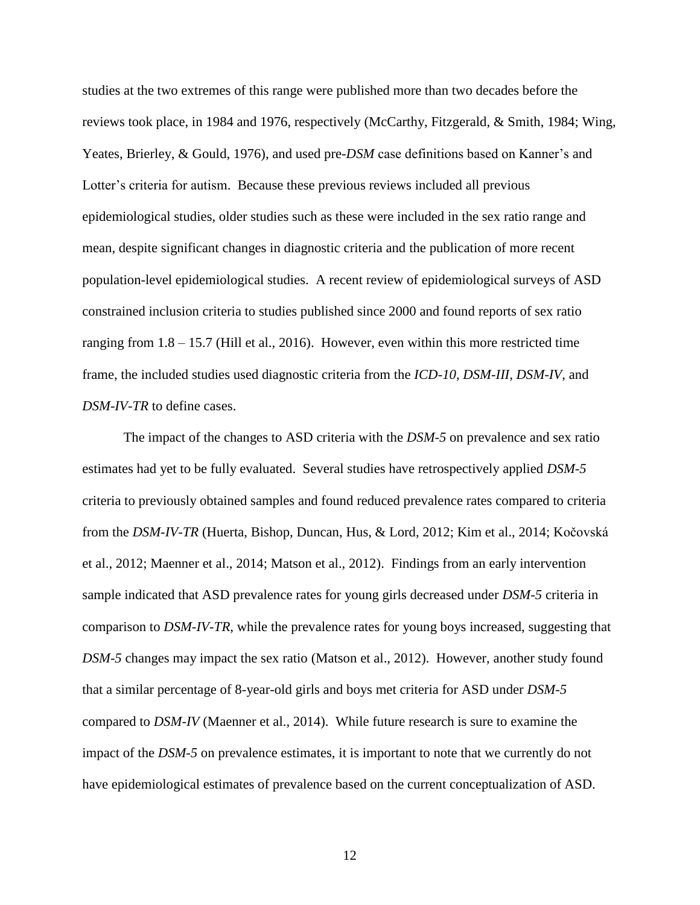studies at the two extremes of this range were published more than two decades before the reviews took place, in 1984 and 1976, respectively (McCarthy, Fitzgerald, & Smith, 1984; Wing, Yeates, Brierley, & Gould, 1976), and used pre-*DSM* case definitions based on Kanner's and Lotter's criteria for autism. Because these previous reviews included all previous epidemiological studies, older studies such as these were included in the sex ratio range and mean, despite significant changes in diagnostic criteria and the publication of more recent population-level epidemiological studies. A recent review of epidemiological surveys of ASD constrained inclusion criteria to studies published since 2000 and found reports of sex ratio ranging from 1.8 – 15.7 (Hill et al., 2016). However, even within this more restricted time frame, the included studies used diagnostic criteria from the *ICD-10, DSM-III, DSM-IV*, and *DSM-IV-TR* to define cases.

The impact of the changes to ASD criteria with the *DSM-5* on prevalence and sex ratio estimates had yet to be fully evaluated. Several studies have retrospectively applied *DSM-5* criteria to previously obtained samples and found reduced prevalence rates compared to criteria from the *DSM-IV-TR* (Huerta, Bishop, Duncan, Hus, & Lord, 2012; Kim et al., 2014; Kočovská et al., 2012; Maenner et al., 2014; Matson et al., 2012). Findings from an early intervention sample indicated that ASD prevalence rates for young girls decreased under *DSM-5* criteria in comparison to *DSM-IV-TR*, while the prevalence rates for young boys increased, suggesting that *DSM-5* changes may impact the sex ratio (Matson et al., 2012). However, another study found that a similar percentage of 8-year-old girls and boys met criteria for ASD under *DSM-5* compared to *DSM-IV* (Maenner et al., 2014). While future research is sure to examine the impact of the *DSM-5* on prevalence estimates, it is important to note that we currently do not have epidemiological estimates of prevalence based on the current conceptualization of ASD.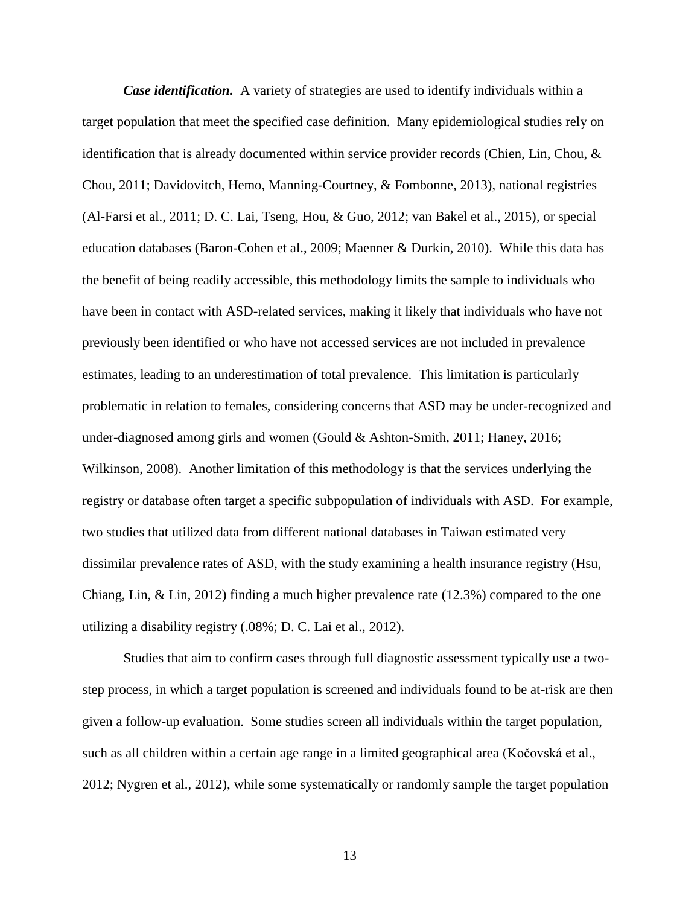*Case identification.* A variety of strategies are used to identify individuals within a target population that meet the specified case definition. Many epidemiological studies rely on identification that is already documented within service provider records (Chien, Lin, Chou, & Chou, 2011; Davidovitch, Hemo, Manning-Courtney, & Fombonne, 2013), national registries (Al-Farsi et al., 2011; D. C. Lai, Tseng, Hou, & Guo, 2012; van Bakel et al., 2015), or special education databases (Baron-Cohen et al., 2009; Maenner & Durkin, 2010). While this data has the benefit of being readily accessible, this methodology limits the sample to individuals who have been in contact with ASD-related services, making it likely that individuals who have not previously been identified or who have not accessed services are not included in prevalence estimates, leading to an underestimation of total prevalence. This limitation is particularly problematic in relation to females, considering concerns that ASD may be under-recognized and under-diagnosed among girls and women (Gould & Ashton-Smith, 2011; Haney, 2016; Wilkinson, 2008). Another limitation of this methodology is that the services underlying the registry or database often target a specific subpopulation of individuals with ASD. For example, two studies that utilized data from different national databases in Taiwan estimated very dissimilar prevalence rates of ASD, with the study examining a health insurance registry (Hsu, Chiang, Lin, & Lin, 2012) finding a much higher prevalence rate (12.3%) compared to the one utilizing a disability registry (.08%; D. C. Lai et al., 2012).

Studies that aim to confirm cases through full diagnostic assessment typically use a twostep process, in which a target population is screened and individuals found to be at-risk are then given a follow-up evaluation. Some studies screen all individuals within the target population, such as all children within a certain age range in a limited geographical area (Kočovská et al., 2012; Nygren et al., 2012), while some systematically or randomly sample the target population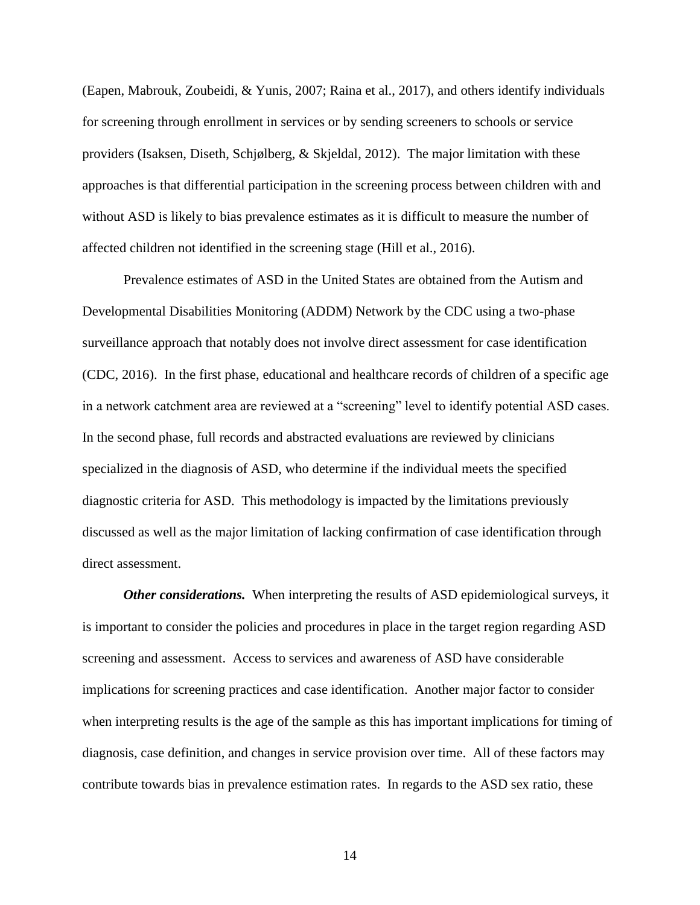(Eapen, Mabrouk, Zoubeidi, & Yunis, 2007; Raina et al., 2017), and others identify individuals for screening through enrollment in services or by sending screeners to schools or service providers (Isaksen, Diseth, Schjølberg, & Skjeldal, 2012). The major limitation with these approaches is that differential participation in the screening process between children with and without ASD is likely to bias prevalence estimates as it is difficult to measure the number of affected children not identified in the screening stage (Hill et al., 2016).

Prevalence estimates of ASD in the United States are obtained from the Autism and Developmental Disabilities Monitoring (ADDM) Network by the CDC using a two-phase surveillance approach that notably does not involve direct assessment for case identification (CDC, 2016). In the first phase, educational and healthcare records of children of a specific age in a network catchment area are reviewed at a "screening" level to identify potential ASD cases. In the second phase, full records and abstracted evaluations are reviewed by clinicians specialized in the diagnosis of ASD, who determine if the individual meets the specified diagnostic criteria for ASD. This methodology is impacted by the limitations previously discussed as well as the major limitation of lacking confirmation of case identification through direct assessment.

*Other considerations.*When interpreting the results of ASD epidemiological surveys, it is important to consider the policies and procedures in place in the target region regarding ASD screening and assessment. Access to services and awareness of ASD have considerable implications for screening practices and case identification. Another major factor to consider when interpreting results is the age of the sample as this has important implications for timing of diagnosis, case definition, and changes in service provision over time. All of these factors may contribute towards bias in prevalence estimation rates. In regards to the ASD sex ratio, these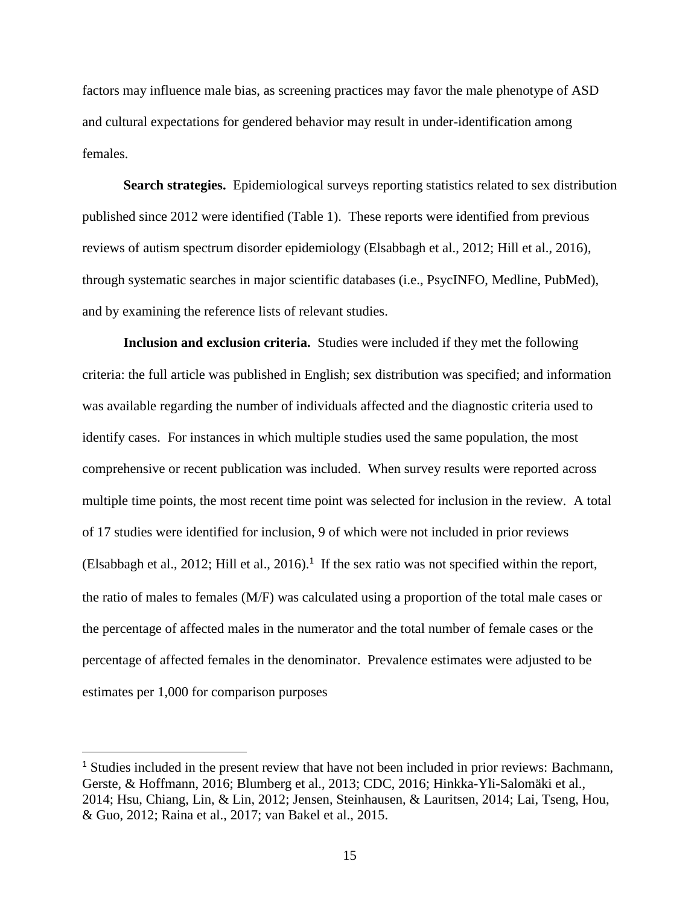factors may influence male bias, as screening practices may favor the male phenotype of ASD and cultural expectations for gendered behavior may result in under-identification among females.

**Search strategies.** Epidemiological surveys reporting statistics related to sex distribution published since 2012 were identified (Table 1). These reports were identified from previous reviews of autism spectrum disorder epidemiology (Elsabbagh et al., 2012; Hill et al., 2016), through systematic searches in major scientific databases (i.e., PsycINFO, Medline, PubMed), and by examining the reference lists of relevant studies.

**Inclusion and exclusion criteria.** Studies were included if they met the following criteria: the full article was published in English; sex distribution was specified; and information was available regarding the number of individuals affected and the diagnostic criteria used to identify cases. For instances in which multiple studies used the same population, the most comprehensive or recent publication was included. When survey results were reported across multiple time points, the most recent time point was selected for inclusion in the review. A total of 17 studies were identified for inclusion, 9 of which were not included in prior reviews (Elsabbagh et al., 2012; Hill et al., 2016). 1 If the sex ratio was not specified within the report, the ratio of males to females (M/F) was calculated using a proportion of the total male cases or the percentage of affected males in the numerator and the total number of female cases or the percentage of affected females in the denominator. Prevalence estimates were adjusted to be estimates per 1,000 for comparison purposes

 $\overline{a}$ 

<sup>&</sup>lt;sup>1</sup> Studies included in the present review that have not been included in prior reviews: Bachmann, Gerste, & Hoffmann, 2016; Blumberg et al., 2013; CDC, 2016; Hinkka-Yli-Salomäki et al., 2014; Hsu, Chiang, Lin, & Lin, 2012; Jensen, Steinhausen, & Lauritsen, 2014; Lai, Tseng, Hou, & Guo, 2012; Raina et al., 2017; van Bakel et al., 2015.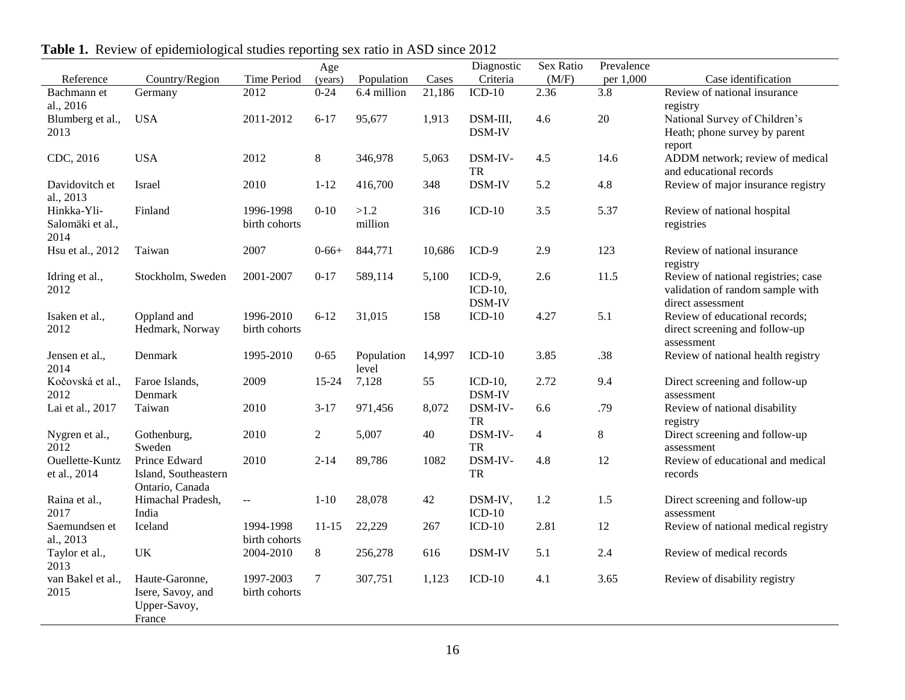|                        |                                         |                            | Age        |             |        | Diagnostic | Sex Ratio      | Prevalence |                                              |
|------------------------|-----------------------------------------|----------------------------|------------|-------------|--------|------------|----------------|------------|----------------------------------------------|
| Reference              | Country/Region                          | Time Period                | (years)    | Population  | Cases  | Criteria   | (M/F)          | per 1,000  | Case identification                          |
| Bachmann et            | Germany                                 | 2012                       | $0 - 24$   | 6.4 million | 21,186 | $ICD-10$   | 2.36           | 3.8        | Review of national insurance                 |
| al., 2016              |                                         |                            |            |             |        |            |                |            | registry                                     |
| Blumberg et al.,       | <b>USA</b>                              | 2011-2012                  | $6 - 17$   | 95,677      | 1,913  | DSM-III,   | 4.6            | 20         | National Survey of Children's                |
| 2013                   |                                         |                            |            |             |        | DSM-IV     |                |            | Heath; phone survey by parent                |
| CDC, 2016              | <b>USA</b>                              | 2012                       | $8\,$      | 346,978     | 5,063  | DSM-IV-    | 4.5            | 14.6       | report<br>ADDM network; review of medical    |
|                        |                                         |                            |            |             |        | <b>TR</b>  |                |            | and educational records                      |
| Davidovitch et         | Israel                                  | 2010                       | $1 - 12$   | 416,700     | 348    | DSM-IV     | 5.2            | 4.8        | Review of major insurance registry           |
| al., 2013              |                                         |                            |            |             |        |            |                |            |                                              |
| Hinkka-Yli-            | Finland                                 | 1996-1998                  | $0 - 10$   | >1.2        | 316    | $ICD-10$   | 3.5            | 5.37       | Review of national hospital                  |
| Salomäki et al.,       |                                         | birth cohorts              |            | million     |        |            |                |            | registries                                   |
| 2014                   |                                         |                            |            |             |        |            |                |            |                                              |
| Hsu et al., 2012       | Taiwan                                  | 2007                       | $0 - 66 +$ | 844,771     | 10,686 | ICD-9      | 2.9            | 123        | Review of national insurance                 |
|                        |                                         |                            |            |             |        |            |                |            | registry                                     |
| Idring et al.,         | Stockholm, Sweden                       | 2001-2007                  | $0 - 17$   | 589,114     | 5,100  | $ICD-9$ ,  | 2.6            | 11.5       | Review of national registries; case          |
| 2012                   |                                         |                            |            |             |        | $ICD-10$ , |                |            | validation of random sample with             |
|                        |                                         |                            |            |             |        | DSM-IV     |                |            | direct assessment                            |
| Isaken et al.,<br>2012 | Oppland and<br>Hedmark, Norway          | 1996-2010<br>birth cohorts | $6 - 12$   | 31,015      | 158    | $ICD-10$   | 4.27           | 5.1        | Review of educational records;               |
|                        |                                         |                            |            |             |        |            |                |            | direct screening and follow-up<br>assessment |
| Jensen et al.,         | Denmark                                 | 1995-2010                  | $0 - 65$   | Population  | 14,997 | $ICD-10$   | 3.85           | .38        | Review of national health registry           |
| 2014                   |                                         |                            |            | level       |        |            |                |            |                                              |
| Kočovská et al.,       | Faroe Islands,                          | 2009                       | $15 - 24$  | 7,128       | 55     | $ICD-10$ , | 2.72           | 9.4        | Direct screening and follow-up               |
| 2012                   | Denmark                                 |                            |            |             |        | DSM-IV     |                |            | assessment                                   |
| Lai et al., 2017       | Taiwan                                  | 2010                       | $3 - 17$   | 971,456     | 8,072  | DSM-IV-    | 6.6            | .79        | Review of national disability                |
|                        |                                         |                            |            |             |        | ${\rm TR}$ |                |            | registry                                     |
| Nygren et al.,         | Gothenburg,                             | 2010                       | $\sqrt{2}$ | 5,007       | 40     | DSM-IV-    | $\overline{4}$ | $8\,$      | Direct screening and follow-up               |
| 2012                   | Sweden                                  |                            |            |             |        | ${\rm TR}$ |                |            | assessment                                   |
| Ouellette-Kuntz        | Prince Edward                           | 2010                       | $2 - 14$   | 89,786      | 1082   | DSM-IV-    | 4.8            | 12         | Review of educational and medical            |
| et al., 2014           | Island, Southeastern<br>Ontario, Canada |                            |            |             |        | ${\rm TR}$ |                |            | records                                      |
| Raina et al.,          | Himachal Pradesh,                       | $\overline{\phantom{a}}$   | $1 - 10$   | 28,078      | 42     | DSM-IV,    | 1.2            | 1.5        | Direct screening and follow-up               |
| 2017                   | India                                   |                            |            |             |        | $ICD-10$   |                |            | assessment                                   |
| Saemundsen et          | Iceland                                 | 1994-1998                  | $11 - 15$  | 22,229      | 267    | $ICD-10$   | 2.81           | 12         | Review of national medical registry          |
| al., 2013              |                                         | birth cohorts              |            |             |        |            |                |            |                                              |
| Taylor et al.,         | UK                                      | 2004-2010                  | 8          | 256,278     | 616    | DSM-IV     | 5.1            | 2.4        | Review of medical records                    |
| 2013                   |                                         |                            |            |             |        |            |                |            |                                              |
| van Bakel et al.,      | Haute-Garonne,                          | 1997-2003                  | $\tau$     | 307,751     | 1,123  | $ICD-10$   | 4.1            | 3.65       | Review of disability registry                |
| 2015                   | Isere, Savoy, and                       | birth cohorts              |            |             |        |            |                |            |                                              |
|                        | Upper-Savoy,                            |                            |            |             |        |            |                |            |                                              |
|                        | France                                  |                            |            |             |        |            |                |            |                                              |

**Table 1.** Review of epidemiological studies reporting sex ratio in ASD since 2012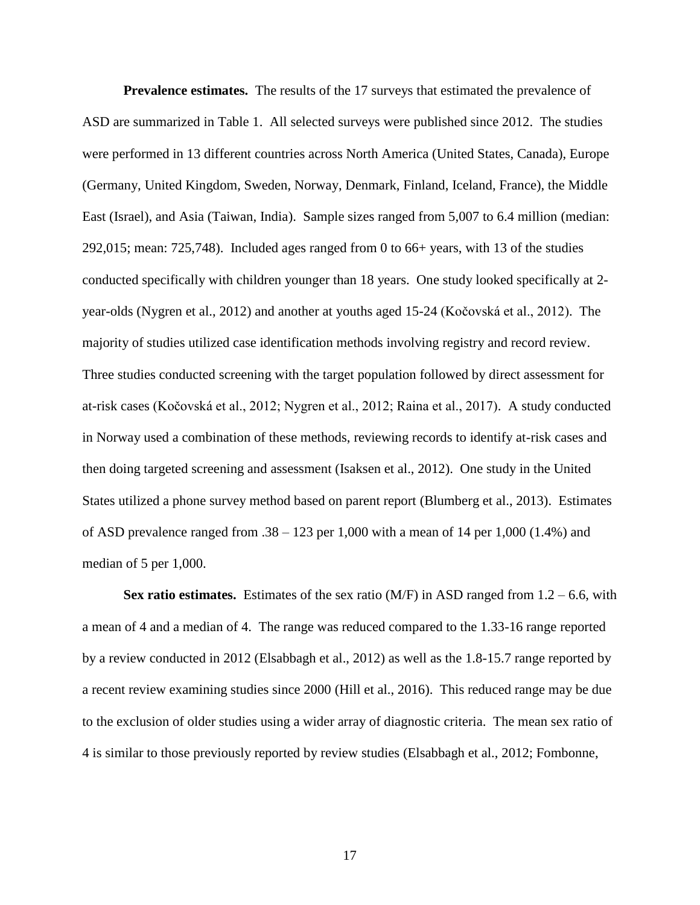**Prevalence estimates.** The results of the 17 surveys that estimated the prevalence of ASD are summarized in Table 1. All selected surveys were published since 2012. The studies were performed in 13 different countries across North America (United States, Canada), Europe (Germany, United Kingdom, Sweden, Norway, Denmark, Finland, Iceland, France), the Middle East (Israel), and Asia (Taiwan, India). Sample sizes ranged from 5,007 to 6.4 million (median: 292,015; mean: 725,748). Included ages ranged from 0 to 66+ years, with 13 of the studies conducted specifically with children younger than 18 years. One study looked specifically at 2 year-olds (Nygren et al., 2012) and another at youths aged 15-24 (Kočovská et al., 2012). The majority of studies utilized case identification methods involving registry and record review. Three studies conducted screening with the target population followed by direct assessment for at-risk cases (Kočovská et al., 2012; Nygren et al., 2012; Raina et al., 2017). A study conducted in Norway used a combination of these methods, reviewing records to identify at-risk cases and then doing targeted screening and assessment (Isaksen et al., 2012). One study in the United States utilized a phone survey method based on parent report (Blumberg et al., 2013). Estimates of ASD prevalence ranged from  $.38 - 123$  per 1,000 with a mean of 14 per 1,000 (1.4%) and median of 5 per 1,000.

**Sex ratio estimates.** Estimates of the sex ratio (M/F) in ASD ranged from  $1.2 - 6.6$ , with a mean of 4 and a median of 4. The range was reduced compared to the 1.33-16 range reported by a review conducted in 2012 (Elsabbagh et al., 2012) as well as the 1.8-15.7 range reported by a recent review examining studies since 2000 (Hill et al., 2016). This reduced range may be due to the exclusion of older studies using a wider array of diagnostic criteria. The mean sex ratio of 4 is similar to those previously reported by review studies (Elsabbagh et al., 2012; Fombonne,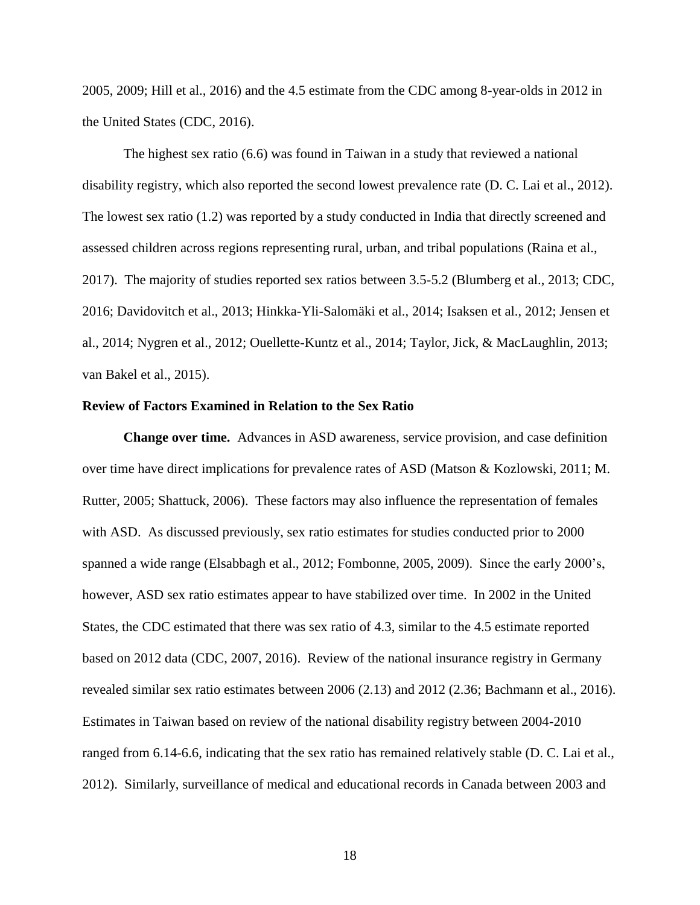2005, 2009; Hill et al., 2016) and the 4.5 estimate from the CDC among 8-year-olds in 2012 in the United States (CDC, 2016).

The highest sex ratio (6.6) was found in Taiwan in a study that reviewed a national disability registry, which also reported the second lowest prevalence rate (D. C. Lai et al., 2012). The lowest sex ratio (1.2) was reported by a study conducted in India that directly screened and assessed children across regions representing rural, urban, and tribal populations (Raina et al., 2017). The majority of studies reported sex ratios between 3.5-5.2 (Blumberg et al., 2013; CDC, 2016; Davidovitch et al., 2013; Hinkka-Yli-Salomäki et al., 2014; Isaksen et al., 2012; Jensen et al., 2014; Nygren et al., 2012; Ouellette-Kuntz et al., 2014; Taylor, Jick, & MacLaughlin, 2013; van Bakel et al., 2015).

#### **Review of Factors Examined in Relation to the Sex Ratio**

**Change over time.** Advances in ASD awareness, service provision, and case definition over time have direct implications for prevalence rates of ASD (Matson & Kozlowski, 2011; M. Rutter, 2005; Shattuck, 2006). These factors may also influence the representation of females with ASD. As discussed previously, sex ratio estimates for studies conducted prior to 2000 spanned a wide range (Elsabbagh et al., 2012; Fombonne, 2005, 2009). Since the early 2000's, however, ASD sex ratio estimates appear to have stabilized over time. In 2002 in the United States, the CDC estimated that there was sex ratio of 4.3, similar to the 4.5 estimate reported based on 2012 data (CDC, 2007, 2016). Review of the national insurance registry in Germany revealed similar sex ratio estimates between 2006 (2.13) and 2012 (2.36; Bachmann et al., 2016). Estimates in Taiwan based on review of the national disability registry between 2004-2010 ranged from 6.14-6.6, indicating that the sex ratio has remained relatively stable (D. C. Lai et al., 2012). Similarly, surveillance of medical and educational records in Canada between 2003 and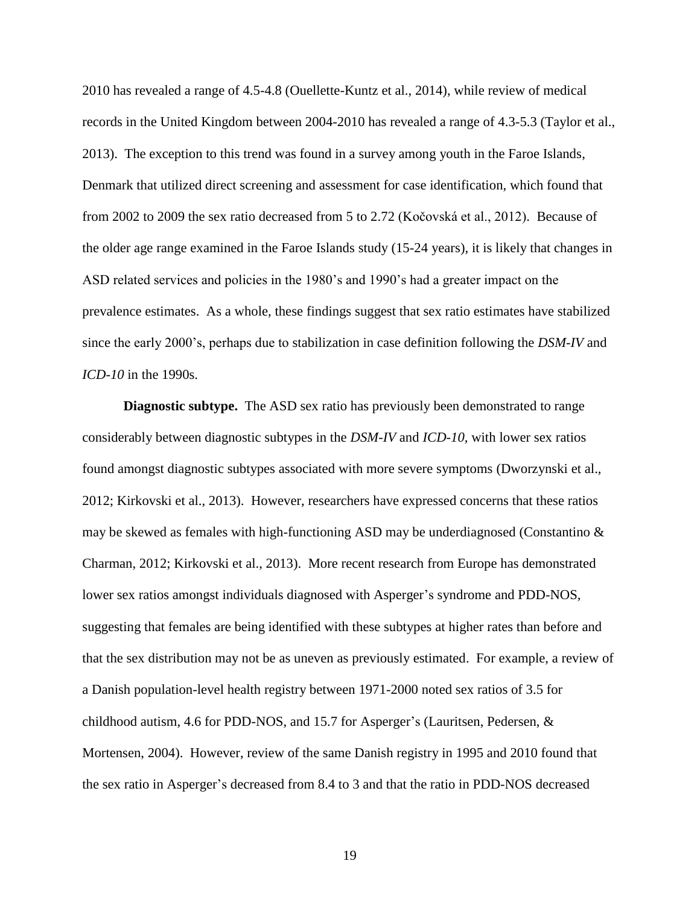2010 has revealed a range of 4.5-4.8 (Ouellette-Kuntz et al., 2014), while review of medical records in the United Kingdom between 2004-2010 has revealed a range of 4.3-5.3 (Taylor et al., 2013). The exception to this trend was found in a survey among youth in the Faroe Islands, Denmark that utilized direct screening and assessment for case identification, which found that from 2002 to 2009 the sex ratio decreased from 5 to 2.72 (Kočovská et al., 2012). Because of the older age range examined in the Faroe Islands study (15-24 years), it is likely that changes in ASD related services and policies in the 1980's and 1990's had a greater impact on the prevalence estimates. As a whole, these findings suggest that sex ratio estimates have stabilized since the early 2000's, perhaps due to stabilization in case definition following the *DSM-IV* and *ICD-10* in the 1990s.

**Diagnostic subtype.** The ASD sex ratio has previously been demonstrated to range considerably between diagnostic subtypes in the *DSM-IV* and *ICD-10*, with lower sex ratios found amongst diagnostic subtypes associated with more severe symptoms (Dworzynski et al., 2012; Kirkovski et al., 2013). However, researchers have expressed concerns that these ratios may be skewed as females with high-functioning ASD may be underdiagnosed (Constantino  $\&$ Charman, 2012; Kirkovski et al., 2013). More recent research from Europe has demonstrated lower sex ratios amongst individuals diagnosed with Asperger's syndrome and PDD-NOS, suggesting that females are being identified with these subtypes at higher rates than before and that the sex distribution may not be as uneven as previously estimated. For example, a review of a Danish population-level health registry between 1971-2000 noted sex ratios of 3.5 for childhood autism, 4.6 for PDD-NOS, and 15.7 for Asperger's (Lauritsen, Pedersen, & Mortensen, 2004). However, review of the same Danish registry in 1995 and 2010 found that the sex ratio in Asperger's decreased from 8.4 to 3 and that the ratio in PDD-NOS decreased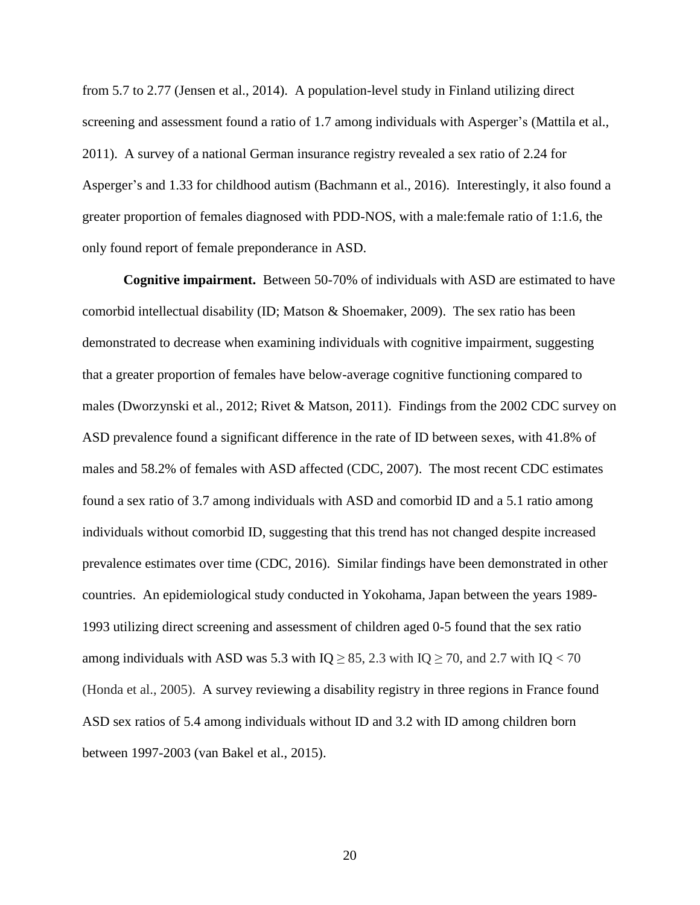from 5.7 to 2.77 (Jensen et al., 2014). A population-level study in Finland utilizing direct screening and assessment found a ratio of 1.7 among individuals with Asperger's (Mattila et al., 2011). A survey of a national German insurance registry revealed a sex ratio of 2.24 for Asperger's and 1.33 for childhood autism (Bachmann et al., 2016). Interestingly, it also found a greater proportion of females diagnosed with PDD-NOS, with a male:female ratio of 1:1.6, the only found report of female preponderance in ASD.

**Cognitive impairment.** Between 50-70% of individuals with ASD are estimated to have comorbid intellectual disability (ID; Matson & Shoemaker, 2009). The sex ratio has been demonstrated to decrease when examining individuals with cognitive impairment, suggesting that a greater proportion of females have below-average cognitive functioning compared to males (Dworzynski et al., 2012; Rivet & Matson, 2011). Findings from the 2002 CDC survey on ASD prevalence found a significant difference in the rate of ID between sexes, with 41.8% of males and 58.2% of females with ASD affected (CDC, 2007). The most recent CDC estimates found a sex ratio of 3.7 among individuals with ASD and comorbid ID and a 5.1 ratio among individuals without comorbid ID, suggesting that this trend has not changed despite increased prevalence estimates over time (CDC, 2016). Similar findings have been demonstrated in other countries. An epidemiological study conducted in Yokohama, Japan between the years 1989- 1993 utilizing direct screening and assessment of children aged 0-5 found that the sex ratio among individuals with ASD was 5.3 with  $IQ \geq 85$ , 2.3 with  $IQ \geq 70$ , and 2.7 with  $IQ < 70$ (Honda et al., 2005). A survey reviewing a disability registry in three regions in France found ASD sex ratios of 5.4 among individuals without ID and 3.2 with ID among children born between 1997-2003 (van Bakel et al., 2015).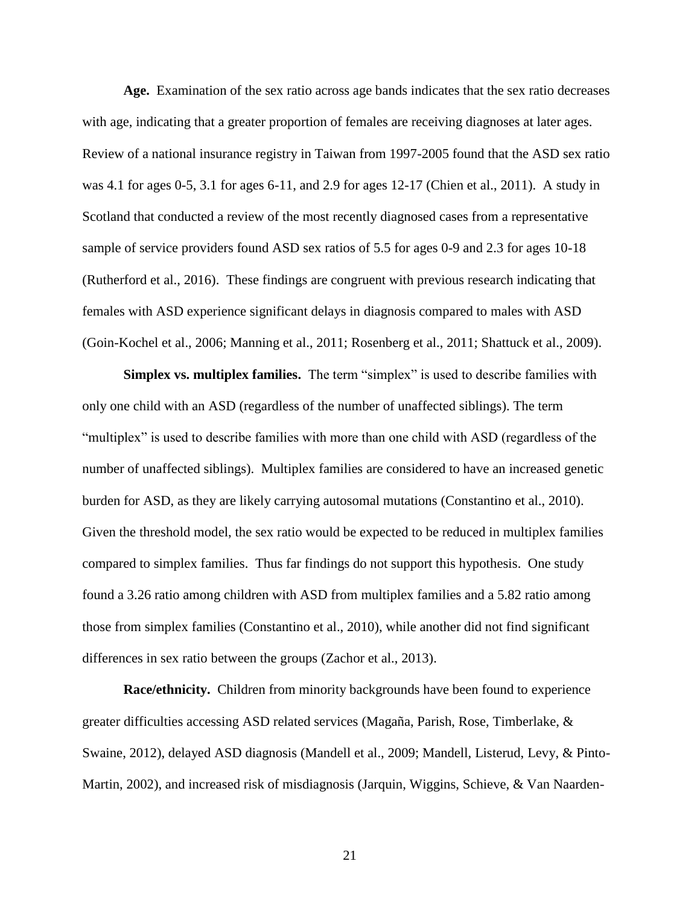**Age.** Examination of the sex ratio across age bands indicates that the sex ratio decreases with age, indicating that a greater proportion of females are receiving diagnoses at later ages. Review of a national insurance registry in Taiwan from 1997-2005 found that the ASD sex ratio was 4.1 for ages 0-5, 3.1 for ages 6-11, and 2.9 for ages 12-17 (Chien et al., 2011). A study in Scotland that conducted a review of the most recently diagnosed cases from a representative sample of service providers found ASD sex ratios of 5.5 for ages 0-9 and 2.3 for ages 10-18 (Rutherford et al., 2016). These findings are congruent with previous research indicating that females with ASD experience significant delays in diagnosis compared to males with ASD (Goin-Kochel et al., 2006; Manning et al., 2011; Rosenberg et al., 2011; Shattuck et al., 2009).

**Simplex vs. multiplex families.** The term "simplex" is used to describe families with only one child with an ASD (regardless of the number of unaffected siblings). The term "multiplex" is used to describe families with more than one child with ASD (regardless of the number of unaffected siblings). Multiplex families are considered to have an increased genetic burden for ASD, as they are likely carrying autosomal mutations (Constantino et al., 2010). Given the threshold model, the sex ratio would be expected to be reduced in multiplex families compared to simplex families. Thus far findings do not support this hypothesis. One study found a 3.26 ratio among children with ASD from multiplex families and a 5.82 ratio among those from simplex families (Constantino et al., 2010), while another did not find significant differences in sex ratio between the groups (Zachor et al., 2013).

**Race/ethnicity.** Children from minority backgrounds have been found to experience greater difficulties accessing ASD related services (Magaña, Parish, Rose, Timberlake, & Swaine, 2012), delayed ASD diagnosis (Mandell et al., 2009; Mandell, Listerud, Levy, & Pinto-Martin, 2002), and increased risk of misdiagnosis (Jarquin, Wiggins, Schieve, & Van Naarden-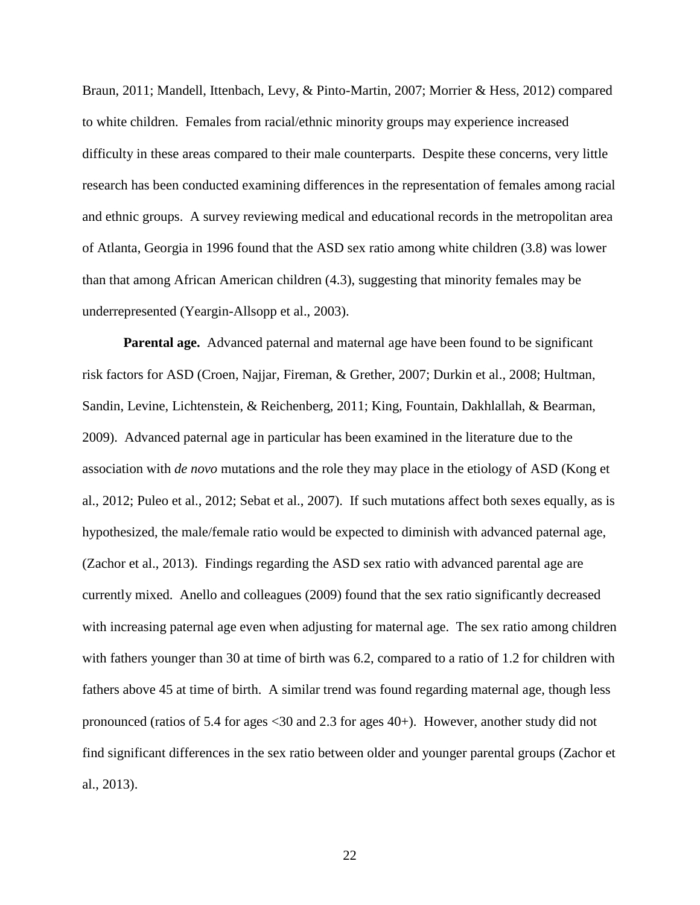Braun, 2011; Mandell, Ittenbach, Levy, & Pinto-Martin, 2007; Morrier & Hess, 2012) compared to white children. Females from racial/ethnic minority groups may experience increased difficulty in these areas compared to their male counterparts. Despite these concerns, very little research has been conducted examining differences in the representation of females among racial and ethnic groups. A survey reviewing medical and educational records in the metropolitan area of Atlanta, Georgia in 1996 found that the ASD sex ratio among white children (3.8) was lower than that among African American children (4.3), suggesting that minority females may be underrepresented (Yeargin-Allsopp et al., 2003).

**Parental age.** Advanced paternal and maternal age have been found to be significant risk factors for ASD (Croen, Najjar, Fireman, & Grether, 2007; Durkin et al., 2008; Hultman, Sandin, Levine, Lichtenstein, & Reichenberg, 2011; King, Fountain, Dakhlallah, & Bearman, 2009). Advanced paternal age in particular has been examined in the literature due to the association with *de novo* mutations and the role they may place in the etiology of ASD (Kong et al., 2012; Puleo et al., 2012; Sebat et al., 2007). If such mutations affect both sexes equally, as is hypothesized, the male/female ratio would be expected to diminish with advanced paternal age, (Zachor et al., 2013). Findings regarding the ASD sex ratio with advanced parental age are currently mixed. Anello and colleagues (2009) found that the sex ratio significantly decreased with increasing paternal age even when adjusting for maternal age. The sex ratio among children with fathers younger than 30 at time of birth was 6.2, compared to a ratio of 1.2 for children with fathers above 45 at time of birth. A similar trend was found regarding maternal age, though less pronounced (ratios of 5.4 for ages <30 and 2.3 for ages 40+). However, another study did not find significant differences in the sex ratio between older and younger parental groups (Zachor et al., 2013).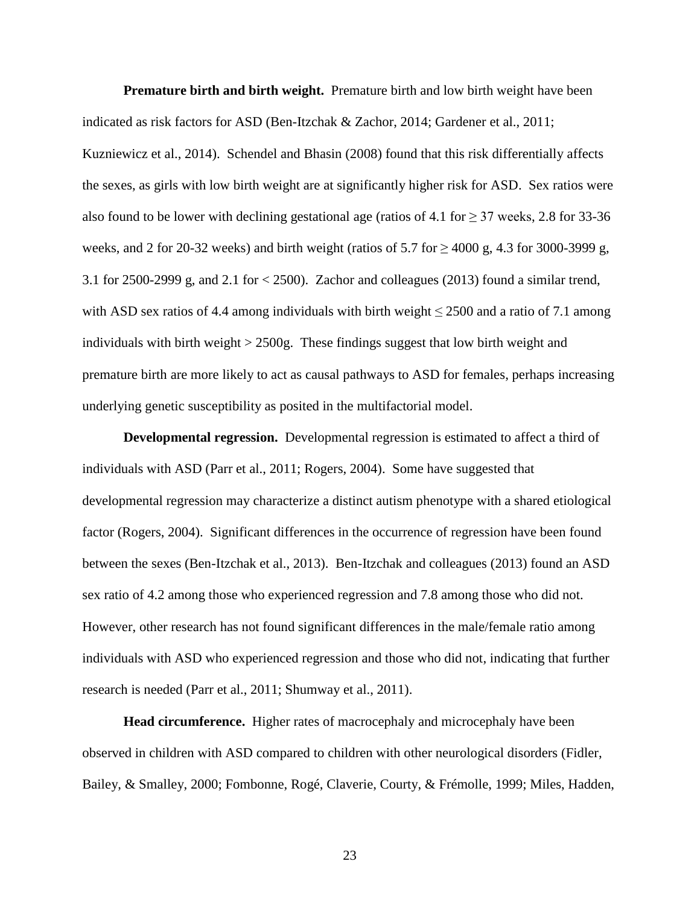**Premature birth and birth weight.** Premature birth and low birth weight have been indicated as risk factors for ASD (Ben-Itzchak & Zachor, 2014; Gardener et al., 2011; Kuzniewicz et al., 2014). Schendel and Bhasin (2008) found that this risk differentially affects the sexes, as girls with low birth weight are at significantly higher risk for ASD. Sex ratios were also found to be lower with declining gestational age (ratios of 4.1 for  $\geq$  37 weeks, 2.8 for 33-36 weeks, and 2 for 20-32 weeks) and birth weight (ratios of 5.7 for  $\geq$  4000 g, 4.3 for 3000-3999 g, 3.1 for 2500-2999 g, and 2.1 for < 2500). Zachor and colleagues (2013) found a similar trend, with ASD sex ratios of 4.4 among individuals with birth weight  $\leq$  2500 and a ratio of 7.1 among individuals with birth weight > 2500g. These findings suggest that low birth weight and premature birth are more likely to act as causal pathways to ASD for females, perhaps increasing underlying genetic susceptibility as posited in the multifactorial model.

**Developmental regression.** Developmental regression is estimated to affect a third of individuals with ASD (Parr et al., 2011; Rogers, 2004). Some have suggested that developmental regression may characterize a distinct autism phenotype with a shared etiological factor (Rogers, 2004). Significant differences in the occurrence of regression have been found between the sexes (Ben-Itzchak et al., 2013). Ben-Itzchak and colleagues (2013) found an ASD sex ratio of 4.2 among those who experienced regression and 7.8 among those who did not. However, other research has not found significant differences in the male/female ratio among individuals with ASD who experienced regression and those who did not, indicating that further research is needed (Parr et al., 2011; Shumway et al., 2011).

**Head circumference.** Higher rates of macrocephaly and microcephaly have been observed in children with ASD compared to children with other neurological disorders (Fidler, Bailey, & Smalley, 2000; Fombonne, Rogé, Claverie, Courty, & Frémolle, 1999; Miles, Hadden,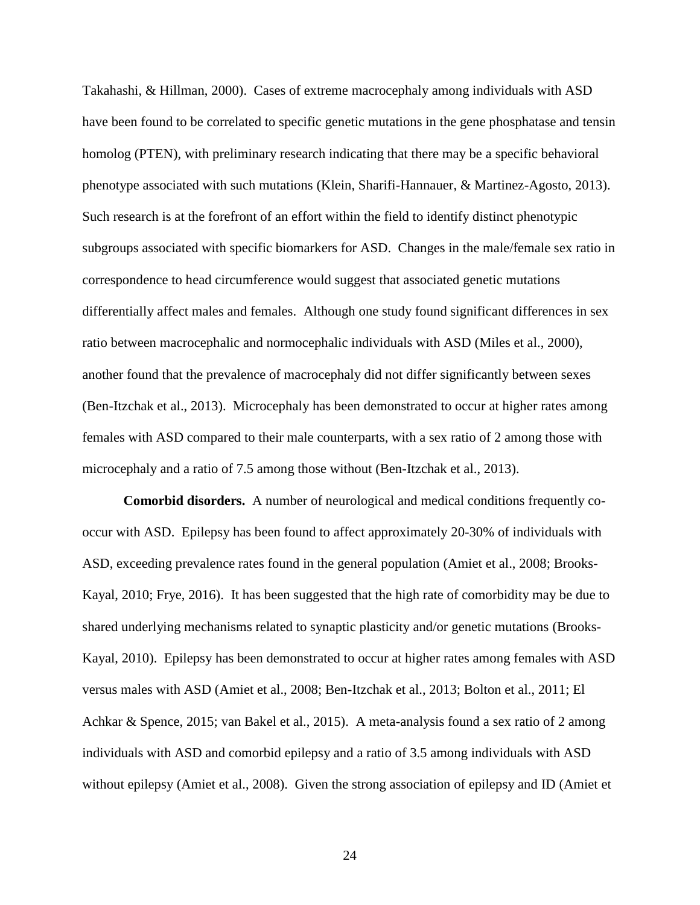Takahashi, & Hillman, 2000). Cases of extreme macrocephaly among individuals with ASD have been found to be correlated to specific genetic mutations in the gene phosphatase and tensin homolog (PTEN), with preliminary research indicating that there may be a specific behavioral phenotype associated with such mutations (Klein, Sharifi-Hannauer, & Martinez-Agosto, 2013). Such research is at the forefront of an effort within the field to identify distinct phenotypic subgroups associated with specific biomarkers for ASD. Changes in the male/female sex ratio in correspondence to head circumference would suggest that associated genetic mutations differentially affect males and females. Although one study found significant differences in sex ratio between macrocephalic and normocephalic individuals with ASD (Miles et al., 2000), another found that the prevalence of macrocephaly did not differ significantly between sexes (Ben-Itzchak et al., 2013). Microcephaly has been demonstrated to occur at higher rates among females with ASD compared to their male counterparts, with a sex ratio of 2 among those with microcephaly and a ratio of 7.5 among those without (Ben-Itzchak et al., 2013).

**Comorbid disorders.** A number of neurological and medical conditions frequently cooccur with ASD. Epilepsy has been found to affect approximately 20-30% of individuals with ASD, exceeding prevalence rates found in the general population (Amiet et al., 2008; Brooks-Kayal, 2010; Frye, 2016). It has been suggested that the high rate of comorbidity may be due to shared underlying mechanisms related to synaptic plasticity and/or genetic mutations (Brooks-Kayal, 2010). Epilepsy has been demonstrated to occur at higher rates among females with ASD versus males with ASD (Amiet et al., 2008; Ben-Itzchak et al., 2013; Bolton et al., 2011; El Achkar & Spence, 2015; van Bakel et al., 2015). A meta-analysis found a sex ratio of 2 among individuals with ASD and comorbid epilepsy and a ratio of 3.5 among individuals with ASD without epilepsy (Amiet et al., 2008). Given the strong association of epilepsy and ID (Amiet et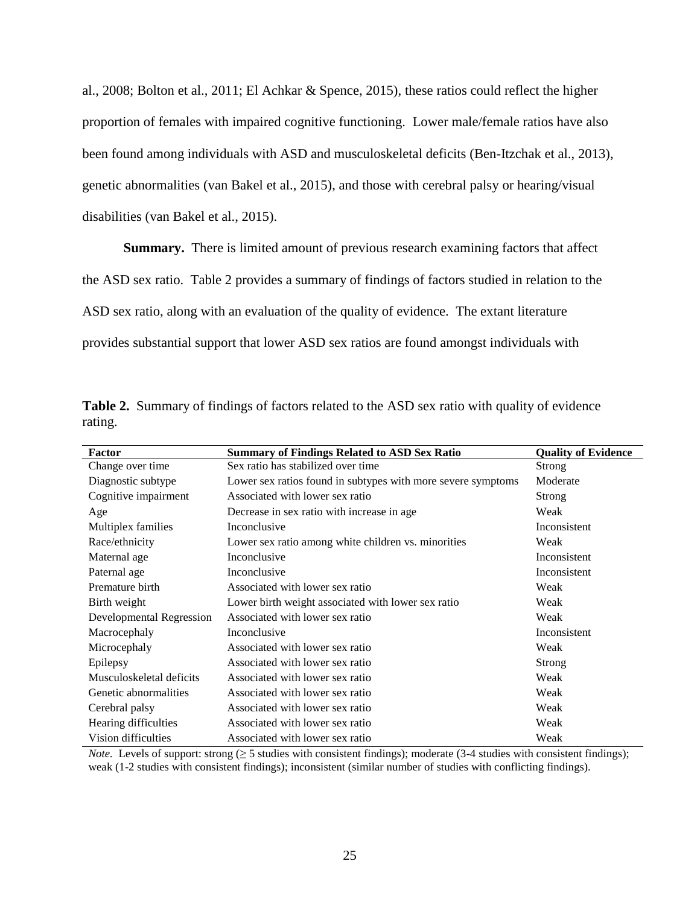al., 2008; Bolton et al., 2011; El Achkar & Spence, 2015), these ratios could reflect the higher proportion of females with impaired cognitive functioning. Lower male/female ratios have also been found among individuals with ASD and musculoskeletal deficits (Ben-Itzchak et al., 2013), genetic abnormalities (van Bakel et al., 2015), and those with cerebral palsy or hearing/visual disabilities (van Bakel et al., 2015).

**Summary.** There is limited amount of previous research examining factors that affect the ASD sex ratio. Table 2 provides a summary of findings of factors studied in relation to the ASD sex ratio, along with an evaluation of the quality of evidence. The extant literature provides substantial support that lower ASD sex ratios are found amongst individuals with

|         | Table 2. Summary of findings of factors related to the ASD sex ratio with quality of evidence |  |  |  |  |
|---------|-----------------------------------------------------------------------------------------------|--|--|--|--|
| rating. |                                                                                               |  |  |  |  |

| Factor                   | <b>Summary of Findings Related to ASD Sex Ratio</b>          | <b>Quality of Evidence</b> |
|--------------------------|--------------------------------------------------------------|----------------------------|
| Change over time         | Sex ratio has stabilized over time                           | Strong                     |
| Diagnostic subtype       | Lower sex ratios found in subtypes with more severe symptoms | Moderate                   |
| Cognitive impairment     | Associated with lower sex ratio                              | <b>Strong</b>              |
| Age                      | Decrease in sex ratio with increase in age                   | Weak                       |
| Multiplex families       | Inconclusive                                                 | Inconsistent               |
| Race/ethnicity           | Lower sex ratio among white children vs. minorities          | Weak                       |
| Maternal age             | Inconclusive                                                 | Inconsistent               |
| Paternal age             | Inconclusive                                                 | Inconsistent               |
| Premature birth          | Associated with lower sex ratio                              | Weak                       |
| Birth weight             | Lower birth weight associated with lower sex ratio           | Weak                       |
| Developmental Regression | Associated with lower sex ratio                              | Weak                       |
| Macrocephaly             | Inconclusive                                                 | Inconsistent               |
| Microcephaly             | Associated with lower sex ratio                              | Weak                       |
| Epilepsy                 | Associated with lower sex ratio                              | Strong                     |
| Musculoskeletal deficits | Associated with lower sex ratio                              | Weak                       |
| Genetic abnormalities    | Associated with lower sex ratio                              | Weak                       |
| Cerebral palsy           | Associated with lower sex ratio                              | Weak                       |
| Hearing difficulties     | Associated with lower sex ratio                              | Weak                       |
| Vision difficulties      | Associated with lower sex ratio                              | Weak                       |

*Note.* Levels of support: strong  $(≥ 5$  studies with consistent findings); moderate  $(3-4$  studies with consistent findings); weak (1-2 studies with consistent findings); inconsistent (similar number of studies with conflicting findings).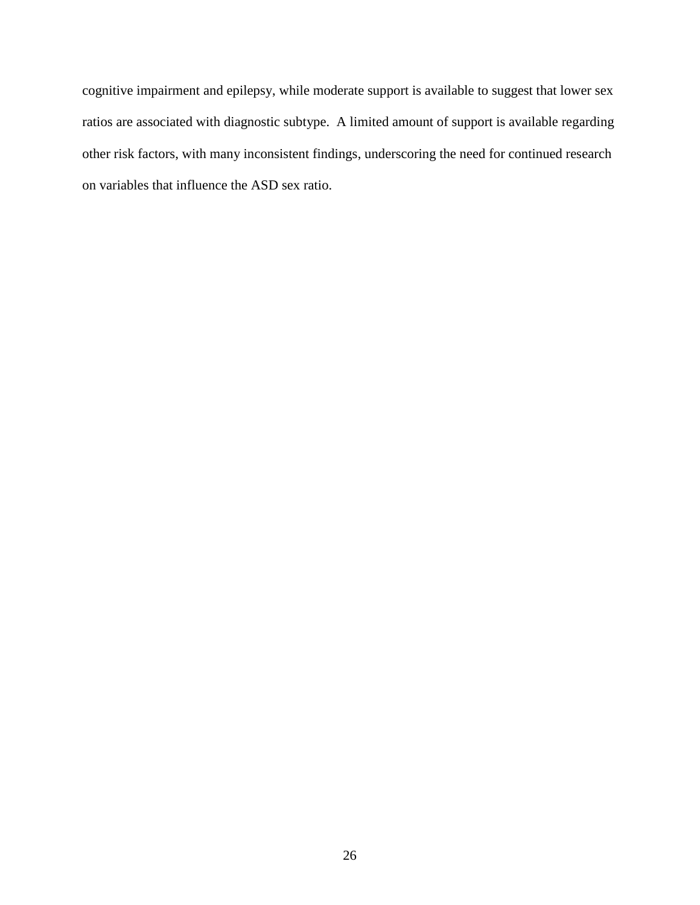cognitive impairment and epilepsy, while moderate support is available to suggest that lower sex ratios are associated with diagnostic subtype. A limited amount of support is available regarding other risk factors, with many inconsistent findings, underscoring the need for continued research on variables that influence the ASD sex ratio.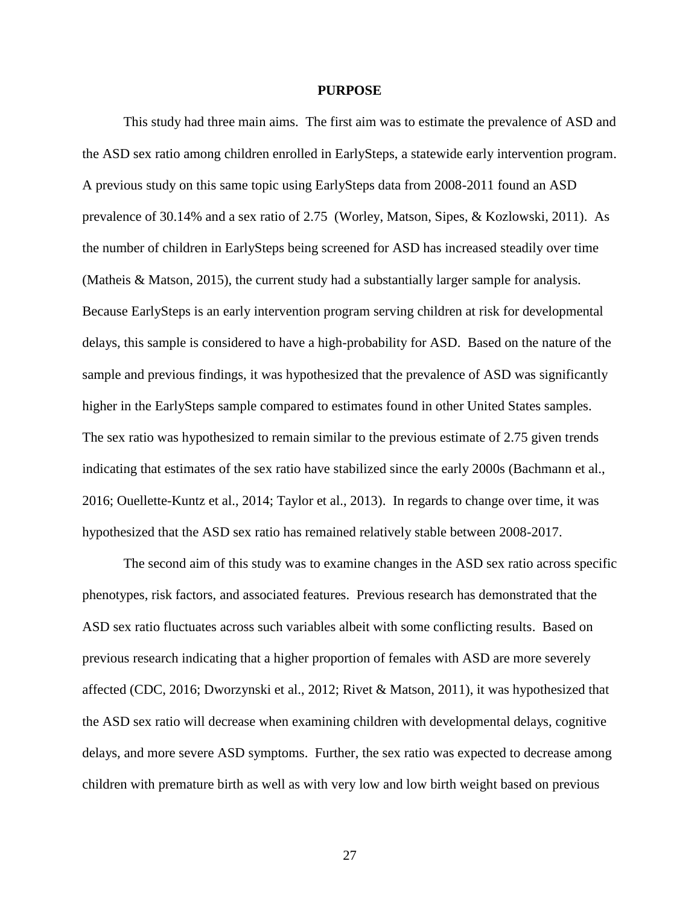#### **PURPOSE**

This study had three main aims. The first aim was to estimate the prevalence of ASD and the ASD sex ratio among children enrolled in EarlySteps, a statewide early intervention program. A previous study on this same topic using EarlySteps data from 2008-2011 found an ASD prevalence of 30.14% and a sex ratio of 2.75 (Worley, Matson, Sipes, & Kozlowski, 2011). As the number of children in EarlySteps being screened for ASD has increased steadily over time (Matheis & Matson, 2015), the current study had a substantially larger sample for analysis. Because EarlySteps is an early intervention program serving children at risk for developmental delays, this sample is considered to have a high-probability for ASD. Based on the nature of the sample and previous findings, it was hypothesized that the prevalence of ASD was significantly higher in the EarlySteps sample compared to estimates found in other United States samples. The sex ratio was hypothesized to remain similar to the previous estimate of 2.75 given trends indicating that estimates of the sex ratio have stabilized since the early 2000s (Bachmann et al., 2016; Ouellette-Kuntz et al., 2014; Taylor et al., 2013). In regards to change over time, it was hypothesized that the ASD sex ratio has remained relatively stable between 2008-2017.

The second aim of this study was to examine changes in the ASD sex ratio across specific phenotypes, risk factors, and associated features. Previous research has demonstrated that the ASD sex ratio fluctuates across such variables albeit with some conflicting results. Based on previous research indicating that a higher proportion of females with ASD are more severely affected (CDC, 2016; Dworzynski et al., 2012; Rivet & Matson, 2011), it was hypothesized that the ASD sex ratio will decrease when examining children with developmental delays, cognitive delays, and more severe ASD symptoms. Further, the sex ratio was expected to decrease among children with premature birth as well as with very low and low birth weight based on previous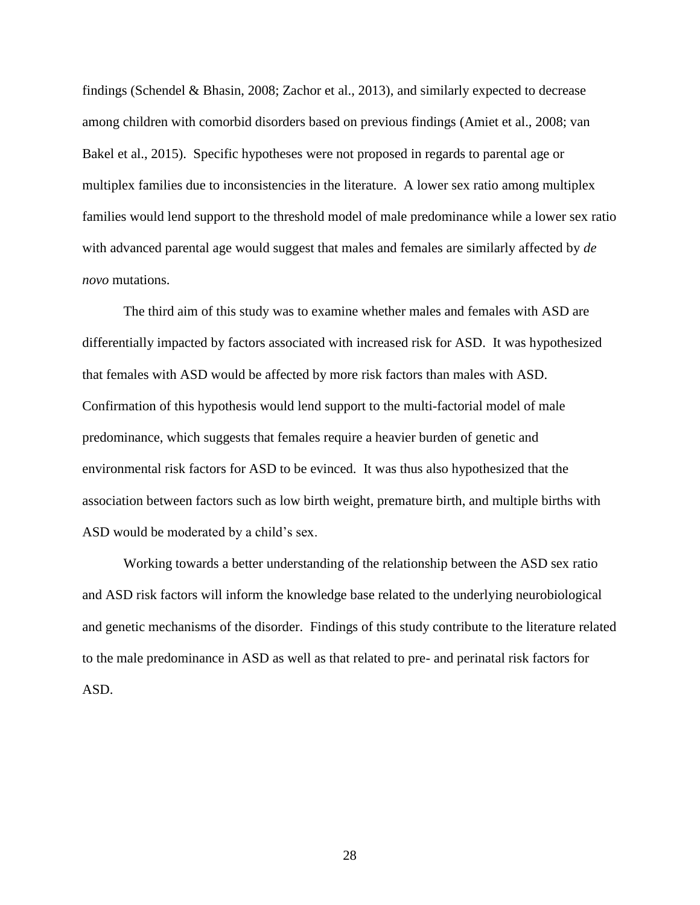findings (Schendel & Bhasin, 2008; Zachor et al., 2013), and similarly expected to decrease among children with comorbid disorders based on previous findings (Amiet et al., 2008; van Bakel et al., 2015). Specific hypotheses were not proposed in regards to parental age or multiplex families due to inconsistencies in the literature. A lower sex ratio among multiplex families would lend support to the threshold model of male predominance while a lower sex ratio with advanced parental age would suggest that males and females are similarly affected by *de novo* mutations.

The third aim of this study was to examine whether males and females with ASD are differentially impacted by factors associated with increased risk for ASD. It was hypothesized that females with ASD would be affected by more risk factors than males with ASD. Confirmation of this hypothesis would lend support to the multi-factorial model of male predominance, which suggests that females require a heavier burden of genetic and environmental risk factors for ASD to be evinced. It was thus also hypothesized that the association between factors such as low birth weight, premature birth, and multiple births with ASD would be moderated by a child's sex.

Working towards a better understanding of the relationship between the ASD sex ratio and ASD risk factors will inform the knowledge base related to the underlying neurobiological and genetic mechanisms of the disorder. Findings of this study contribute to the literature related to the male predominance in ASD as well as that related to pre- and perinatal risk factors for ASD.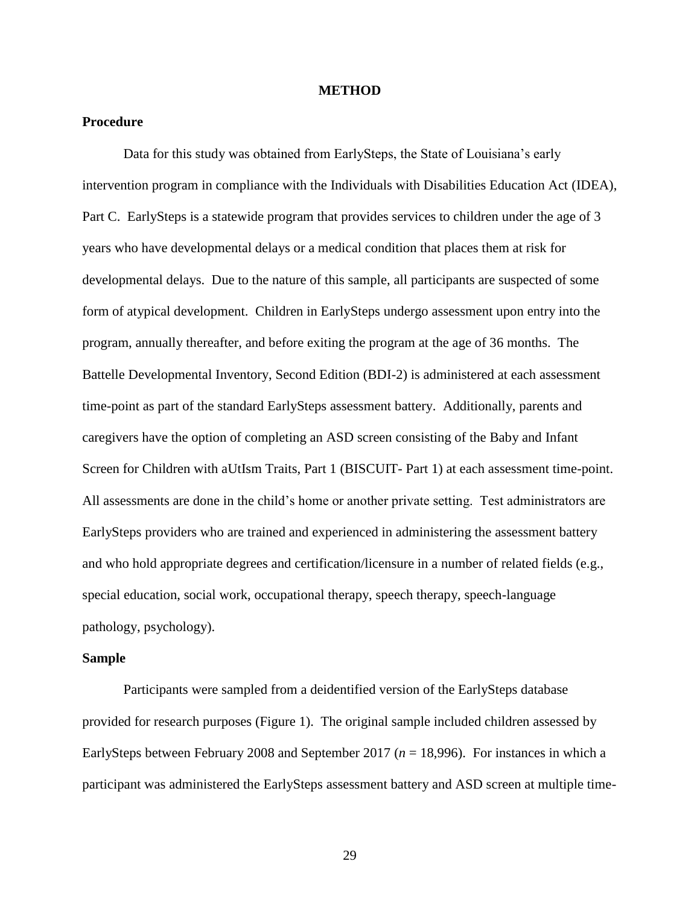#### **METHOD**

## **Procedure**

Data for this study was obtained from EarlySteps, the State of Louisiana's early intervention program in compliance with the Individuals with Disabilities Education Act (IDEA), Part C. EarlySteps is a statewide program that provides services to children under the age of 3 years who have developmental delays or a medical condition that places them at risk for developmental delays. Due to the nature of this sample, all participants are suspected of some form of atypical development. Children in EarlySteps undergo assessment upon entry into the program, annually thereafter, and before exiting the program at the age of 36 months. The Battelle Developmental Inventory, Second Edition (BDI-2) is administered at each assessment time-point as part of the standard EarlySteps assessment battery. Additionally, parents and caregivers have the option of completing an ASD screen consisting of the Baby and Infant Screen for Children with aUtIsm Traits, Part 1 (BISCUIT- Part 1) at each assessment time-point. All assessments are done in the child's home or another private setting. Test administrators are EarlySteps providers who are trained and experienced in administering the assessment battery and who hold appropriate degrees and certification/licensure in a number of related fields (e.g., special education, social work, occupational therapy, speech therapy, speech-language pathology, psychology).

#### **Sample**

Participants were sampled from a deidentified version of the EarlySteps database provided for research purposes (Figure 1). The original sample included children assessed by EarlySteps between February 2008 and September 2017 ( $n = 18,996$ ). For instances in which a participant was administered the EarlySteps assessment battery and ASD screen at multiple time-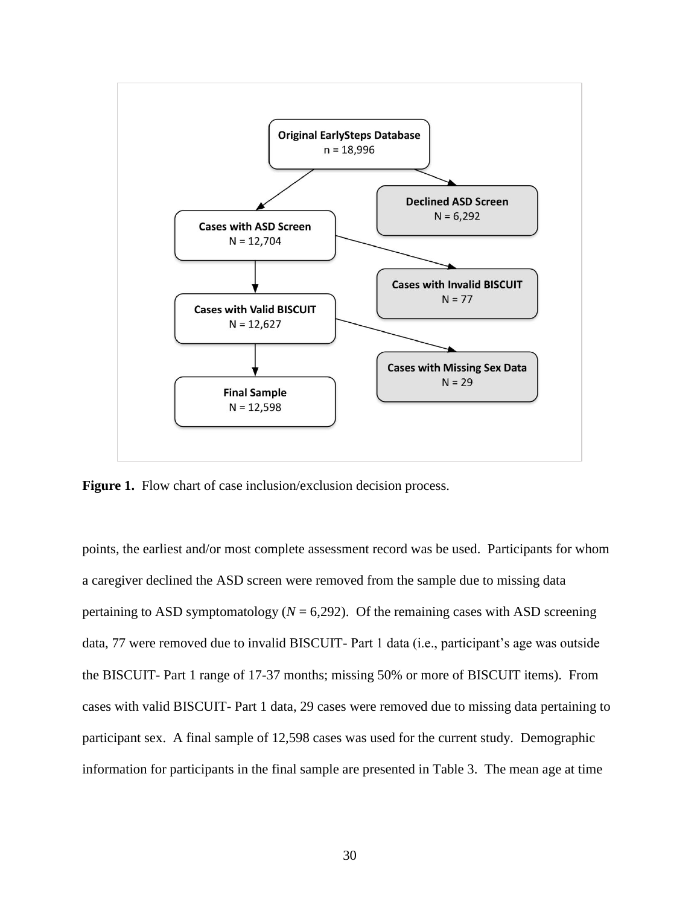

Figure 1. Flow chart of case inclusion/exclusion decision process.

points, the earliest and/or most complete assessment record was be used. Participants for whom a caregiver declined the ASD screen were removed from the sample due to missing data pertaining to ASD symptomatology ( $N = 6,292$ ). Of the remaining cases with ASD screening data, 77 were removed due to invalid BISCUIT- Part 1 data (i.e., participant's age was outside the BISCUIT- Part 1 range of 17-37 months; missing 50% or more of BISCUIT items). From cases with valid BISCUIT- Part 1 data, 29 cases were removed due to missing data pertaining to participant sex. A final sample of 12,598 cases was used for the current study. Demographic information for participants in the final sample are presented in Table 3. The mean age at time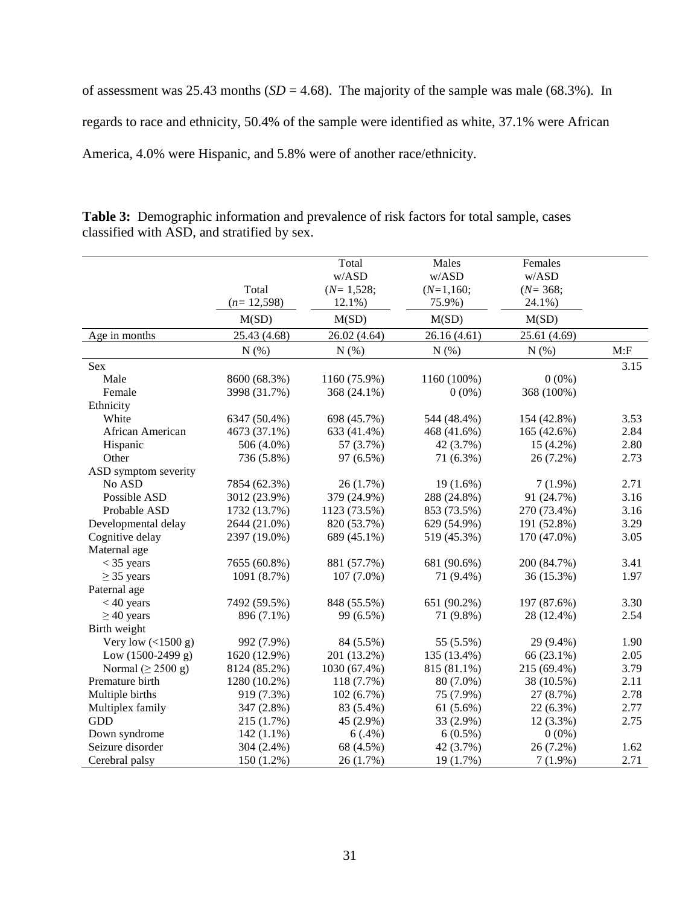of assessment was 25.43 months  $(SD = 4.68)$ . The majority of the sample was male (68.3%). In regards to race and ethnicity, 50.4% of the sample were identified as white, 37.1% were African America, 4.0% were Hispanic, and 5.8% were of another race/ethnicity.

|                         |              | Total        | Males       | Females      |      |
|-------------------------|--------------|--------------|-------------|--------------|------|
|                         |              | w/ASD        | w/ASD       | w/ASD        |      |
|                         | Total        | $(N=1,528;$  | $(N=1,160;$ | $(N=368;$    |      |
|                         | $(n=12,598)$ | $12.1\%$ )   | 75.9%)      | 24.1%)       |      |
|                         | M(SD)        | M(SD)        | M(SD)       | M(SD)        |      |
| Age in months           | 25.43 (4.68) | 26.02 (4.64) | 26.16(4.61) | 25.61 (4.69) |      |
|                         | N(%)         | $N(\%)$      | $N(\%)$     | N(%)         | M: F |
| Sex                     |              |              |             |              | 3.15 |
| Male                    | 8600 (68.3%) | 1160 (75.9%) | 1160 (100%) | $0(0\%)$     |      |
| Female                  | 3998 (31.7%) | 368 (24.1%)  | $0(0\%)$    | 368 (100%)   |      |
| Ethnicity               |              |              |             |              |      |
| White                   | 6347 (50.4%) | 698 (45.7%)  | 544 (48.4%) | 154 (42.8%)  | 3.53 |
| African American        | 4673 (37.1%) | 633 (41.4%)  | 468 (41.6%) | 165 (42.6%)  | 2.84 |
| Hispanic                | 506 (4.0%)   | 57 (3.7%)    | 42 (3.7%)   | $15(4.2\%)$  | 2.80 |
| Other                   | 736 (5.8%)   | 97 (6.5%)    | 71 (6.3%)   | 26 (7.2%)    | 2.73 |
| ASD symptom severity    |              |              |             |              |      |
| No ASD                  | 7854 (62.3%) | 26(1.7%)     | $19(1.6\%)$ | $7(1.9\%)$   | 2.71 |
| Possible ASD            | 3012 (23.9%) | 379 (24.9%)  | 288 (24.8%) | 91 (24.7%)   | 3.16 |
| Probable ASD            | 1732 (13.7%) | 1123 (73.5%) | 853 (73.5%) | 270 (73.4%)  | 3.16 |
| Developmental delay     | 2644 (21.0%) | 820 (53.7%)  | 629 (54.9%) | 191 (52.8%)  | 3.29 |
| Cognitive delay         | 2397 (19.0%) | 689 (45.1%)  | 519 (45.3%) | 170 (47.0%)  | 3.05 |
| Maternal age            |              |              |             |              |      |
| $<$ 35 years            | 7655 (60.8%) | 881 (57.7%)  | 681 (90.6%) | 200 (84.7%)  | 3.41 |
| $\geq$ 35 years         | 1091 (8.7%)  | $107(7.0\%)$ | 71 (9.4%)   | 36 (15.3%)   | 1.97 |
| Paternal age            |              |              |             |              |      |
| $< 40$ years            | 7492 (59.5%) | 848 (55.5%)  | 651 (90.2%) | 197 (87.6%)  | 3.30 |
| $\geq$ 40 years         | 896 (7.1%)   | 99 (6.5%)    | 71 (9.8%)   | 28 (12.4%)   | 2.54 |
| Birth weight            |              |              |             |              |      |
| Very low $(<1500 g)$    | 992 (7.9%)   | 84 (5.5%)    | 55 (5.5%)   | 29 (9.4%)    | 1.90 |
| Low $(1500-2499 g)$     | 1620 (12.9%) | 201 (13.2%)  | 135 (13.4%) | 66 (23.1%)   | 2.05 |
| Normal ( $\geq$ 2500 g) | 8124 (85.2%) | 1030 (67.4%) | 815 (81.1%) | 215 (69.4%)  | 3.79 |
| Premature birth         | 1280 (10.2%) | 118 (7.7%)   | 80 (7.0%)   | 38 (10.5%)   | 2.11 |
| Multiple births         | 919 (7.3%)   | 102(6.7%)    | 75 (7.9%)   | 27 (8.7%)    | 2.78 |
| Multiplex family        | 347 (2.8%)   | 83 (5.4%)    | $61(5.6\%)$ | 22 (6.3%)    | 2.77 |
| <b>GDD</b>              | 215 (1.7%)   | 45 (2.9%)    | 33 (2.9%)   | $12(3.3\%)$  | 2.75 |
| Down syndrome           | $142(1.1\%)$ | 6(.4%)       | $6(0.5\%)$  | $0(0\%)$     |      |
| Seizure disorder        | 304 (2.4%)   | 68 (4.5%)    | 42 (3.7%)   | 26 (7.2%)    | 1.62 |
| Cerebral palsy          | 150 (1.2%)   | 26(1.7%)     | 19 (1.7%)   | $7(1.9\%)$   | 2.71 |

**Table 3:** Demographic information and prevalence of risk factors for total sample, cases classified with ASD, and stratified by sex.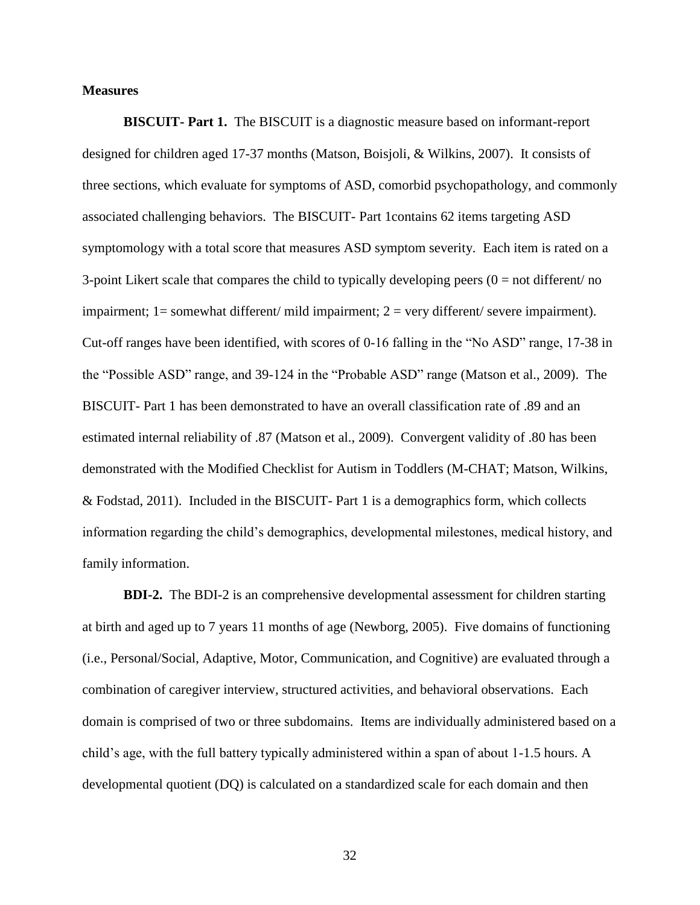### **Measures**

**BISCUIT- Part 1.** The BISCUIT is a diagnostic measure based on informant-report designed for children aged 17-37 months (Matson, Boisjoli, & Wilkins, 2007). It consists of three sections, which evaluate for symptoms of ASD, comorbid psychopathology, and commonly associated challenging behaviors. The BISCUIT- Part 1contains 62 items targeting ASD symptomology with a total score that measures ASD symptom severity. Each item is rated on a 3-point Likert scale that compares the child to typically developing peers  $(0 = not$  different/no impairment;  $1=$  somewhat different/ mild impairment;  $2=$  very different/ severe impairment). Cut-off ranges have been identified, with scores of 0-16 falling in the "No ASD" range, 17-38 in the "Possible ASD" range, and 39-124 in the "Probable ASD" range (Matson et al., 2009). The BISCUIT- Part 1 has been demonstrated to have an overall classification rate of .89 and an estimated internal reliability of .87 (Matson et al., 2009). Convergent validity of .80 has been demonstrated with the Modified Checklist for Autism in Toddlers (M-CHAT; Matson, Wilkins, & Fodstad, 2011). Included in the BISCUIT- Part 1 is a demographics form, which collects information regarding the child's demographics, developmental milestones, medical history, and family information.

**BDI-2.** The BDI-2 is an comprehensive developmental assessment for children starting at birth and aged up to 7 years 11 months of age (Newborg, 2005). Five domains of functioning (i.e., Personal/Social, Adaptive, Motor, Communication, and Cognitive) are evaluated through a combination of caregiver interview, structured activities, and behavioral observations. Each domain is comprised of two or three subdomains. Items are individually administered based on a child's age, with the full battery typically administered within a span of about 1-1.5 hours. A developmental quotient (DQ) is calculated on a standardized scale for each domain and then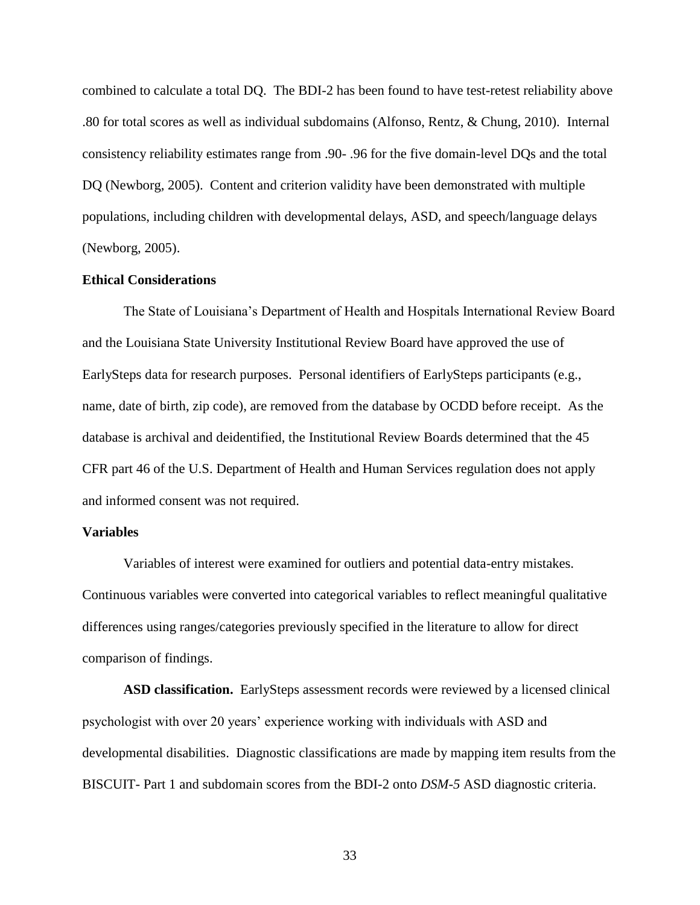combined to calculate a total DQ. The BDI-2 has been found to have test-retest reliability above .80 for total scores as well as individual subdomains (Alfonso, Rentz, & Chung, 2010). Internal consistency reliability estimates range from .90- .96 for the five domain-level DQs and the total DQ (Newborg, 2005). Content and criterion validity have been demonstrated with multiple populations, including children with developmental delays, ASD, and speech/language delays (Newborg, 2005).

### **Ethical Considerations**

The State of Louisiana's Department of Health and Hospitals International Review Board and the Louisiana State University Institutional Review Board have approved the use of EarlySteps data for research purposes. Personal identifiers of EarlySteps participants (e.g., name, date of birth, zip code), are removed from the database by OCDD before receipt. As the database is archival and deidentified, the Institutional Review Boards determined that the 45 CFR part 46 of the U.S. Department of Health and Human Services regulation does not apply and informed consent was not required.

# **Variables**

Variables of interest were examined for outliers and potential data-entry mistakes. Continuous variables were converted into categorical variables to reflect meaningful qualitative differences using ranges/categories previously specified in the literature to allow for direct comparison of findings.

**ASD classification.** EarlySteps assessment records were reviewed by a licensed clinical psychologist with over 20 years' experience working with individuals with ASD and developmental disabilities. Diagnostic classifications are made by mapping item results from the BISCUIT- Part 1 and subdomain scores from the BDI-2 onto *DSM-5* ASD diagnostic criteria.

33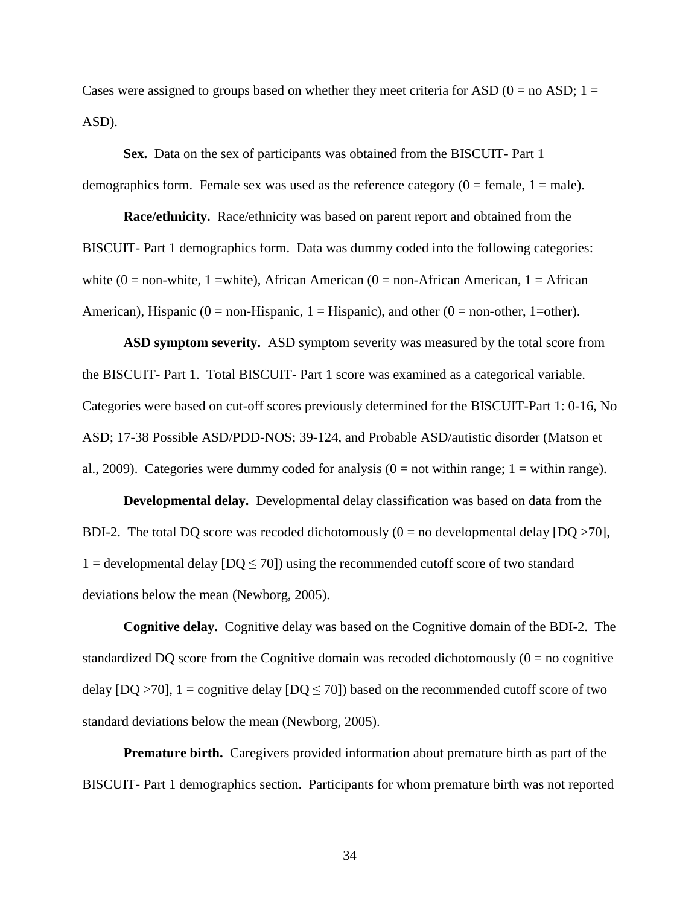Cases were assigned to groups based on whether they meet criteria for ASD  $(0 = no$  ASD;  $1 =$ ASD).

**Sex.** Data on the sex of participants was obtained from the BISCUIT- Part 1 demographics form. Female sex was used as the reference category  $(0 = \text{female}, 1 = \text{male})$ .

**Race/ethnicity.** Race/ethnicity was based on parent report and obtained from the BISCUIT- Part 1 demographics form. Data was dummy coded into the following categories: white  $(0 = non-white, 1 = white)$ , African American  $(0 = non-African American, 1 = African)$ American), Hispanic ( $0 =$  non-Hispanic,  $1 =$  Hispanic), and other ( $0 =$  non-other,  $1 =$ other).

**ASD symptom severity.** ASD symptom severity was measured by the total score from the BISCUIT- Part 1. Total BISCUIT- Part 1 score was examined as a categorical variable. Categories were based on cut-off scores previously determined for the BISCUIT-Part 1: 0-16, No ASD; 17-38 Possible ASD/PDD-NOS; 39-124, and Probable ASD/autistic disorder (Matson et al., 2009). Categories were dummy coded for analysis  $(0 = not$  within range;  $1 =$  within range).

**Developmental delay.** Developmental delay classification was based on data from the BDI-2. The total DQ score was recoded dichotomously  $(0 = no$  developmental delay  $[DQ > 70]$ , 1 = developmental delay  $[DQ \le 70]$ ) using the recommended cutoff score of two standard deviations below the mean (Newborg, 2005).

**Cognitive delay.** Cognitive delay was based on the Cognitive domain of the BDI-2. The standardized DQ score from the Cognitive domain was recoded dichotomously  $(0 = no$  cognitive delay  $[DQ > 70]$ ,  $1 =$  cognitive delay  $[DQ \le 70]$ ) based on the recommended cutoff score of two standard deviations below the mean (Newborg, 2005).

**Premature birth.** Caregivers provided information about premature birth as part of the BISCUIT- Part 1 demographics section. Participants for whom premature birth was not reported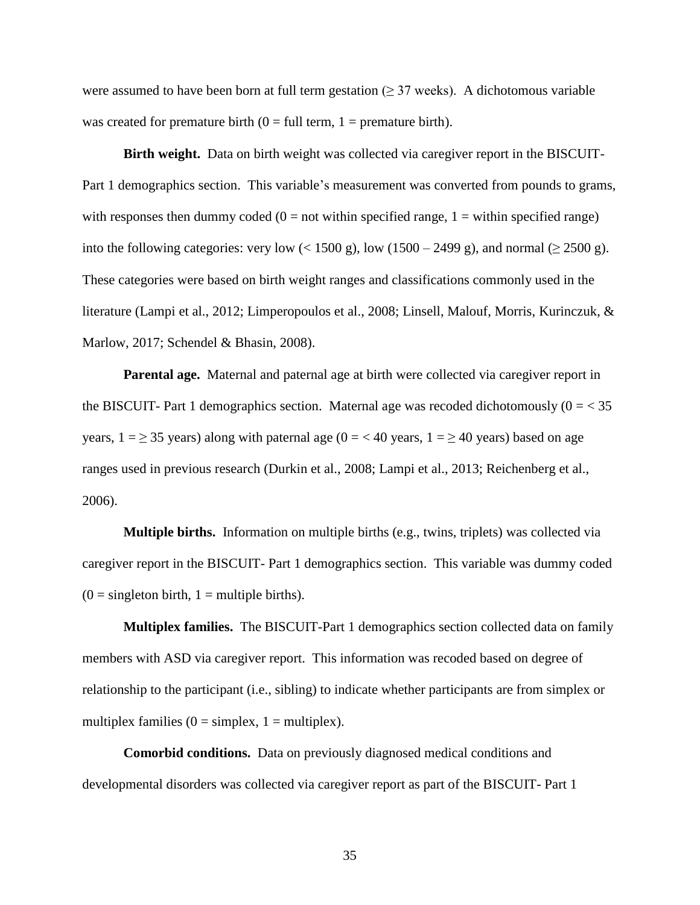were assumed to have been born at full term gestation ( $\geq$  37 weeks). A dichotomous variable was created for premature birth  $(0 = full term, 1 = premature birth)$ .

**Birth weight.** Data on birth weight was collected via caregiver report in the BISCUIT-Part 1 demographics section. This variable's measurement was converted from pounds to grams, with responses then dummy coded  $(0 = not$  within specified range,  $1 =$  within specified range) into the following categories: very low  $(< 1500 \text{ g})$ , low  $(1500 - 2499 \text{ g})$ , and normal  $(\geq 2500 \text{ g})$ . These categories were based on birth weight ranges and classifications commonly used in the literature (Lampi et al., 2012; Limperopoulos et al., 2008; Linsell, Malouf, Morris, Kurinczuk, & Marlow, 2017; Schendel & Bhasin, 2008).

**Parental age.** Maternal and paternal age at birth were collected via caregiver report in the BISCUIT- Part 1 demographics section. Maternal age was recoded dichotomously  $(0 = 35$ years,  $1 = \ge 35$  years) along with paternal age ( $0 = < 40$  years,  $1 = \ge 40$  years) based on age ranges used in previous research (Durkin et al., 2008; Lampi et al., 2013; Reichenberg et al., 2006).

**Multiple births.** Information on multiple births (e.g., twins, triplets) was collected via caregiver report in the BISCUIT- Part 1 demographics section. This variable was dummy coded  $(0 =$  singleton birth,  $1 =$  multiple births).

**Multiplex families.** The BISCUIT-Part 1 demographics section collected data on family members with ASD via caregiver report. This information was recoded based on degree of relationship to the participant (i.e., sibling) to indicate whether participants are from simplex or multiplex families ( $0 =$  simplex,  $1 =$  multiplex).

**Comorbid conditions.** Data on previously diagnosed medical conditions and developmental disorders was collected via caregiver report as part of the BISCUIT- Part 1

35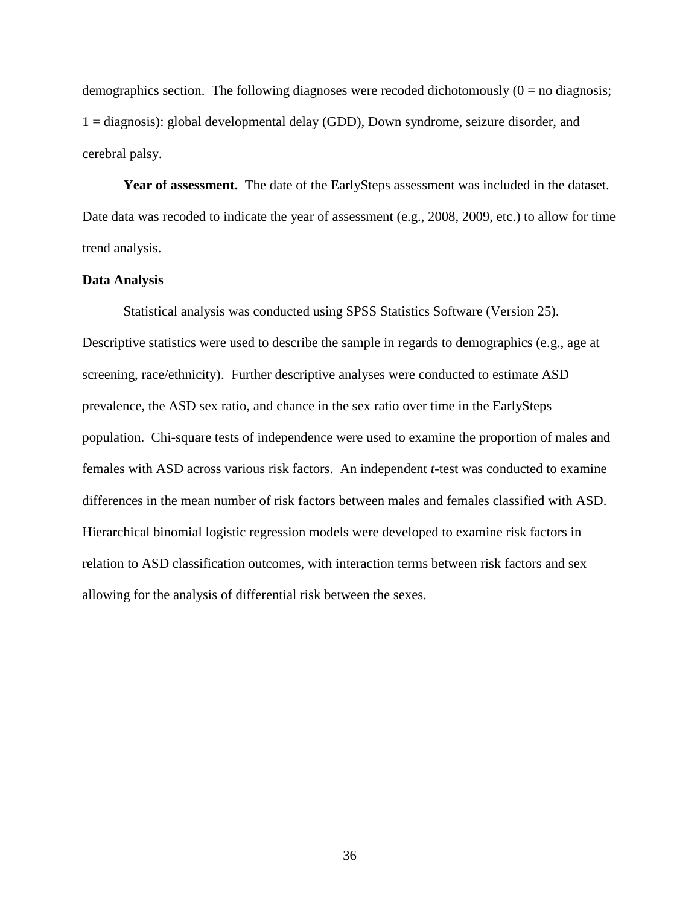demographics section. The following diagnoses were recoded dichotomously  $(0 = no$  diagnosis; 1 = diagnosis): global developmental delay (GDD), Down syndrome, seizure disorder, and cerebral palsy.

Year of assessment. The date of the EarlySteps assessment was included in the dataset. Date data was recoded to indicate the year of assessment (e.g., 2008, 2009, etc.) to allow for time trend analysis.

# **Data Analysis**

Statistical analysis was conducted using SPSS Statistics Software (Version 25). Descriptive statistics were used to describe the sample in regards to demographics (e.g., age at screening, race/ethnicity). Further descriptive analyses were conducted to estimate ASD prevalence, the ASD sex ratio, and chance in the sex ratio over time in the EarlySteps population. Chi-square tests of independence were used to examine the proportion of males and females with ASD across various risk factors. An independent *t*-test was conducted to examine differences in the mean number of risk factors between males and females classified with ASD. Hierarchical binomial logistic regression models were developed to examine risk factors in relation to ASD classification outcomes, with interaction terms between risk factors and sex allowing for the analysis of differential risk between the sexes.

36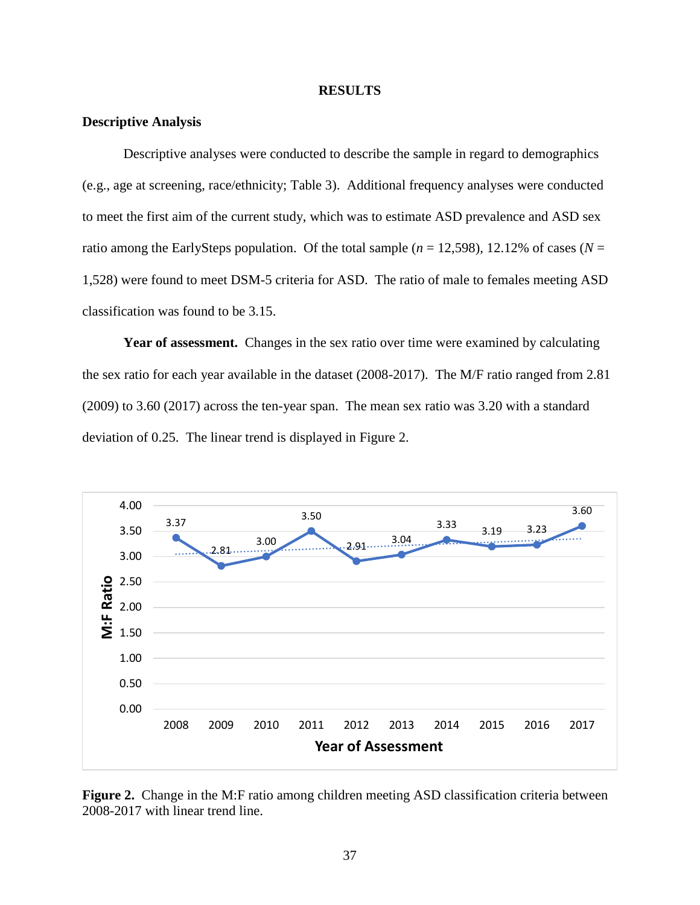#### **RESULTS**

# **Descriptive Analysis**

Descriptive analyses were conducted to describe the sample in regard to demographics (e.g., age at screening, race/ethnicity; Table 3). Additional frequency analyses were conducted to meet the first aim of the current study, which was to estimate ASD prevalence and ASD sex ratio among the EarlySteps population. Of the total sample ( $n = 12,598$ ), 12.12% of cases ( $N =$ 1,528) were found to meet DSM-5 criteria for ASD. The ratio of male to females meeting ASD classification was found to be 3.15.

Year of assessment. Changes in the sex ratio over time were examined by calculating the sex ratio for each year available in the dataset (2008-2017). The M/F ratio ranged from 2.81 (2009) to 3.60 (2017) across the ten-year span. The mean sex ratio was 3.20 with a standard deviation of 0.25. The linear trend is displayed in Figure 2.



Figure 2. Change in the M:F ratio among children meeting ASD classification criteria between 2008-2017 with linear trend line.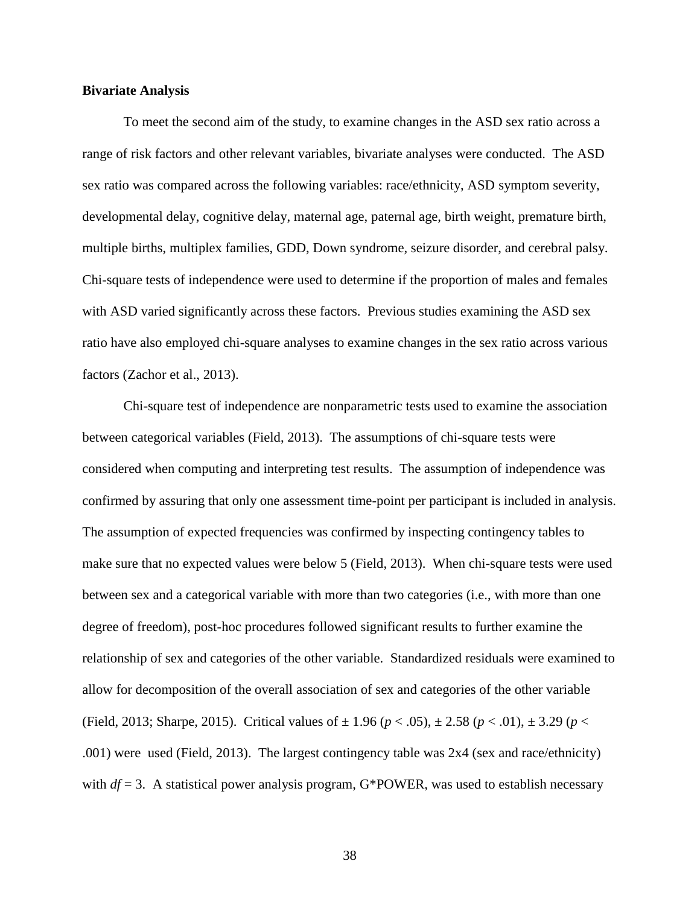# **Bivariate Analysis**

To meet the second aim of the study, to examine changes in the ASD sex ratio across a range of risk factors and other relevant variables, bivariate analyses were conducted. The ASD sex ratio was compared across the following variables: race/ethnicity, ASD symptom severity, developmental delay, cognitive delay, maternal age, paternal age, birth weight, premature birth, multiple births, multiplex families, GDD, Down syndrome, seizure disorder, and cerebral palsy. Chi-square tests of independence were used to determine if the proportion of males and females with ASD varied significantly across these factors. Previous studies examining the ASD sex ratio have also employed chi-square analyses to examine changes in the sex ratio across various factors (Zachor et al., 2013).

Chi-square test of independence are nonparametric tests used to examine the association between categorical variables (Field, 2013). The assumptions of chi-square tests were considered when computing and interpreting test results. The assumption of independence was confirmed by assuring that only one assessment time-point per participant is included in analysis. The assumption of expected frequencies was confirmed by inspecting contingency tables to make sure that no expected values were below 5 (Field, 2013). When chi-square tests were used between sex and a categorical variable with more than two categories (i.e., with more than one degree of freedom), post-hoc procedures followed significant results to further examine the relationship of sex and categories of the other variable. Standardized residuals were examined to allow for decomposition of the overall association of sex and categories of the other variable (Field, 2013; Sharpe, 2015). Critical values of ± 1.96 (*p* < .05), ± 2.58 (*p* < .01), ± 3.29 (*p* < .001) were used (Field, 2013). The largest contingency table was 2x4 (sex and race/ethnicity) with  $df = 3$ . A statistical power analysis program, G\*POWER, was used to establish necessary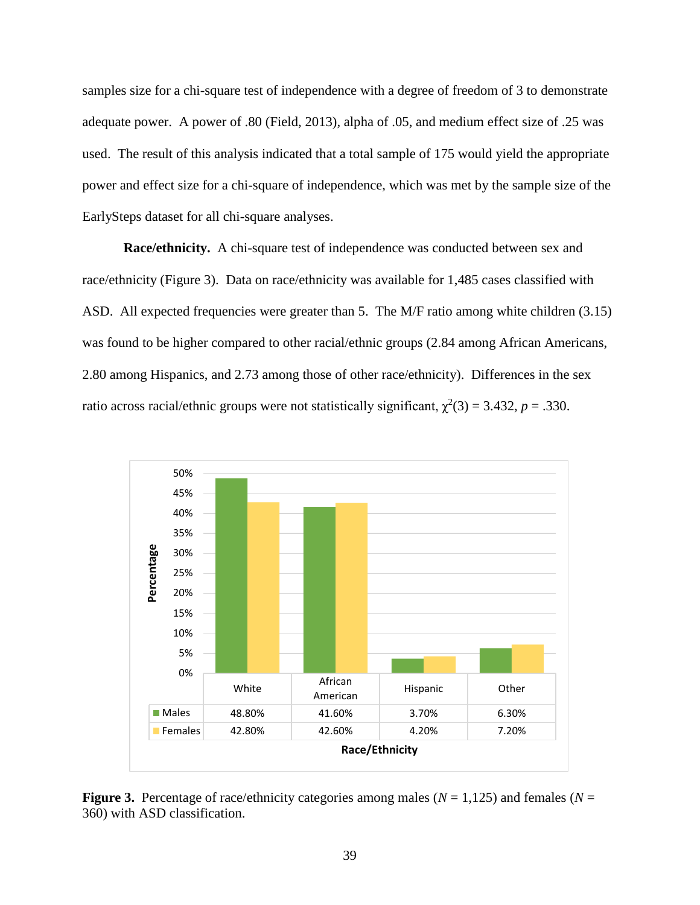samples size for a chi-square test of independence with a degree of freedom of 3 to demonstrate adequate power. A power of .80 (Field, 2013), alpha of .05, and medium effect size of .25 was used. The result of this analysis indicated that a total sample of 175 would yield the appropriate power and effect size for a chi-square of independence, which was met by the sample size of the EarlySteps dataset for all chi-square analyses.

**Race/ethnicity.** A chi-square test of independence was conducted between sex and race/ethnicity (Figure 3). Data on race/ethnicity was available for 1,485 cases classified with ASD. All expected frequencies were greater than 5. The M/F ratio among white children (3.15) was found to be higher compared to other racial/ethnic groups (2.84 among African Americans, 2.80 among Hispanics, and 2.73 among those of other race/ethnicity). Differences in the sex ratio across racial/ethnic groups were not statistically significant,  $\chi^2(3) = 3.432$ ,  $p = .330$ .



**Figure 3.** Percentage of race/ethnicity categories among males ( $N = 1,125$ ) and females ( $N = 1$ ) 360) with ASD classification.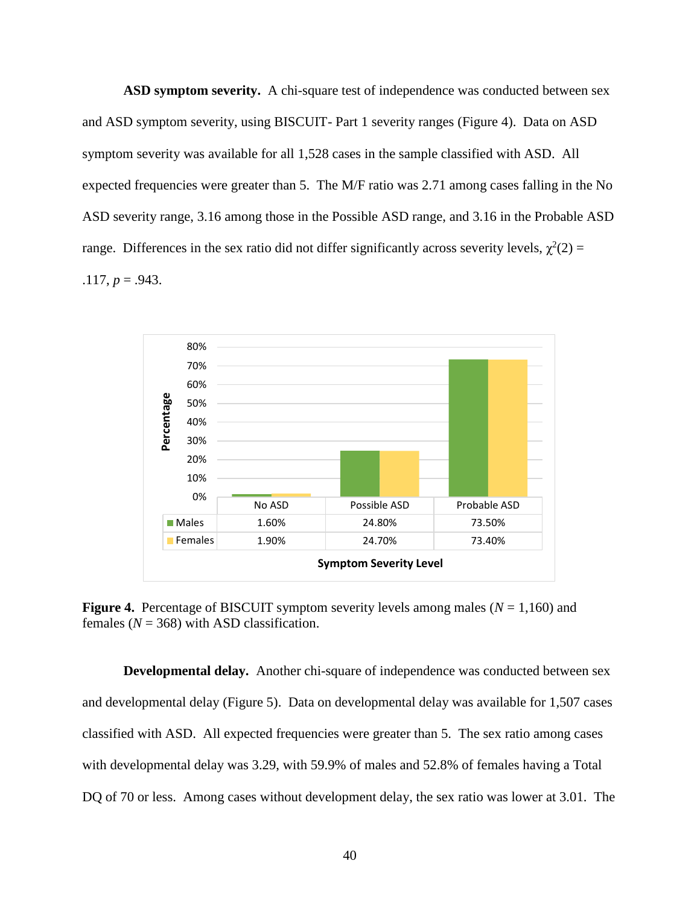**ASD symptom severity.** A chi-square test of independence was conducted between sex and ASD symptom severity, using BISCUIT- Part 1 severity ranges (Figure 4). Data on ASD symptom severity was available for all 1,528 cases in the sample classified with ASD. All expected frequencies were greater than 5. The M/F ratio was 2.71 among cases falling in the No ASD severity range, 3.16 among those in the Possible ASD range, and 3.16 in the Probable ASD range. Differences in the sex ratio did not differ significantly across severity levels,  $\chi^2(2)$  =  $.117, p = .943.$ 



**Figure 4.** Percentage of BISCUIT symptom severity levels among males  $(N = 1,160)$  and females  $(N = 368)$  with ASD classification.

**Developmental delay.** Another chi-square of independence was conducted between sex and developmental delay (Figure 5). Data on developmental delay was available for 1,507 cases classified with ASD. All expected frequencies were greater than 5. The sex ratio among cases with developmental delay was 3.29, with 59.9% of males and 52.8% of females having a Total DQ of 70 or less. Among cases without development delay, the sex ratio was lower at 3.01. The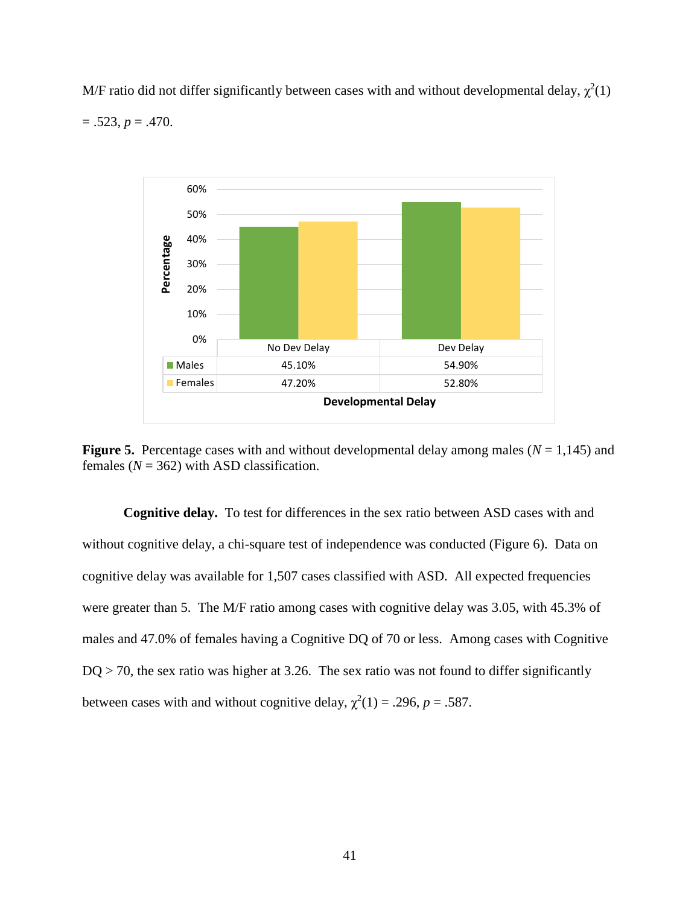M/F ratio did not differ significantly between cases with and without developmental delay,  $\chi^2(1)$ 

 $= .523, p = .470.$ 



**Figure 5.** Percentage cases with and without developmental delay among males ( $N = 1,145$ ) and females  $(N = 362)$  with ASD classification.

**Cognitive delay.** To test for differences in the sex ratio between ASD cases with and without cognitive delay, a chi-square test of independence was conducted (Figure 6). Data on cognitive delay was available for 1,507 cases classified with ASD. All expected frequencies were greater than 5. The M/F ratio among cases with cognitive delay was 3.05, with 45.3% of males and 47.0% of females having a Cognitive DQ of 70 or less. Among cases with Cognitive  $DQ > 70$ , the sex ratio was higher at 3.26. The sex ratio was not found to differ significantly between cases with and without cognitive delay,  $\chi^2(1) = .296$ ,  $p = .587$ .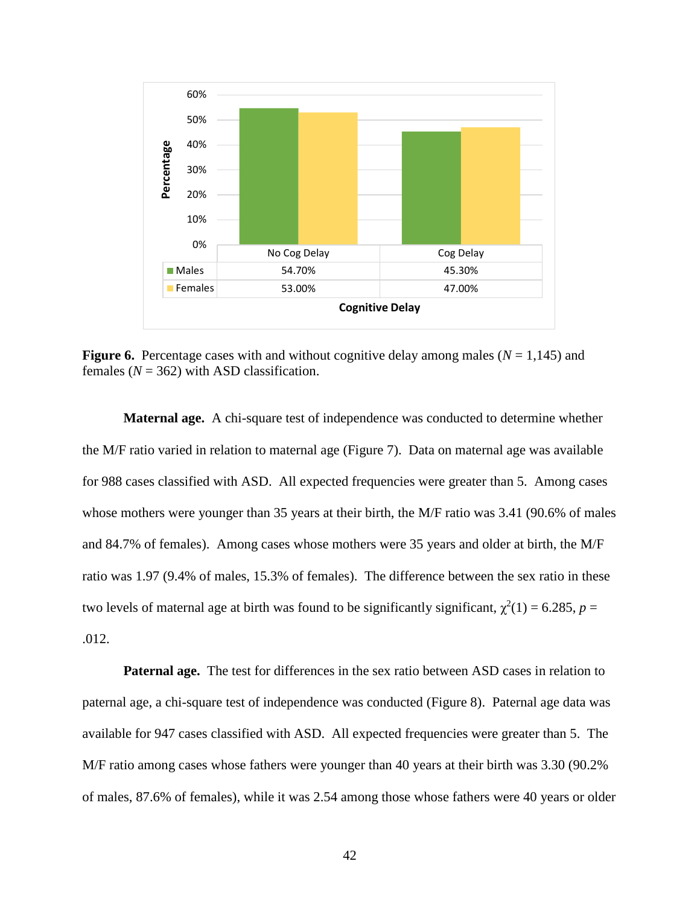

**Figure 6.** Percentage cases with and without cognitive delay among males ( $N = 1,145$ ) and females  $(N = 362)$  with ASD classification.

**Maternal age.** A chi-square test of independence was conducted to determine whether the M/F ratio varied in relation to maternal age (Figure 7). Data on maternal age was available for 988 cases classified with ASD. All expected frequencies were greater than 5. Among cases whose mothers were younger than 35 years at their birth, the M/F ratio was 3.41 (90.6% of males and 84.7% of females). Among cases whose mothers were 35 years and older at birth, the M/F ratio was 1.97 (9.4% of males, 15.3% of females). The difference between the sex ratio in these two levels of maternal age at birth was found to be significantly significant,  $\chi^2(1) = 6.285$ ,  $p =$ .012.

**Paternal age.** The test for differences in the sex ratio between ASD cases in relation to paternal age, a chi-square test of independence was conducted (Figure 8). Paternal age data was available for 947 cases classified with ASD. All expected frequencies were greater than 5. The M/F ratio among cases whose fathers were younger than 40 years at their birth was 3.30 (90.2% of males, 87.6% of females), while it was 2.54 among those whose fathers were 40 years or older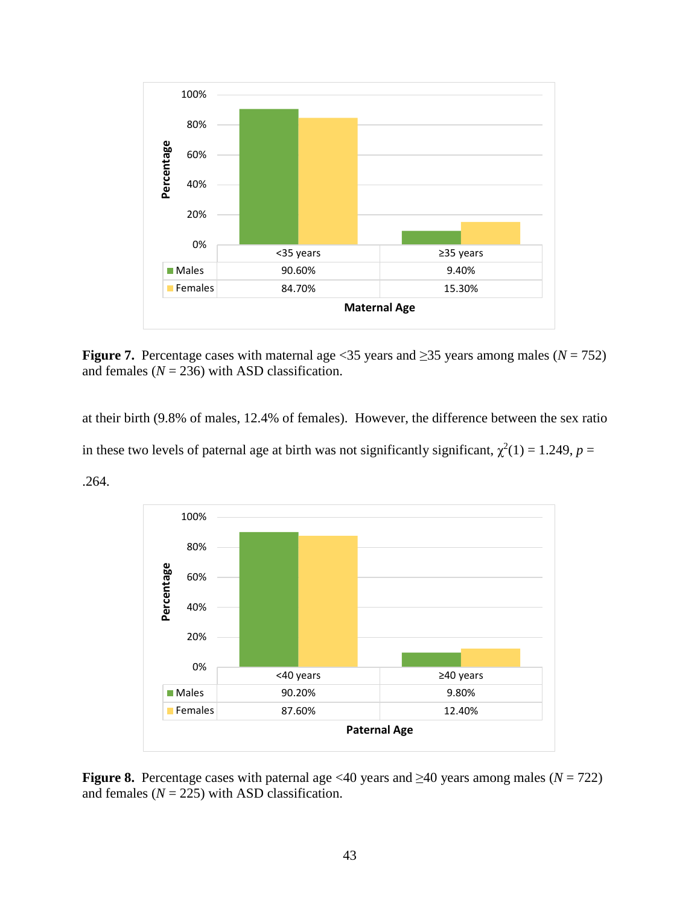

**Figure 7.** Percentage cases with maternal age <35 years and  $\geq$ 35 years among males ( $N = 752$ ) and females  $(N = 236)$  with ASD classification.

at their birth (9.8% of males, 12.4% of females). However, the difference between the sex ratio in these two levels of paternal age at birth was not significantly significant,  $\chi^2(1) = 1.249$ ,  $p =$ 





**Figure 8.** Percentage cases with paternal age <40 years and  $\geq$ 40 years among males ( $N = 722$ ) and females  $(N = 225)$  with ASD classification.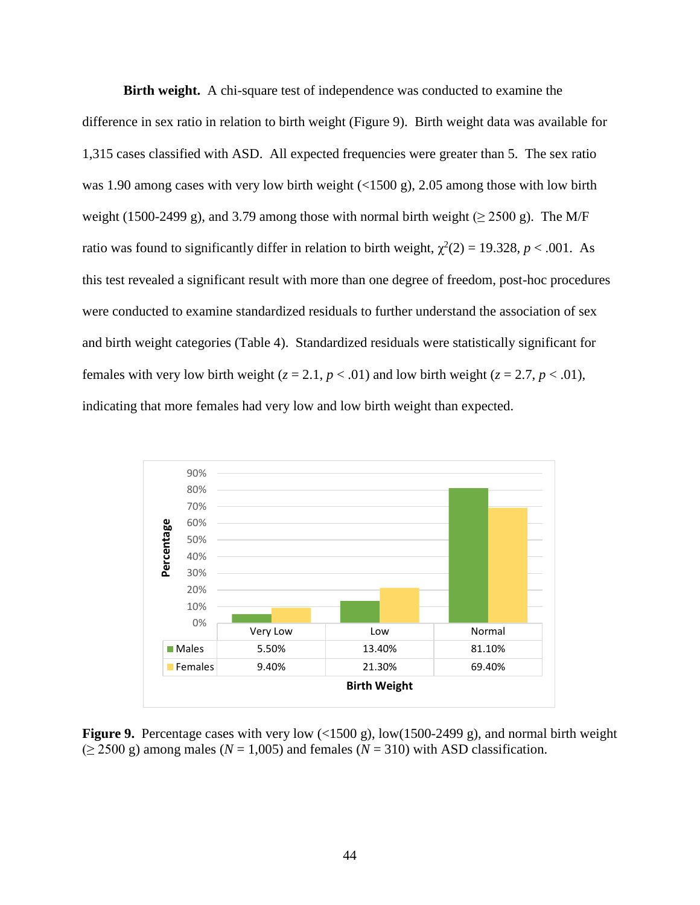**Birth weight.** A chi-square test of independence was conducted to examine the difference in sex ratio in relation to birth weight (Figure 9). Birth weight data was available for 1,315 cases classified with ASD. All expected frequencies were greater than 5. The sex ratio was 1.90 among cases with very low birth weight (<1500 g), 2.05 among those with low birth weight (1500-2499 g), and 3.79 among those with normal birth weight ( $\geq$  2500 g). The M/F ratio was found to significantly differ in relation to birth weight,  $\chi^2(2) = 19.328$ ,  $p < .001$ . As this test revealed a significant result with more than one degree of freedom, post-hoc procedures were conducted to examine standardized residuals to further understand the association of sex and birth weight categories (Table 4). Standardized residuals were statistically significant for females with very low birth weight  $(z = 2.1, p < .01)$  and low birth weight  $(z = 2.7, p < .01)$ , indicating that more females had very low and low birth weight than expected.



**Figure 9.** Percentage cases with very low (<1500 g), low(1500-2499 g), and normal birth weight  $(≥ 2500 \text{ g})$  among males ( $N = 1,005$ ) and females ( $N = 310$ ) with ASD classification.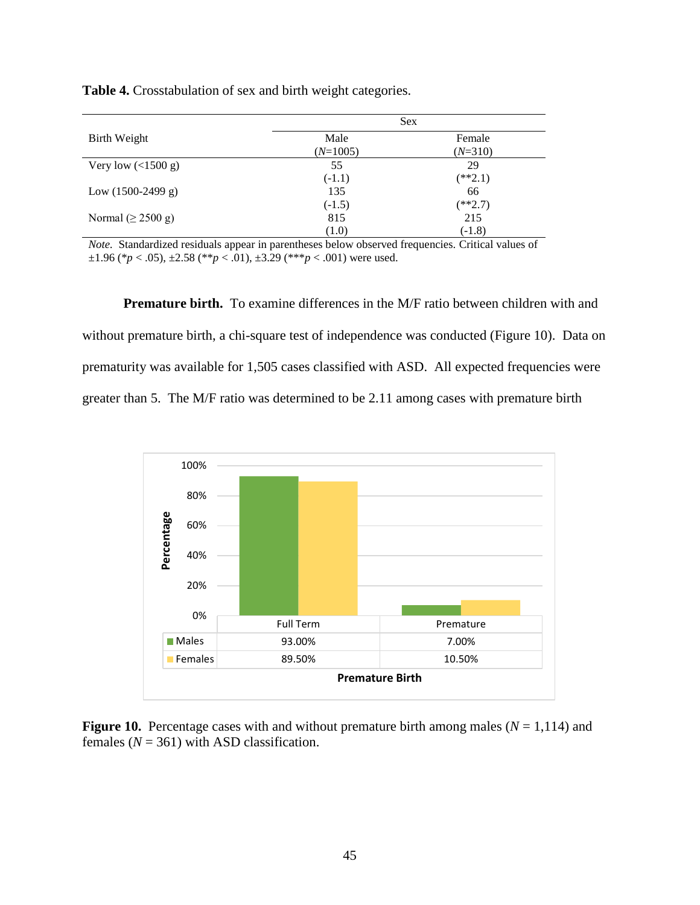|                         |            | <b>Sex</b> |
|-------------------------|------------|------------|
| Birth Weight            | Male       | Female     |
|                         | $(N=1005)$ | $(N=310)$  |
| Very low $($ 1500 g)    | 55         | 29         |
|                         | $(-1.1)$   | $(**2.1)$  |
| Low $(1500-2499 g)$     | 135        | 66         |
|                         | $(-1.5)$   | $(**2.7)$  |
| Normal ( $\geq$ 2500 g) | 815        | 215        |
|                         | (1.0)      | $(-1.8)$   |

**Table 4.** Crosstabulation of sex and birth weight categories.

*Note.* Standardized residuals appear in parentheses below observed frequencies. Critical values of  $\pm 1.96$  (\* $p < .05$ ),  $\pm 2.58$  (\*\* $p < .01$ ),  $\pm 3.29$  (\*\*\* $p < .001$ ) were used.

**Premature birth.** To examine differences in the M/F ratio between children with and without premature birth, a chi-square test of independence was conducted (Figure 10). Data on prematurity was available for 1,505 cases classified with ASD. All expected frequencies were greater than 5. The M/F ratio was determined to be 2.11 among cases with premature birth



**Figure 10.** Percentage cases with and without premature birth among males ( $N = 1,114$ ) and females  $(N = 361)$  with ASD classification.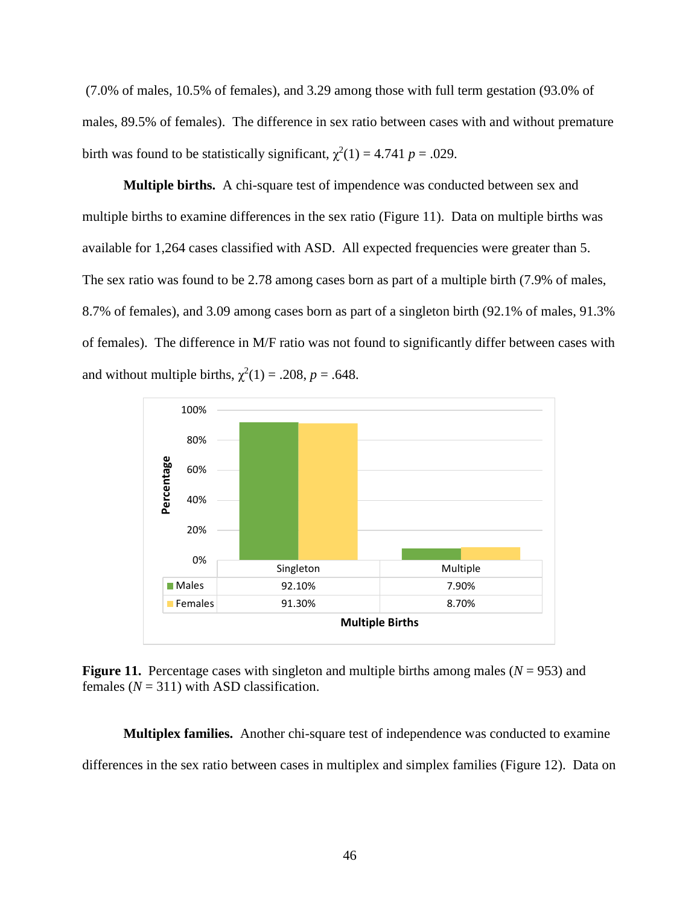(7.0% of males, 10.5% of females), and 3.29 among those with full term gestation (93.0% of males, 89.5% of females). The difference in sex ratio between cases with and without premature birth was found to be statistically significant,  $\chi^2(1) = 4.741$  *p* = .029.

**Multiple births.** A chi-square test of impendence was conducted between sex and multiple births to examine differences in the sex ratio (Figure 11). Data on multiple births was available for 1,264 cases classified with ASD. All expected frequencies were greater than 5. The sex ratio was found to be 2.78 among cases born as part of a multiple birth (7.9% of males, 8.7% of females), and 3.09 among cases born as part of a singleton birth (92.1% of males, 91.3% of females). The difference in M/F ratio was not found to significantly differ between cases with and without multiple births,  $\chi^2(1) = .208$ ,  $p = .648$ .



**Figure 11.** Percentage cases with singleton and multiple births among males ( $N = 953$ ) and females  $(N = 311)$  with ASD classification.

**Multiplex families.** Another chi-square test of independence was conducted to examine differences in the sex ratio between cases in multiplex and simplex families (Figure 12). Data on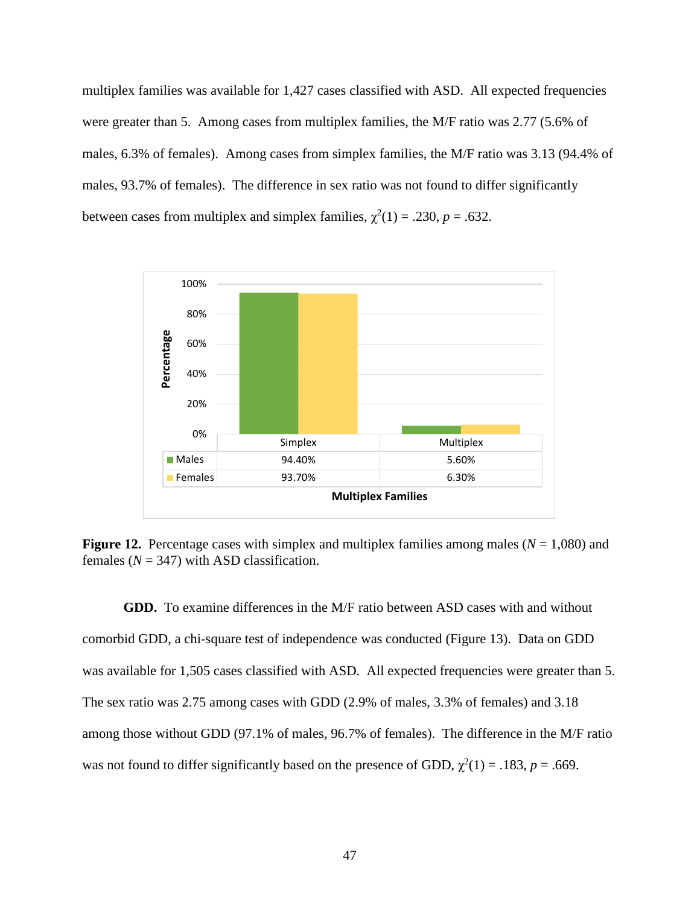multiplex families was available for 1,427 cases classified with ASD. All expected frequencies were greater than 5. Among cases from multiplex families, the M/F ratio was 2.77 (5.6% of males, 6.3% of females). Among cases from simplex families, the M/F ratio was 3.13 (94.4% of males, 93.7% of females). The difference in sex ratio was not found to differ significantly between cases from multiplex and simplex families,  $\chi^2(1) = .230$ ,  $p = .632$ .



**Figure 12.** Percentage cases with simplex and multiplex families among males ( $N = 1,080$ ) and females  $(N = 347)$  with ASD classification.

**GDD.** To examine differences in the M/F ratio between ASD cases with and without comorbid GDD, a chi-square test of independence was conducted (Figure 13). Data on GDD was available for 1,505 cases classified with ASD. All expected frequencies were greater than 5. The sex ratio was 2.75 among cases with GDD (2.9% of males, 3.3% of females) and 3.18 among those without GDD (97.1% of males, 96.7% of females). The difference in the M/F ratio was not found to differ significantly based on the presence of GDD,  $\chi^2(1) = .183$ ,  $p = .669$ .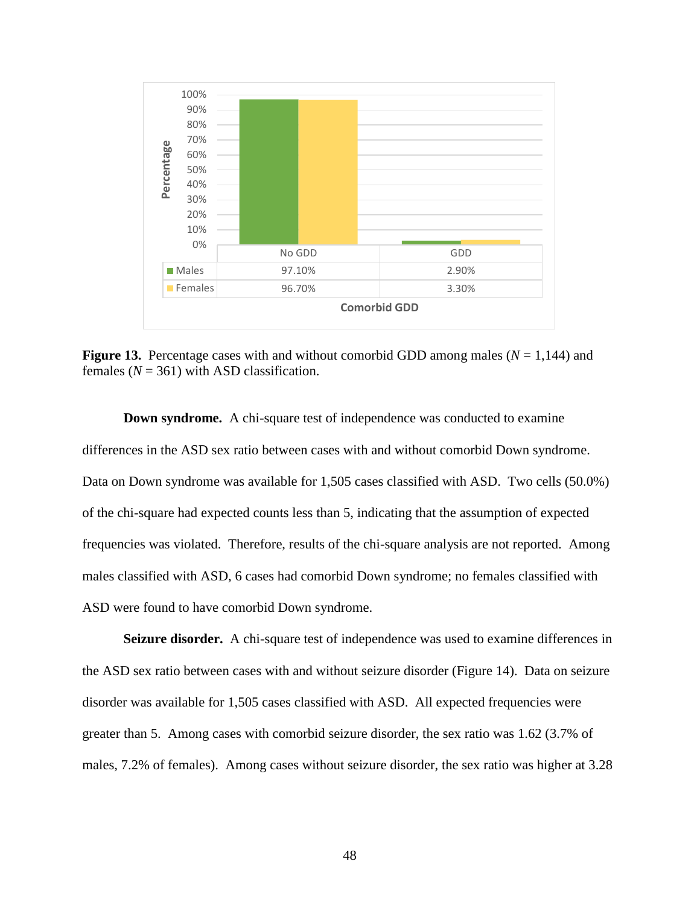

**Figure 13.** Percentage cases with and without comorbid GDD among males ( $N = 1,144$ ) and females  $(N = 361)$  with ASD classification.

**Down syndrome.** A chi-square test of independence was conducted to examine differences in the ASD sex ratio between cases with and without comorbid Down syndrome. Data on Down syndrome was available for 1,505 cases classified with ASD. Two cells (50.0%) of the chi-square had expected counts less than 5, indicating that the assumption of expected frequencies was violated. Therefore, results of the chi-square analysis are not reported. Among males classified with ASD, 6 cases had comorbid Down syndrome; no females classified with ASD were found to have comorbid Down syndrome.

**Seizure disorder.** A chi-square test of independence was used to examine differences in the ASD sex ratio between cases with and without seizure disorder (Figure 14). Data on seizure disorder was available for 1,505 cases classified with ASD. All expected frequencies were greater than 5. Among cases with comorbid seizure disorder, the sex ratio was 1.62 (3.7% of males, 7.2% of females). Among cases without seizure disorder, the sex ratio was higher at 3.28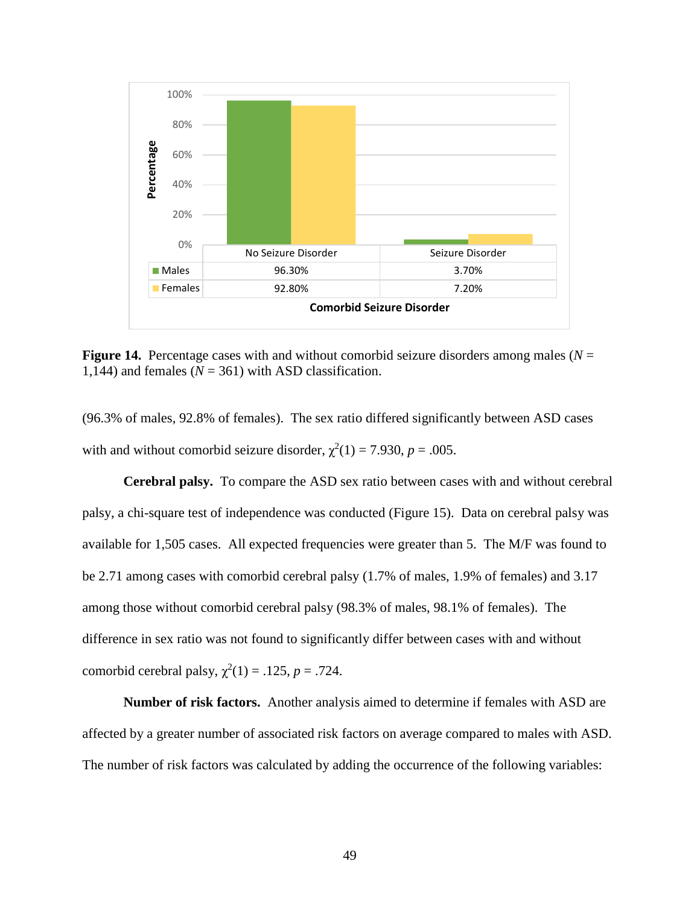

**Figure 14.** Percentage cases with and without comorbid seizure disorders among males (*N* = 1,144) and females  $(N = 361)$  with ASD classification.

(96.3% of males, 92.8% of females). The sex ratio differed significantly between ASD cases with and without comorbid seizure disorder,  $\chi^2(1) = 7.930$ ,  $p = .005$ .

**Cerebral palsy.** To compare the ASD sex ratio between cases with and without cerebral palsy, a chi-square test of independence was conducted (Figure 15). Data on cerebral palsy was available for 1,505 cases. All expected frequencies were greater than 5. The M/F was found to be 2.71 among cases with comorbid cerebral palsy (1.7% of males, 1.9% of females) and 3.17 among those without comorbid cerebral palsy (98.3% of males, 98.1% of females). The difference in sex ratio was not found to significantly differ between cases with and without comorbid cerebral palsy,  $\chi^2(1) = .125$ ,  $p = .724$ .

**Number of risk factors.** Another analysis aimed to determine if females with ASD are affected by a greater number of associated risk factors on average compared to males with ASD. The number of risk factors was calculated by adding the occurrence of the following variables: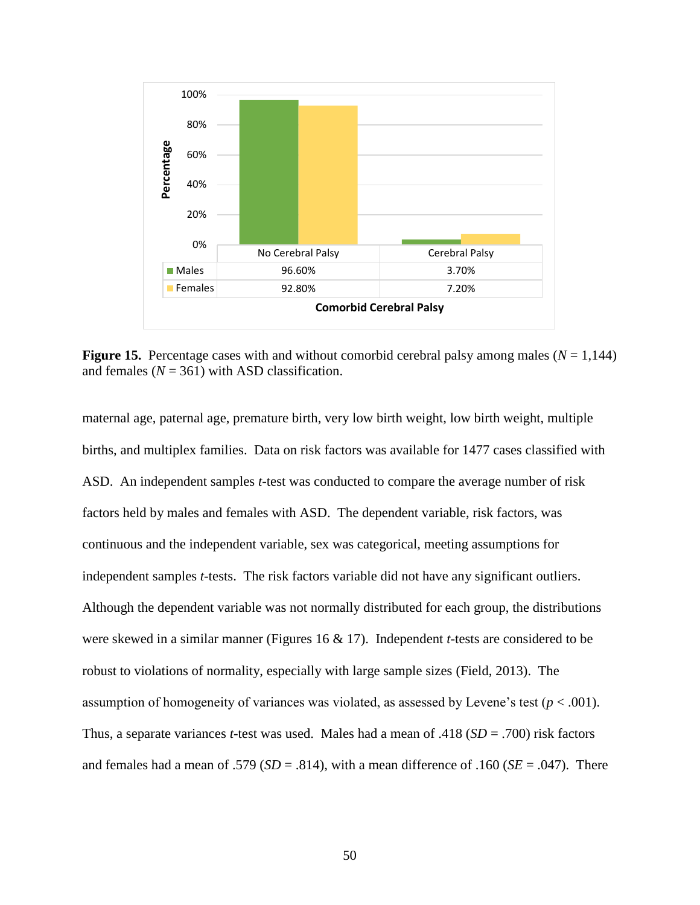

**Figure 15.** Percentage cases with and without comorbid cerebral palsy among males  $(N = 1,144)$ and females  $(N = 361)$  with ASD classification.

maternal age, paternal age, premature birth, very low birth weight, low birth weight, multiple births, and multiplex families. Data on risk factors was available for 1477 cases classified with ASD. An independent samples *t-*test was conducted to compare the average number of risk factors held by males and females with ASD. The dependent variable, risk factors, was continuous and the independent variable, sex was categorical, meeting assumptions for independent samples *t*-tests. The risk factors variable did not have any significant outliers. Although the dependent variable was not normally distributed for each group, the distributions were skewed in a similar manner (Figures 16 & 17). Independent *t-*tests are considered to be robust to violations of normality, especially with large sample sizes (Field, 2013). The assumption of homogeneity of variances was violated, as assessed by Levene's test (*p* < .001). Thus, a separate variances *t*-test was used. Males had a mean of .418 (*SD* = .700) risk factors and females had a mean of .579 ( $SD = .814$ ), with a mean difference of .160 ( $SE = .047$ ). There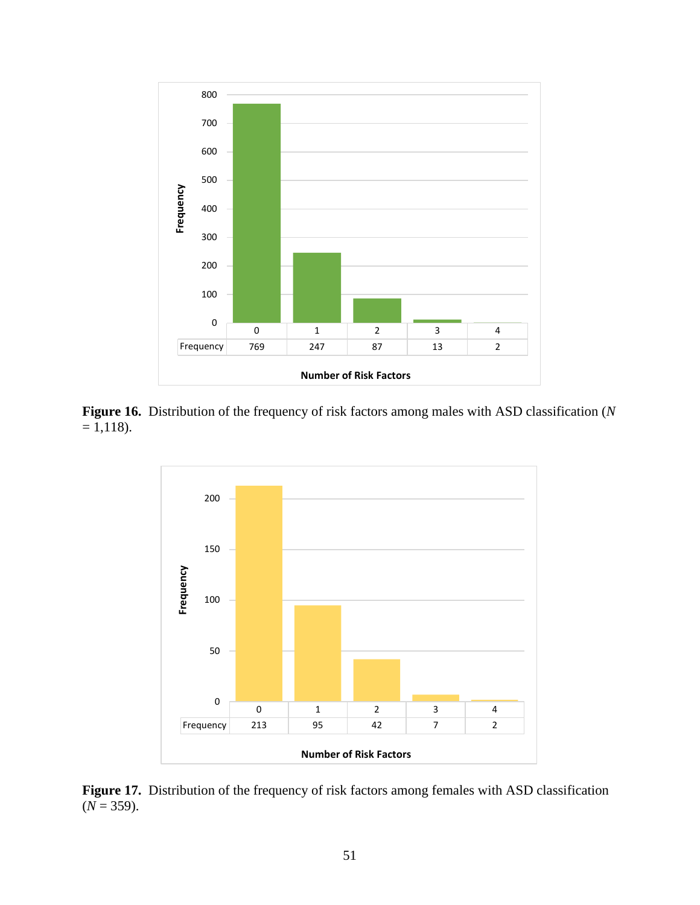

**Figure 16.** Distribution of the frequency of risk factors among males with ASD classification (*N*  $= 1,118$ .



**Figure 17.** Distribution of the frequency of risk factors among females with ASD classification  $(N = 359)$ .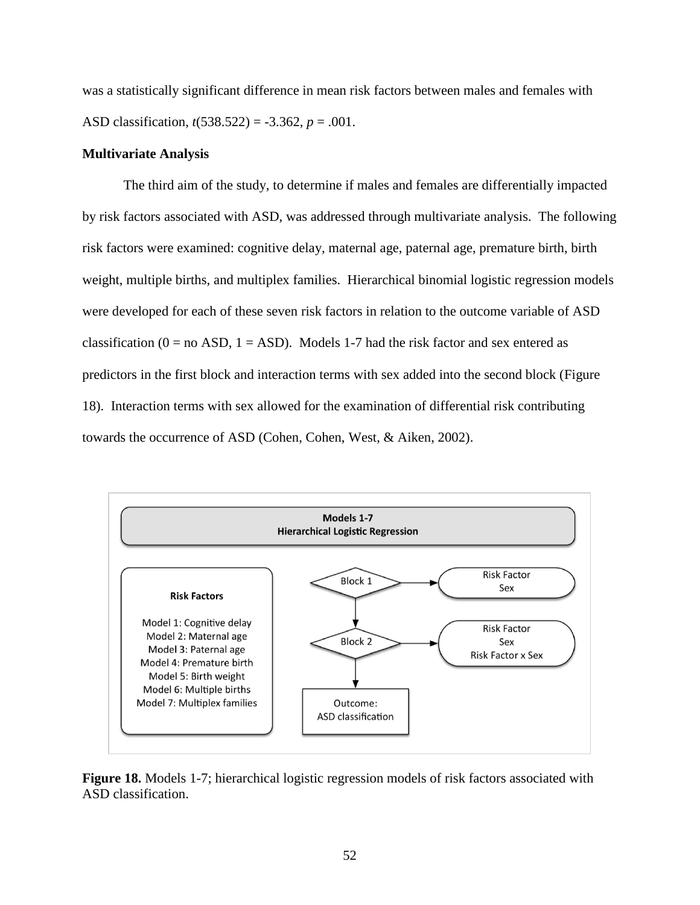was a statistically significant difference in mean risk factors between males and females with ASD classification, *t*(538.522) = -3.362, *p* = .001.

# **Multivariate Analysis**

The third aim of the study, to determine if males and females are differentially impacted by risk factors associated with ASD, was addressed through multivariate analysis. The following risk factors were examined: cognitive delay, maternal age, paternal age, premature birth, birth weight, multiple births, and multiplex families. Hierarchical binomial logistic regression models were developed for each of these seven risk factors in relation to the outcome variable of ASD classification ( $0 =$  no ASD,  $1 =$  ASD). Models 1-7 had the risk factor and sex entered as predictors in the first block and interaction terms with sex added into the second block (Figure 18). Interaction terms with sex allowed for the examination of differential risk contributing towards the occurrence of ASD (Cohen, Cohen, West, & Aiken, 2002).



**Figure 18.** Models 1-7; hierarchical logistic regression models of risk factors associated with ASD classification.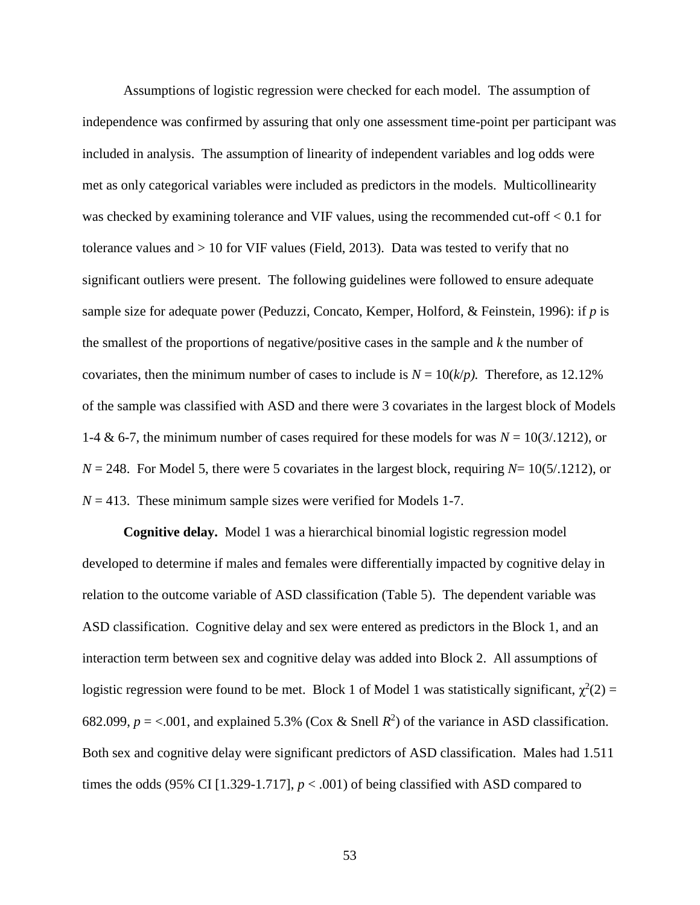Assumptions of logistic regression were checked for each model. The assumption of independence was confirmed by assuring that only one assessment time-point per participant was included in analysis. The assumption of linearity of independent variables and log odds were met as only categorical variables were included as predictors in the models. Multicollinearity was checked by examining tolerance and VIF values, using the recommended cut-off  $< 0.1$  for tolerance values and > 10 for VIF values (Field, 2013). Data was tested to verify that no significant outliers were present. The following guidelines were followed to ensure adequate sample size for adequate power (Peduzzi, Concato, Kemper, Holford, & Feinstein, 1996): if *p* is the smallest of the proportions of negative/positive cases in the sample and *k* the number of covariates, then the minimum number of cases to include is  $N = 10(k/p)$ . Therefore, as 12.12% of the sample was classified with ASD and there were 3 covariates in the largest block of Models 1-4 & 6-7, the minimum number of cases required for these models for was  $N = 10(3/1212)$ , or  $N = 248$ . For Model 5, there were 5 covariates in the largest block, requiring  $N = 10(5/1212)$ , or  $N = 413$ . These minimum sample sizes were verified for Models 1-7.

**Cognitive delay.** Model 1 was a hierarchical binomial logistic regression model developed to determine if males and females were differentially impacted by cognitive delay in relation to the outcome variable of ASD classification (Table 5). The dependent variable was ASD classification. Cognitive delay and sex were entered as predictors in the Block 1, and an interaction term between sex and cognitive delay was added into Block 2. All assumptions of logistic regression were found to be met. Block 1 of Model 1 was statistically significant,  $\chi^2(2)$  = 682.099,  $p = < 0.001$ , and explained 5.3% (Cox & Snell  $R^2$ ) of the variance in ASD classification. Both sex and cognitive delay were significant predictors of ASD classification. Males had 1.511 times the odds (95% CI [1.329-1.717],  $p < .001$ ) of being classified with ASD compared to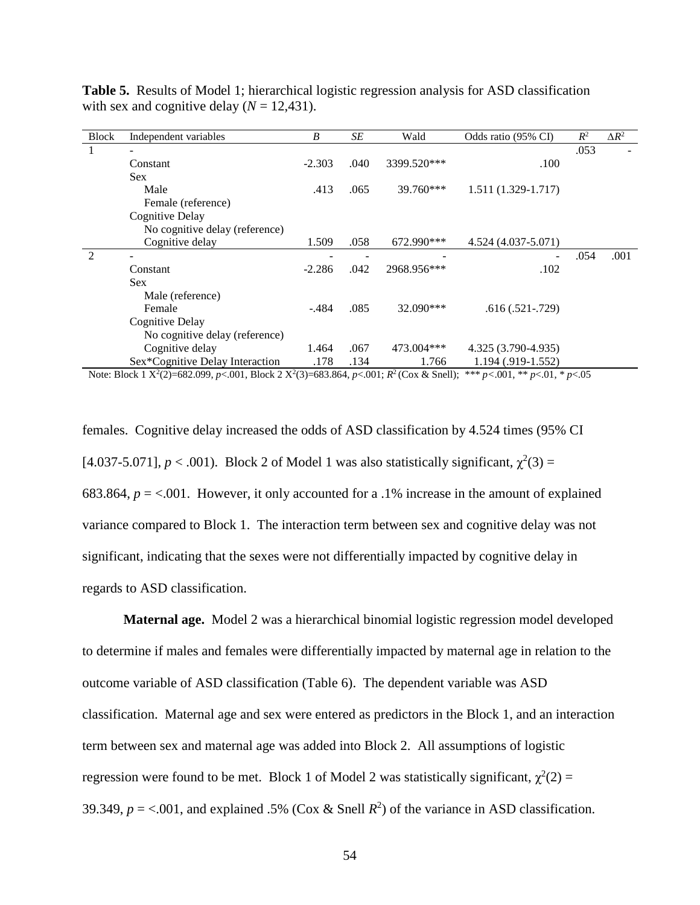| <b>Block</b>   | Independent variables           | B        | SE   | Wald        | Odds ratio (95% CI) | $R^2$ | $\Delta R^2$ |
|----------------|---------------------------------|----------|------|-------------|---------------------|-------|--------------|
| 1              |                                 |          |      |             |                     | .053  |              |
|                | Constant                        | $-2.303$ | .040 | 3399.520*** | .100                |       |              |
|                | <b>Sex</b>                      |          |      |             |                     |       |              |
|                | Male                            | .413     | .065 | $39.760***$ | 1.511 (1.329-1.717) |       |              |
|                | Female (reference)              |          |      |             |                     |       |              |
|                | <b>Cognitive Delay</b>          |          |      |             |                     |       |              |
|                | No cognitive delay (reference)  |          |      |             |                     |       |              |
|                | Cognitive delay                 | 1.509    | .058 | 672.990***  | 4.524 (4.037-5.071) |       |              |
| $\mathfrak{D}$ |                                 |          |      |             |                     | .054  | .001         |
|                | Constant                        | $-2.286$ | .042 | 2968.956*** | .102                |       |              |
|                | <b>Sex</b>                      |          |      |             |                     |       |              |
|                | Male (reference)                |          |      |             |                     |       |              |
|                | Female                          | $-.484$  | .085 | $32.090***$ | $.616(.521-.729)$   |       |              |
|                | Cognitive Delay                 |          |      |             |                     |       |              |
|                | No cognitive delay (reference)  |          |      |             |                     |       |              |
|                | Cognitive delay                 | 1.464    | .067 | 473.004***  | 4.325 (3.790-4.935) |       |              |
|                | Sex*Cognitive Delay Interaction | .178     | .134 | 1.766       | 1.194 (.919-1.552)  |       |              |

**Table 5.** Results of Model 1; hierarchical logistic regression analysis for ASD classification with sex and cognitive delay  $(N = 12,431)$ .

Note: Block 1  $X^2(2)=682.099$ ,  $p<.001$ , Block 2  $X^2(3)=683.864$ ,  $p<.001$ ;  $R^2$  (Cox & Snell); \*\*\*  $p<.001$ , \*\*  $p<.01$ , \*  $p<.05$ 

females. Cognitive delay increased the odds of ASD classification by 4.524 times (95% CI [4.037-5.071],  $p < .001$ ). Block 2 of Model 1 was also statistically significant,  $\chi^2(3) =$ 683.864,  $p = 0.001$ . However, it only accounted for a .1% increase in the amount of explained variance compared to Block 1. The interaction term between sex and cognitive delay was not significant, indicating that the sexes were not differentially impacted by cognitive delay in regards to ASD classification.

**Maternal age.** Model 2 was a hierarchical binomial logistic regression model developed to determine if males and females were differentially impacted by maternal age in relation to the outcome variable of ASD classification (Table 6). The dependent variable was ASD classification. Maternal age and sex were entered as predictors in the Block 1, and an interaction term between sex and maternal age was added into Block 2. All assumptions of logistic regression were found to be met. Block 1 of Model 2 was statistically significant,  $\chi^2(2)$  = 39.349,  $p = <.001$ , and explained .5% (Cox & Snell  $R^2$ ) of the variance in ASD classification.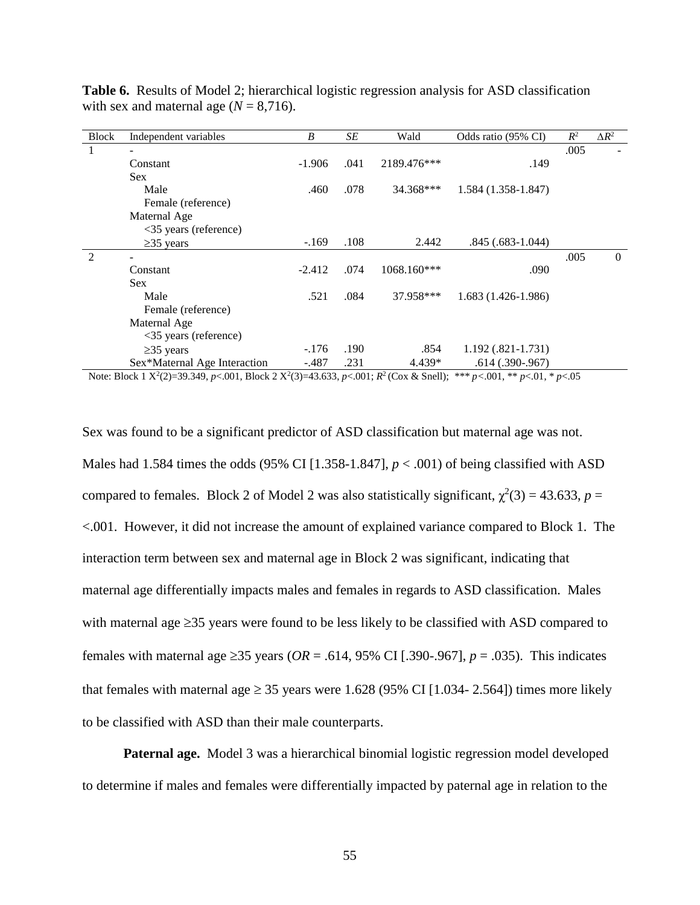| <b>Block</b> | Independent variables          | B        | SE   | Wald        | Odds ratio (95% CI)  | $R^2$ | $\Delta R^2$   |
|--------------|--------------------------------|----------|------|-------------|----------------------|-------|----------------|
| 1            |                                |          |      |             |                      | .005  |                |
|              | Constant                       | $-1.906$ | .041 | 2189.476*** | .149                 |       |                |
|              | <b>Sex</b>                     |          |      |             |                      |       |                |
|              | Male                           | .460     | .078 | 34.368***   | 1.584 (1.358-1.847)  |       |                |
|              | Female (reference)             |          |      |             |                      |       |                |
|              | Maternal Age                   |          |      |             |                      |       |                |
|              | <35 years (reference)          |          |      |             |                      |       |                |
|              | $\geq$ 35 years                | $-169$   | .108 | 2.442       | $.845(.683-1.044)$   |       |                |
| 2            |                                |          |      |             |                      | .005  | $\overline{0}$ |
|              | Constant                       | $-2.412$ | .074 | 1068.160*** | .090                 |       |                |
|              | <b>Sex</b>                     |          |      |             |                      |       |                |
|              | Male                           | .521     | .084 | 37.958***   | $1.683(1.426-1.986)$ |       |                |
|              | Female (reference)             |          |      |             |                      |       |                |
|              | Maternal Age                   |          |      |             |                      |       |                |
|              | $\langle$ 35 years (reference) |          |      |             |                      |       |                |
|              | $\geq$ 35 years                | $-176$   | .190 | .854        | $1.192(.821-1.731)$  |       |                |
|              | Sex*Maternal Age Interaction   | $-.487$  | .231 | 4.439*      | $.614(.390-.967)$    |       |                |

**Table 6.** Results of Model 2; hierarchical logistic regression analysis for ASD classification with sex and maternal age  $(N = 8,716)$ .

Note: Block 1  $X^2(2)=39.349$ ,  $p<.001$ , Block 2  $X^2(3)=43.633$ ,  $p<.001$ ;  $R^2$  (Cox & Snell); \*\*\*  $p<.001$ , \*\*  $p<.01$ , \*  $p<.05$ 

Sex was found to be a significant predictor of ASD classification but maternal age was not. Males had 1.584 times the odds (95% CI [1.358-1.847],  $p < .001$ ) of being classified with ASD compared to females. Block 2 of Model 2 was also statistically significant,  $\chi^2(3) = 43.633$ ,  $p =$ <.001. However, it did not increase the amount of explained variance compared to Block 1. The interaction term between sex and maternal age in Block 2 was significant, indicating that maternal age differentially impacts males and females in regards to ASD classification. Males with maternal age  $\geq$ 35 years were found to be less likely to be classified with ASD compared to females with maternal age  $\geq$ 35 years (*OR* = .614, 95% CI [.390-.967], *p* = .035). This indicates that females with maternal age  $\geq$  35 years were 1.628 (95% CI [1.034-2.564]) times more likely to be classified with ASD than their male counterparts.

**Paternal age.** Model 3 was a hierarchical binomial logistic regression model developed to determine if males and females were differentially impacted by paternal age in relation to the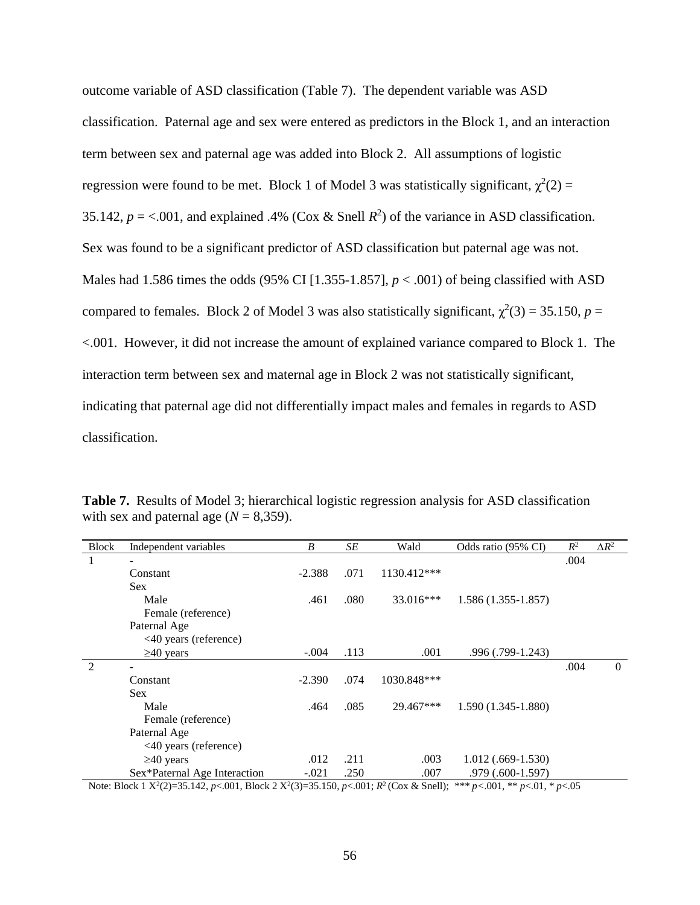outcome variable of ASD classification (Table 7). The dependent variable was ASD classification. Paternal age and sex were entered as predictors in the Block 1, and an interaction term between sex and paternal age was added into Block 2. All assumptions of logistic regression were found to be met. Block 1 of Model 3 was statistically significant,  $\chi^2(2)$  = 35.142,  $p = <.001$ , and explained .4% (Cox & Snell  $R^2$ ) of the variance in ASD classification. Sex was found to be a significant predictor of ASD classification but paternal age was not. Males had 1.586 times the odds (95% CI [1.355-1.857], *p* < .001) of being classified with ASD compared to females. Block 2 of Model 3 was also statistically significant,  $\chi^2(3) = 35.150$ ,  $p =$ <.001. However, it did not increase the amount of explained variance compared to Block 1. The interaction term between sex and maternal age in Block 2 was not statistically significant, indicating that paternal age did not differentially impact males and females in regards to ASD classification.

| <b>Block</b>                                                                                                                                                                                                                                                                                                                                            | Independent variables        | B        | SE   | Wald        | Odds ratio (95% CI)  | $R^2$ | $\Delta R^2$   |  |
|---------------------------------------------------------------------------------------------------------------------------------------------------------------------------------------------------------------------------------------------------------------------------------------------------------------------------------------------------------|------------------------------|----------|------|-------------|----------------------|-------|----------------|--|
|                                                                                                                                                                                                                                                                                                                                                         |                              |          |      |             |                      | .004  |                |  |
|                                                                                                                                                                                                                                                                                                                                                         | Constant                     | $-2.388$ | .071 | 1130.412*** |                      |       |                |  |
|                                                                                                                                                                                                                                                                                                                                                         | <b>Sex</b>                   |          |      |             |                      |       |                |  |
|                                                                                                                                                                                                                                                                                                                                                         | Male                         | .461     | .080 | 33.016***   | $1.586(1.355-1.857)$ |       |                |  |
|                                                                                                                                                                                                                                                                                                                                                         | Female (reference)           |          |      |             |                      |       |                |  |
|                                                                                                                                                                                                                                                                                                                                                         | Paternal Age                 |          |      |             |                      |       |                |  |
|                                                                                                                                                                                                                                                                                                                                                         | <40 years (reference)        |          |      |             |                      |       |                |  |
|                                                                                                                                                                                                                                                                                                                                                         | $\geq 40$ years              | $-.004$  | .113 | .001        | .996 (.799-1.243)    |       |                |  |
| $\overline{2}$                                                                                                                                                                                                                                                                                                                                          |                              |          |      |             |                      | .004  | $\overline{0}$ |  |
|                                                                                                                                                                                                                                                                                                                                                         | Constant                     | $-2.390$ | .074 | 1030.848*** |                      |       |                |  |
|                                                                                                                                                                                                                                                                                                                                                         | <b>Sex</b>                   |          |      |             |                      |       |                |  |
|                                                                                                                                                                                                                                                                                                                                                         | Male                         | .464     | .085 | 29.467***   | $1.590(1.345-1.880)$ |       |                |  |
|                                                                                                                                                                                                                                                                                                                                                         | Female (reference)           |          |      |             |                      |       |                |  |
|                                                                                                                                                                                                                                                                                                                                                         | Paternal Age                 |          |      |             |                      |       |                |  |
|                                                                                                                                                                                                                                                                                                                                                         | <40 years (reference)        |          |      |             |                      |       |                |  |
|                                                                                                                                                                                                                                                                                                                                                         | $\geq 40$ years              | .012     | .211 | .003        | $1.012(.669-1.530)$  |       |                |  |
|                                                                                                                                                                                                                                                                                                                                                         | Sex*Paternal Age Interaction | $-.021$  | .250 | .007        | $.979(.600-1.597)$   |       |                |  |
| $N_{\text{min}}$ , $D_{\text{min}}$ , $1, 1, \mathbf{V}^2/2$ , $2\mathbf{F}$ , $142, \dots, 0.01$ , $D_{\text{min}}$ , $1, 2, \mathbf{V}^2/2$ , $2\mathbf{F}$ , $1\mathbf{F}^2$ , $2\mathbf{F}^2$ , $D_{\text{min}}$ , $D_{\text{min}}^2$ , $D_{\text{min}}$ , $D_{\text{min}}^2$ , $D_{\text{min}}$ , $D_{\text{min}}$ , $D_{\text{min}}$ , $D_{\text$ |                              |          |      |             |                      |       |                |  |

**Table 7.** Results of Model 3; hierarchical logistic regression analysis for ASD classification with sex and paternal age  $(N = 8,359)$ .

Note: Block 1  $X^2(2)=35.142$ ,  $p<.001$ , Block 2  $X^2(3)=35.150$ ,  $p<.001$ ;  $R^2$  (Cox & Snell); \*\*\*  $p<.001$ , \*\*  $p<.01$ , \*  $p<.05$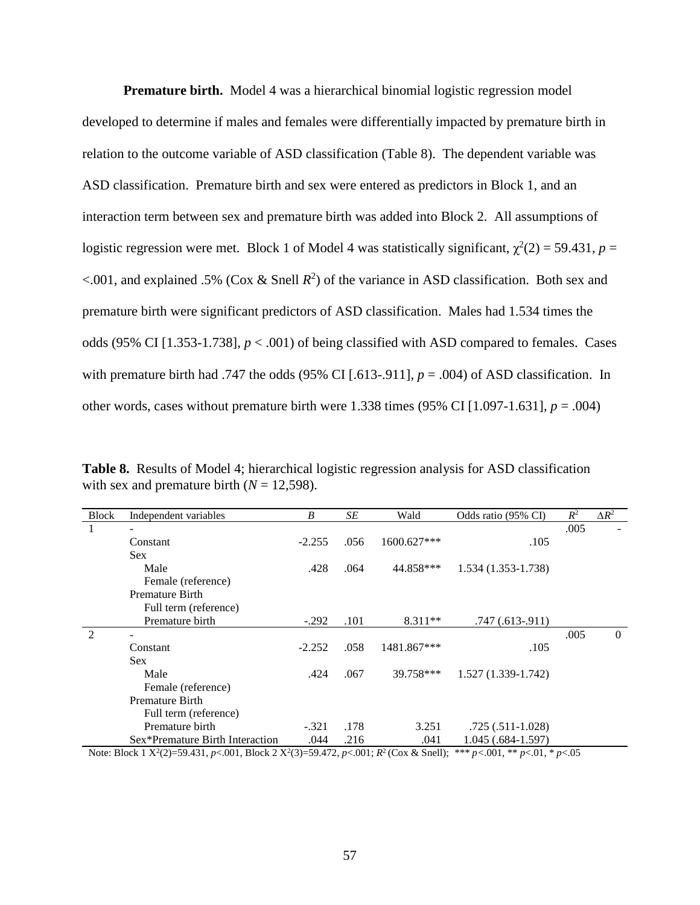**Premature birth.** Model 4 was a hierarchical binomial logistic regression model developed to determine if males and females were differentially impacted by premature birth in relation to the outcome variable of ASD classification (Table 8). The dependent variable was ASD classification. Premature birth and sex were entered as predictors in Block 1, and an interaction term between sex and premature birth was added into Block 2. All assumptions of logistic regression were met. Block 1 of Model 4 was statistically significant,  $\chi^2(2) = 59.431$ ,  $p =$  $\leq$ .001, and explained .5% (Cox & Snell  $R^2$ ) of the variance in ASD classification. Both sex and premature birth were significant predictors of ASD classification. Males had 1.534 times the odds (95% CI  $[1.353-1.738]$ ,  $p < .001$ ) of being classified with ASD compared to females. Cases with premature birth had .747 the odds  $(95\% \text{ CI} [0.613-0.911], p = 0.004)$  of ASD classification. In other words, cases without premature birth were 1.338 times  $(95\% \text{ CI} [1.097-1.631], p = .004)$ 

**Table 8.** Results of Model 4; hierarchical logistic regression analysis for ASD classification with sex and premature birth  $(N = 12,598)$ .

| <b>Block</b>                                                                                                                               | Independent variables           | B        | SE   | Wald        | Odds ratio (95% CI) | $R^2$ | $\Delta R^2$ |  |
|--------------------------------------------------------------------------------------------------------------------------------------------|---------------------------------|----------|------|-------------|---------------------|-------|--------------|--|
|                                                                                                                                            |                                 |          |      |             |                     | .005  |              |  |
|                                                                                                                                            | Constant                        | $-2.255$ | .056 | 1600.627*** | .105                |       |              |  |
|                                                                                                                                            | Sex.                            |          |      |             |                     |       |              |  |
|                                                                                                                                            | Male                            | .428     | .064 | 44.858***   | 1.534 (1.353-1.738) |       |              |  |
|                                                                                                                                            | Female (reference)              |          |      |             |                     |       |              |  |
|                                                                                                                                            | Premature Birth                 |          |      |             |                     |       |              |  |
|                                                                                                                                            | Full term (reference)           |          |      |             |                     |       |              |  |
|                                                                                                                                            | Premature birth                 | $-.292$  | .101 | $8.311**$   | $.747(.613-.911)$   |       |              |  |
| $\mathfrak{D}$                                                                                                                             |                                 |          |      |             |                     | .005  | $\theta$     |  |
|                                                                                                                                            | Constant                        | $-2.252$ | .058 | 1481.867*** | .105                |       |              |  |
|                                                                                                                                            | Sex.                            |          |      |             |                     |       |              |  |
|                                                                                                                                            | Male                            | .424     | .067 | 39.758***   | 1.527 (1.339-1.742) |       |              |  |
|                                                                                                                                            | Female (reference)              |          |      |             |                     |       |              |  |
|                                                                                                                                            | Premature Birth                 |          |      |             |                     |       |              |  |
|                                                                                                                                            | Full term (reference)           |          |      |             |                     |       |              |  |
|                                                                                                                                            | Premature birth                 | $-.321$  | .178 | 3.251       | $.725(.511-1.028)$  |       |              |  |
|                                                                                                                                            | Sex*Premature Birth Interaction | .044     | .216 | .041        | $1.045(.684-1.597)$ |       |              |  |
| Note: Block 1 $X^2(2)=59.431$ , p<.001, Block 2 $X^2(3)=59.472$ , p<.001; $R^2$ (Cox & Snell);<br>*** $p < 001$ , ** $p < 01$ , * $p < 05$ |                                 |          |      |             |                     |       |              |  |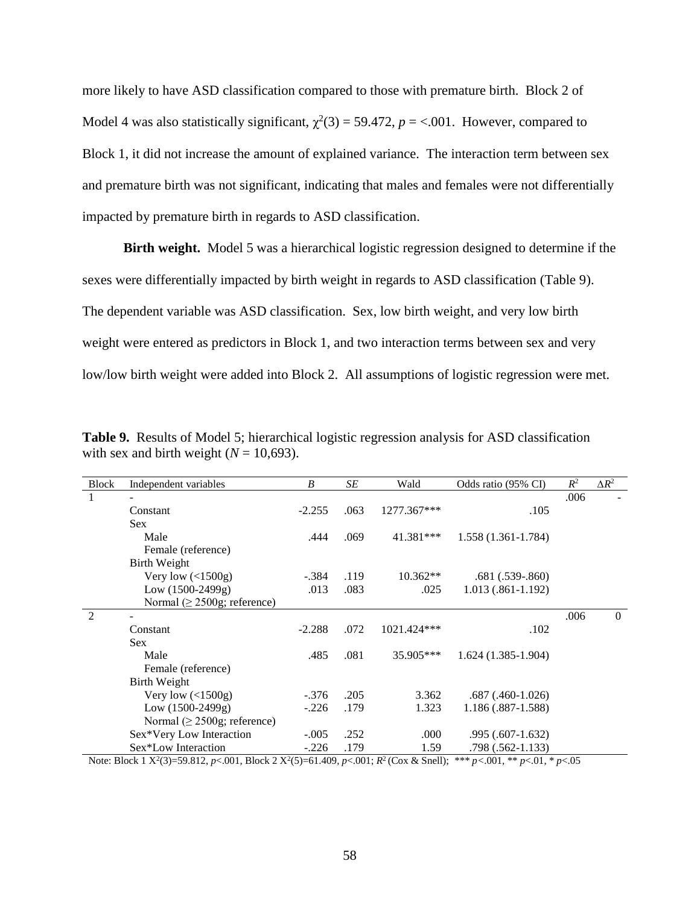more likely to have ASD classification compared to those with premature birth. Block 2 of Model 4 was also statistically significant,  $\chi^2(3) = 59.472$ ,  $p = < .001$ . However, compared to Block 1, it did not increase the amount of explained variance. The interaction term between sex and premature birth was not significant, indicating that males and females were not differentially impacted by premature birth in regards to ASD classification.

**Birth weight.** Model 5 was a hierarchical logistic regression designed to determine if the sexes were differentially impacted by birth weight in regards to ASD classification (Table 9). The dependent variable was ASD classification. Sex, low birth weight, and very low birth weight were entered as predictors in Block 1, and two interaction terms between sex and very low/low birth weight were added into Block 2. All assumptions of logistic regression were met.

| <b>Block</b>   | Independent variables             | B        | SE   | Wald        | Odds ratio (95% CI)   | $R^2$ | $\Delta R^2$   |
|----------------|-----------------------------------|----------|------|-------------|-----------------------|-------|----------------|
|                |                                   |          |      |             |                       | .006  |                |
|                | Constant                          | $-2.255$ | .063 | 1277.367*** | .105                  |       |                |
|                | <b>Sex</b>                        |          |      |             |                       |       |                |
|                | Male                              | .444     | .069 | 41.381***   | 1.558 (1.361-1.784)   |       |                |
|                | Female (reference)                |          |      |             |                       |       |                |
|                | <b>Birth Weight</b>               |          |      |             |                       |       |                |
|                | Very low $($ 1500g)               | $-.384$  | .119 | $10.362**$  | $.681(.539-.860)$     |       |                |
|                | $Low (1500-2499g)$                | .013     | .083 | .025        | $1.013(.861-1.192)$   |       |                |
|                | Normal ( $\geq$ 2500g; reference) |          |      |             |                       |       |                |
| $\mathfrak{D}$ |                                   |          |      |             |                       | .006  | $\overline{0}$ |
|                | Constant                          | $-2.288$ | .072 | 1021.424*** | .102                  |       |                |
|                | <b>Sex</b>                        |          |      |             |                       |       |                |
|                | Male                              | .485     | .081 | 35.905***   | $1.624(1.385-1.904)$  |       |                |
|                | Female (reference)                |          |      |             |                       |       |                |
|                | <b>Birth Weight</b>               |          |      |             |                       |       |                |
|                | Very low $($ 1500g $)$            | $-.376$  | .205 | 3.362       | $.687$ $(.460-1.026)$ |       |                |
|                | $Low (1500-2499g)$                | $-.226$  | .179 | 1.323       | 1.186 (.887-1.588)    |       |                |
|                | Normal ( $\geq$ 2500g; reference) |          |      |             |                       |       |                |
|                | Sex*Very Low Interaction          | $-.005$  | .252 | .000        | $.995(.607-1.632)$    |       |                |
|                | Sex*Low Interaction               | $-.226$  | .179 | 1.59        | .798 (.562-1.133)     |       |                |

**Table 9.** Results of Model 5; hierarchical logistic regression analysis for ASD classification with sex and birth weight  $(N = 10,693)$ .

Note: Block 1  $X^2(3)=59.812$ , *p*<.001, Block 2  $X^2(5)=61.409$ , *p*<.001;  $R^2$  (Cox & Snell); \*\*\* *p*<.001, \*\* *p*<.01, \* *p*<.05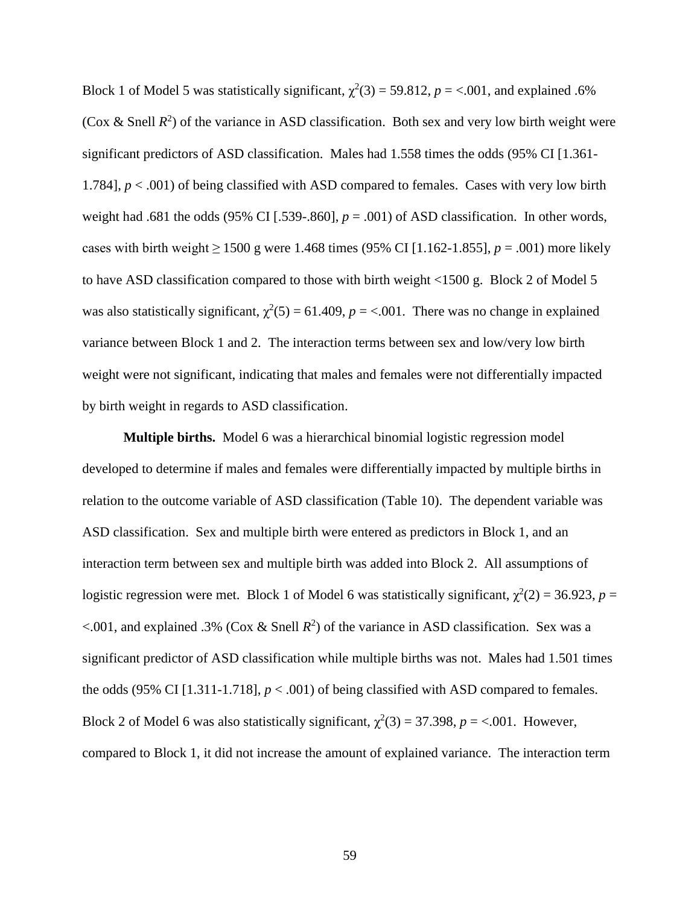Block 1 of Model 5 was statistically significant,  $\chi^2(3) = 59.812$ ,  $p = <.001$ , and explained .6% (Cox & Snell  $R^2$ ) of the variance in ASD classification. Both sex and very low birth weight were significant predictors of ASD classification. Males had 1.558 times the odds (95% CI [1.361- 1.784], *p* < .001) of being classified with ASD compared to females. Cases with very low birth weight had .681 the odds (95% CI [.539-.860],  $p = .001$ ) of ASD classification. In other words, cases with birth weight ≥ 1500 g were 1.468 times (95% CI [1.162-1.855],  $p = .001$ ) more likely to have ASD classification compared to those with birth weight <1500 g. Block 2 of Model 5 was also statistically significant,  $\chi^2(5) = 61.409$ ,  $p = < .001$ . There was no change in explained variance between Block 1 and 2. The interaction terms between sex and low/very low birth weight were not significant, indicating that males and females were not differentially impacted by birth weight in regards to ASD classification.

**Multiple births.** Model 6 was a hierarchical binomial logistic regression model developed to determine if males and females were differentially impacted by multiple births in relation to the outcome variable of ASD classification (Table 10). The dependent variable was ASD classification. Sex and multiple birth were entered as predictors in Block 1, and an interaction term between sex and multiple birth was added into Block 2. All assumptions of logistic regression were met. Block 1 of Model 6 was statistically significant,  $\chi^2(2) = 36.923$ ,  $p =$  $\leq$ .001, and explained .3% (Cox & Snell  $R^2$ ) of the variance in ASD classification. Sex was a significant predictor of ASD classification while multiple births was not. Males had 1.501 times the odds (95% CI [1.311-1.718],  $p < .001$ ) of being classified with ASD compared to females. Block 2 of Model 6 was also statistically significant,  $\chi^2(3) = 37.398$ ,  $p = < .001$ . However, compared to Block 1, it did not increase the amount of explained variance. The interaction term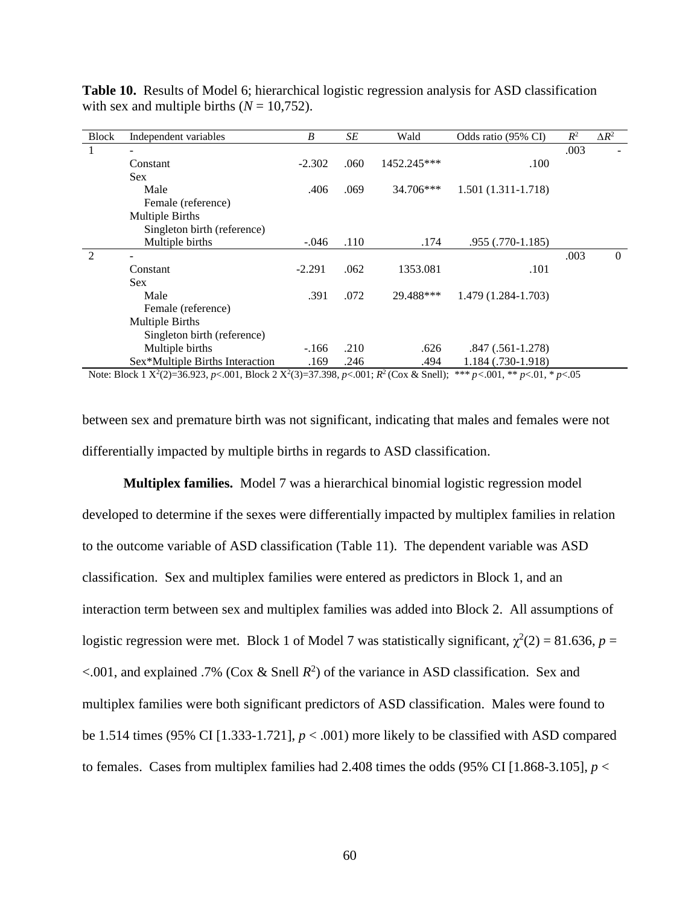| <b>Block</b>   | Independent variables           | B        | SE   | Wald        | Odds ratio (95% CI)  | $R^2$ | $\Delta R^2$   |
|----------------|---------------------------------|----------|------|-------------|----------------------|-------|----------------|
| 1              |                                 |          |      |             |                      | .003  |                |
|                | Constant                        | $-2.302$ | .060 | 1452.245*** | .100                 |       |                |
|                | <b>Sex</b>                      |          |      |             |                      |       |                |
|                | Male                            | .406     | .069 | 34.706***   | $1.501(1.311-1.718)$ |       |                |
|                | Female (reference)              |          |      |             |                      |       |                |
|                | <b>Multiple Births</b>          |          |      |             |                      |       |                |
|                | Singleton birth (reference)     |          |      |             |                      |       |                |
|                | Multiple births                 | $-.046$  | .110 | .174        | .955 (.770-1.185)    |       |                |
| $\mathfrak{D}$ |                                 |          |      |             |                      | .003  | $\overline{0}$ |
|                | Constant                        | $-2.291$ | .062 | 1353.081    | .101                 |       |                |
|                | <b>Sex</b>                      |          |      |             |                      |       |                |
|                | Male                            | .391     | .072 | 29.488***   | 1.479 (1.284-1.703)  |       |                |
|                | Female (reference)              |          |      |             |                      |       |                |
|                | <b>Multiple Births</b>          |          |      |             |                      |       |                |
|                | Singleton birth (reference)     |          |      |             |                      |       |                |
|                | Multiple births                 | $-166$   | .210 | .626        | $.847(.561-1.278)$   |       |                |
|                | Sex*Multiple Births Interaction | .169     | .246 | .494        | 1.184 (.730-1.918)   |       |                |

**Table 10.** Results of Model 6; hierarchical logistic regression analysis for ASD classification with sex and multiple births  $(N = 10,752)$ .

Note: Block 1  $X^2(2)=36.923$ , *p*<.001, Block 2  $X^2(3)=37.398$ , *p*<.001;  $R^2$  (Cox & Snell); \*\*\* *p*<.001, \*\* *p*<.01, \* *p*<.05

between sex and premature birth was not significant, indicating that males and females were not differentially impacted by multiple births in regards to ASD classification.

**Multiplex families.** Model 7 was a hierarchical binomial logistic regression model developed to determine if the sexes were differentially impacted by multiplex families in relation to the outcome variable of ASD classification (Table 11). The dependent variable was ASD classification. Sex and multiplex families were entered as predictors in Block 1, and an interaction term between sex and multiplex families was added into Block 2. All assumptions of logistic regression were met. Block 1 of Model 7 was statistically significant,  $\chi^2(2) = 81.636$ ,  $p =$  $\leq$ .001, and explained .7% (Cox & Snell  $R^2$ ) of the variance in ASD classification. Sex and multiplex families were both significant predictors of ASD classification. Males were found to be 1.514 times (95% CI [1.333-1.721],  $p < .001$ ) more likely to be classified with ASD compared to females. Cases from multiplex families had 2.408 times the odds  $(95\% \text{ CI} [1.868-3.105], p <$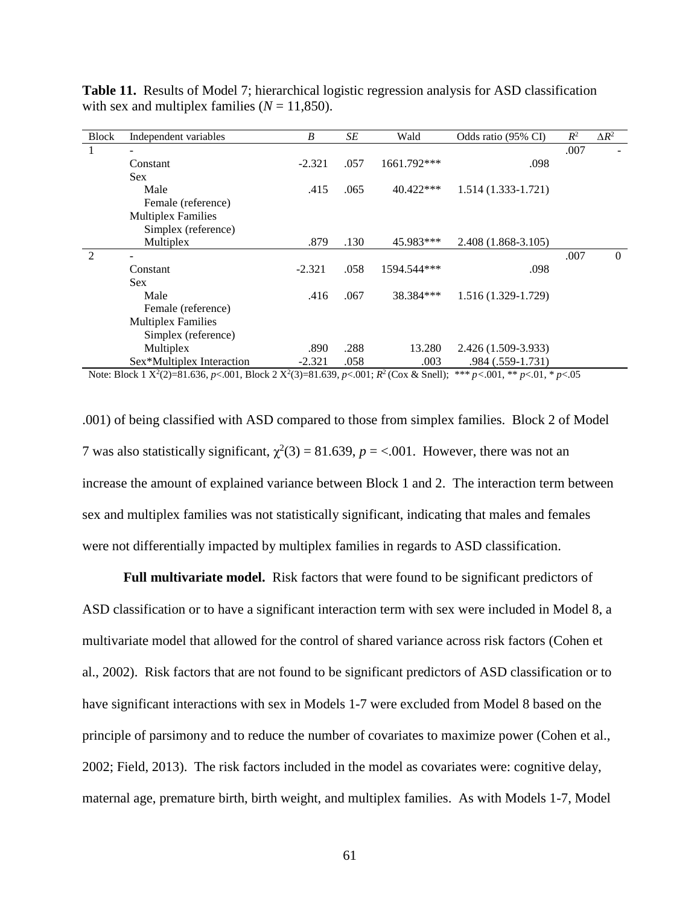| <b>Block</b>   | Independent variables     | B        | SE   | Wald        | Odds ratio (95% CI)    | $R^2$ | $\Delta R^2$   |
|----------------|---------------------------|----------|------|-------------|------------------------|-------|----------------|
| 1              |                           |          |      |             |                        | .007  |                |
|                | Constant                  | $-2.321$ | .057 | 1661.792*** | .098                   |       |                |
|                | Sex.                      |          |      |             |                        |       |                |
|                | Male                      | .415     | .065 | $40.422***$ | $1.514(1.333 - 1.721)$ |       |                |
|                | Female (reference)        |          |      |             |                        |       |                |
|                | <b>Multiplex Families</b> |          |      |             |                        |       |                |
|                | Simplex (reference)       |          |      |             |                        |       |                |
|                | Multiplex                 | .879     | .130 | 45.983***   | 2.408 (1.868-3.105)    |       |                |
| $\mathfrak{D}$ |                           |          |      |             |                        | .007  | $\overline{0}$ |
|                | Constant                  | $-2.321$ | .058 | 1594.544*** | .098                   |       |                |
|                | <b>Sex</b>                |          |      |             |                        |       |                |
|                | Male                      | .416     | .067 | 38.384***   | 1.516 (1.329-1.729)    |       |                |
|                | Female (reference)        |          |      |             |                        |       |                |
|                | <b>Multiplex Families</b> |          |      |             |                        |       |                |
|                | Simplex (reference)       |          |      |             |                        |       |                |
|                | Multiplex                 | .890     | .288 | 13.280      | 2.426 (1.509-3.933)    |       |                |
|                | Sex*Multiplex Interaction | $-2.321$ | .058 | .003        | .984 (.559-1.731)      |       |                |

**Table 11.** Results of Model 7; hierarchical logistic regression analysis for ASD classification with sex and multiplex families  $(N = 11,850)$ .

Note: Block 1  $X^2(2)=81.636$ , *p*<.001, Block 2  $X^2(3)=81.639$ , *p*<.001;  $R^2$  (Cox & Snell); \*\*\* *p*<.001, \*\* *p*<.01, \* *p*<.05

.001) of being classified with ASD compared to those from simplex families. Block 2 of Model 7 was also statistically significant,  $\chi^2(3) = 81.639$ ,  $p = < .001$ . However, there was not an increase the amount of explained variance between Block 1 and 2. The interaction term between sex and multiplex families was not statistically significant, indicating that males and females were not differentially impacted by multiplex families in regards to ASD classification.

**Full multivariate model.** Risk factors that were found to be significant predictors of ASD classification or to have a significant interaction term with sex were included in Model 8, a multivariate model that allowed for the control of shared variance across risk factors (Cohen et al., 2002). Risk factors that are not found to be significant predictors of ASD classification or to have significant interactions with sex in Models 1-7 were excluded from Model 8 based on the principle of parsimony and to reduce the number of covariates to maximize power (Cohen et al., 2002; Field, 2013). The risk factors included in the model as covariates were: cognitive delay, maternal age, premature birth, birth weight, and multiplex families. As with Models 1-7, Model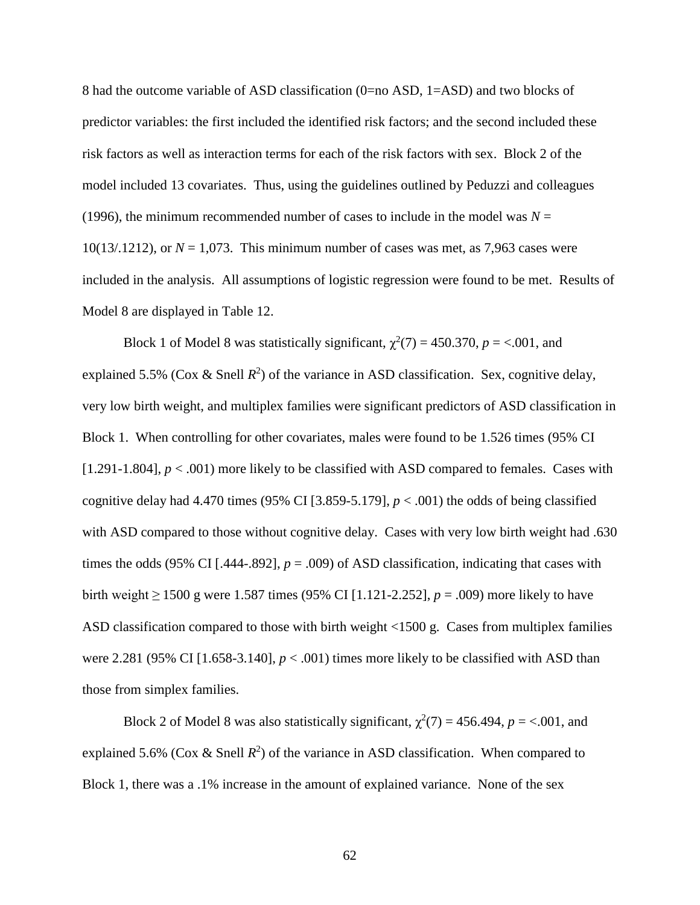8 had the outcome variable of ASD classification (0=no ASD, 1=ASD) and two blocks of predictor variables: the first included the identified risk factors; and the second included these risk factors as well as interaction terms for each of the risk factors with sex. Block 2 of the model included 13 covariates. Thus, using the guidelines outlined by Peduzzi and colleagues (1996), the minimum recommended number of cases to include in the model was  $N =$ 10(13/.1212), or  $N = 1.073$ . This minimum number of cases was met, as 7,963 cases were included in the analysis. All assumptions of logistic regression were found to be met. Results of Model 8 are displayed in Table 12.

Block 1 of Model 8 was statistically significant,  $\chi^2(7) = 450.370$ ,  $p = <.001$ , and explained 5.5% (Cox & Snell  $R^2$ ) of the variance in ASD classification. Sex, cognitive delay, very low birth weight, and multiplex families were significant predictors of ASD classification in Block 1. When controlling for other covariates, males were found to be 1.526 times (95% CI [1.291-1.804], *p* < .001) more likely to be classified with ASD compared to females. Cases with cognitive delay had 4.470 times (95% CI [3.859-5.179],  $p < .001$ ) the odds of being classified with ASD compared to those without cognitive delay. Cases with very low birth weight had .630 times the odds (95% CI [.444-.892],  $p = .009$ ) of ASD classification, indicating that cases with birth weight ≥ 1500 g were 1.587 times (95% CI [1.121-2.252], *p* = .009) more likely to have ASD classification compared to those with birth weight <1500 g. Cases from multiplex families were 2.281 (95% CI [1.658-3.140],  $p < .001$ ) times more likely to be classified with ASD than those from simplex families.

Block 2 of Model 8 was also statistically significant,  $\chi^2(7) = 456.494$ ,  $p = <.001$ , and explained 5.6% (Cox & Snell  $R^2$ ) of the variance in ASD classification. When compared to Block 1, there was a .1% increase in the amount of explained variance. None of the sex

62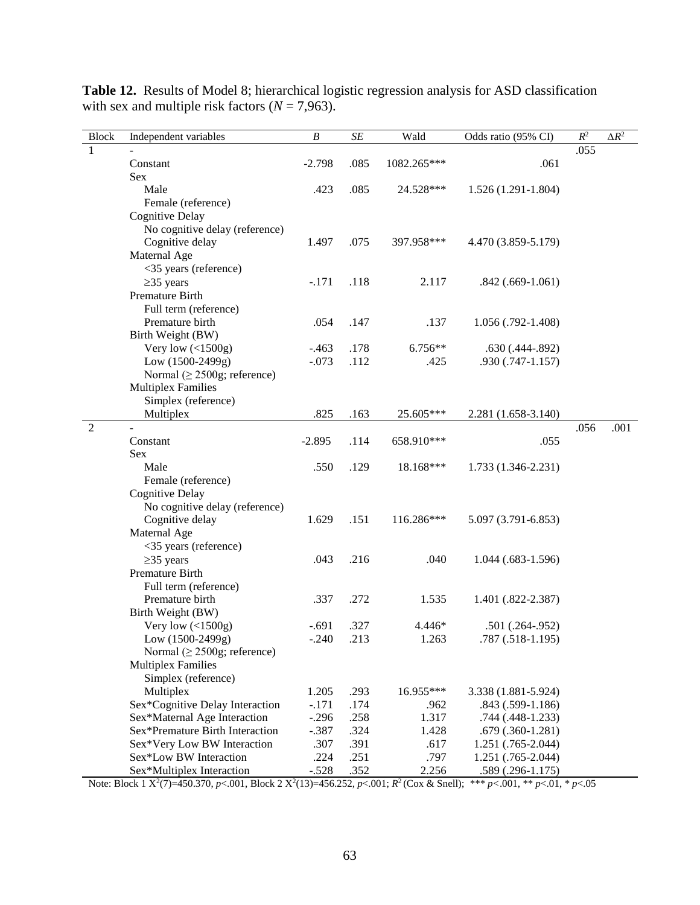| <b>Block</b>   | Independent variables             | B        | $\cal SE$ | Wald        | Odds ratio (95% CI)  | $\mathbb{R}^2$ | $\Delta R^2$ |
|----------------|-----------------------------------|----------|-----------|-------------|----------------------|----------------|--------------|
| 1              |                                   |          |           |             |                      | .055           |              |
|                | Constant                          | $-2.798$ | .085      | 1082.265*** | .061                 |                |              |
|                | <b>Sex</b>                        |          |           |             |                      |                |              |
|                | Male                              | .423     | .085      | 24.528***   | $1.526(1.291-1.804)$ |                |              |
|                | Female (reference)                |          |           |             |                      |                |              |
|                | <b>Cognitive Delay</b>            |          |           |             |                      |                |              |
|                | No cognitive delay (reference)    |          |           |             |                      |                |              |
|                | Cognitive delay                   | 1.497    | .075      | 397.958***  | 4.470 (3.859-5.179)  |                |              |
|                | Maternal Age                      |          |           |             |                      |                |              |
|                | <35 years (reference)             |          |           |             |                      |                |              |
|                | $\geq$ 35 years                   | $-.171$  | .118      | 2.117       | $.842(.669-1.061)$   |                |              |
|                | Premature Birth                   |          |           |             |                      |                |              |
|                | Full term (reference)             |          |           |             |                      |                |              |
|                | Premature birth                   | .054     | .147      | .137        | $1.056$ (.792-1.408) |                |              |
|                | Birth Weight (BW)                 |          |           |             |                      |                |              |
|                | Very low $($ 1500g)               | $-.463$  | .178      | $6.756**$   | $.630(.444-.892)$    |                |              |
|                | Low $(1500-2499g)$                | $-.073$  | .112      | .425        | $.930(.747-1.157)$   |                |              |
|                | Normal ( $\geq$ 2500g; reference) |          |           |             |                      |                |              |
|                | <b>Multiplex Families</b>         |          |           |             |                      |                |              |
|                | Simplex (reference)               |          |           |             |                      |                |              |
|                | Multiplex                         | .825     | .163      | 25.605***   | 2.281 (1.658-3.140)  |                |              |
| $\overline{2}$ |                                   |          |           |             |                      | .056           | .001         |
|                | Constant                          | $-2.895$ | .114      | 658.910***  | .055                 |                |              |
|                | Sex                               |          |           |             |                      |                |              |
|                | Male                              | .550     | .129      | 18.168***   | 1.733 (1.346-2.231)  |                |              |
|                | Female (reference)                |          |           |             |                      |                |              |
|                | Cognitive Delay                   |          |           |             |                      |                |              |
|                | No cognitive delay (reference)    |          |           |             |                      |                |              |
|                | Cognitive delay                   | 1.629    | .151      | 116.286***  | 5.097 (3.791-6.853)  |                |              |
|                | Maternal Age                      |          |           |             |                      |                |              |
|                | <35 years (reference)             |          |           |             |                      |                |              |
|                | $\geq$ 35 years                   | .043     | .216      | .040        | $1.044$ (.683-1.596) |                |              |
|                | Premature Birth                   |          |           |             |                      |                |              |
|                | Full term (reference)             |          |           |             |                      |                |              |
|                | Premature birth                   | .337     | .272      | 1.535       | 1.401 (.822-2.387)   |                |              |
|                | Birth Weight (BW)                 |          |           |             |                      |                |              |
|                | Very low $($ 1500g)               | $-.691$  | .327      | 4.446*      | $.501(.264-.952)$    |                |              |
|                | Low $(1500-2499g)$                | $-.240$  | .213      | 1.263       | .787 (.518-1.195)    |                |              |
|                | Normal ( $\geq$ 2500g; reference) |          |           |             |                      |                |              |
|                | <b>Multiplex Families</b>         |          |           |             |                      |                |              |
|                | Simplex (reference)               |          |           |             |                      |                |              |
|                | Multiplex                         | 1.205    | .293      | 16.955***   | 3.338 (1.881-5.924)  |                |              |
|                | Sex*Cognitive Delay Interaction   | $-.171$  | .174      | .962        | $.843(.599-1.186)$   |                |              |
|                | Sex*Maternal Age Interaction      | $-.296$  | .258      | 1.317       | .744 (.448-1.233)    |                |              |
|                | Sex*Premature Birth Interaction   | $-.387$  | .324      | 1.428       | $.679(.360-1.281)$   |                |              |
|                | Sex*Very Low BW Interaction       | .307     | .391      | .617        | 1.251 (.765-2.044)   |                |              |
|                | Sex*Low BW Interaction            | .224     | .251      | .797        | 1.251 (.765-2.044)   |                |              |
|                | Sex*Multiplex Interaction         | $-.528$  | .352      | 2.256       | $.589(.296-1.175)$   |                |              |

**Table 12.** Results of Model 8; hierarchical logistic regression analysis for ASD classification with sex and multiple risk factors  $(N = 7,963)$ .

Note: Block 1  $X^2(7)=450.370$ ,  $p<.001$ , Block 2  $X^2(13)=456.252$ ,  $p<.001$ ;  $R^2$  (Cox & Snell);  $**p<.001$ ,  $**p<.01$ ,  $*p<.05$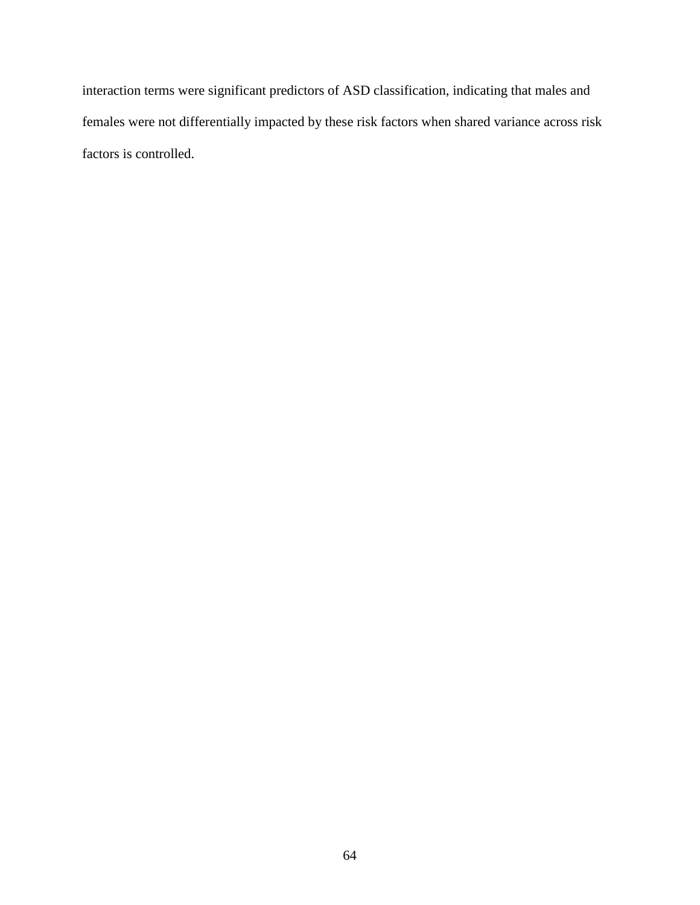interaction terms were significant predictors of ASD classification, indicating that males and females were not differentially impacted by these risk factors when shared variance across risk factors is controlled.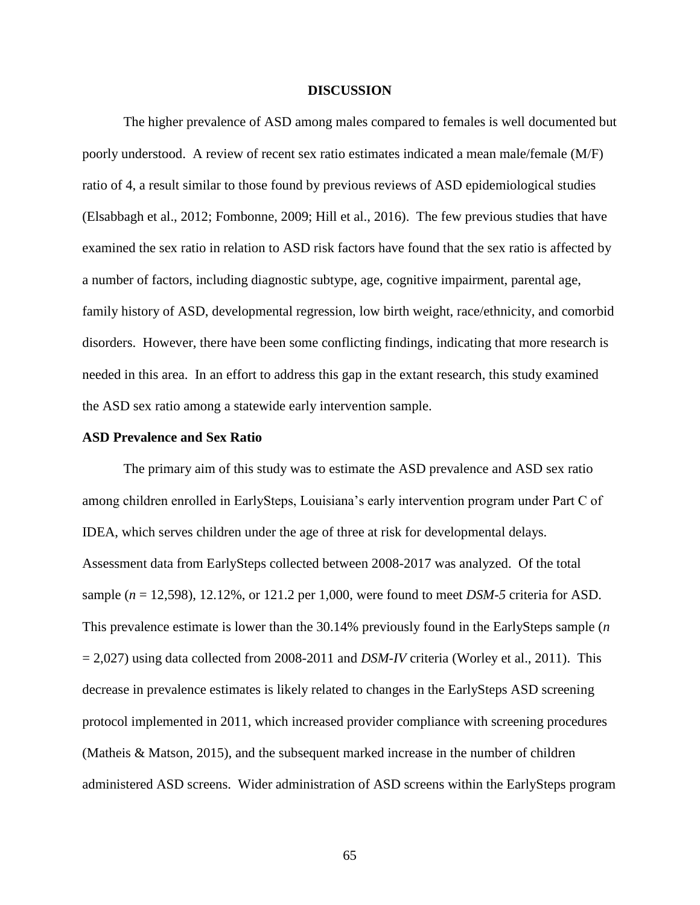### **DISCUSSION**

The higher prevalence of ASD among males compared to females is well documented but poorly understood. A review of recent sex ratio estimates indicated a mean male/female (M/F) ratio of 4, a result similar to those found by previous reviews of ASD epidemiological studies (Elsabbagh et al., 2012; Fombonne, 2009; Hill et al., 2016). The few previous studies that have examined the sex ratio in relation to ASD risk factors have found that the sex ratio is affected by a number of factors, including diagnostic subtype, age, cognitive impairment, parental age, family history of ASD, developmental regression, low birth weight, race/ethnicity, and comorbid disorders. However, there have been some conflicting findings, indicating that more research is needed in this area. In an effort to address this gap in the extant research, this study examined the ASD sex ratio among a statewide early intervention sample.

# **ASD Prevalence and Sex Ratio**

The primary aim of this study was to estimate the ASD prevalence and ASD sex ratio among children enrolled in EarlySteps, Louisiana's early intervention program under Part C of IDEA, which serves children under the age of three at risk for developmental delays. Assessment data from EarlySteps collected between 2008-2017 was analyzed. Of the total sample (*n* = 12,598), 12.12%, or 121.2 per 1,000, were found to meet *DSM-5* criteria for ASD. This prevalence estimate is lower than the 30.14% previously found in the EarlySteps sample (*n*   $= 2,027$ ) using data collected from 2008-2011 and *DSM-IV* criteria (Worley et al., 2011). This decrease in prevalence estimates is likely related to changes in the EarlySteps ASD screening protocol implemented in 2011, which increased provider compliance with screening procedures (Matheis & Matson, 2015), and the subsequent marked increase in the number of children administered ASD screens. Wider administration of ASD screens within the EarlySteps program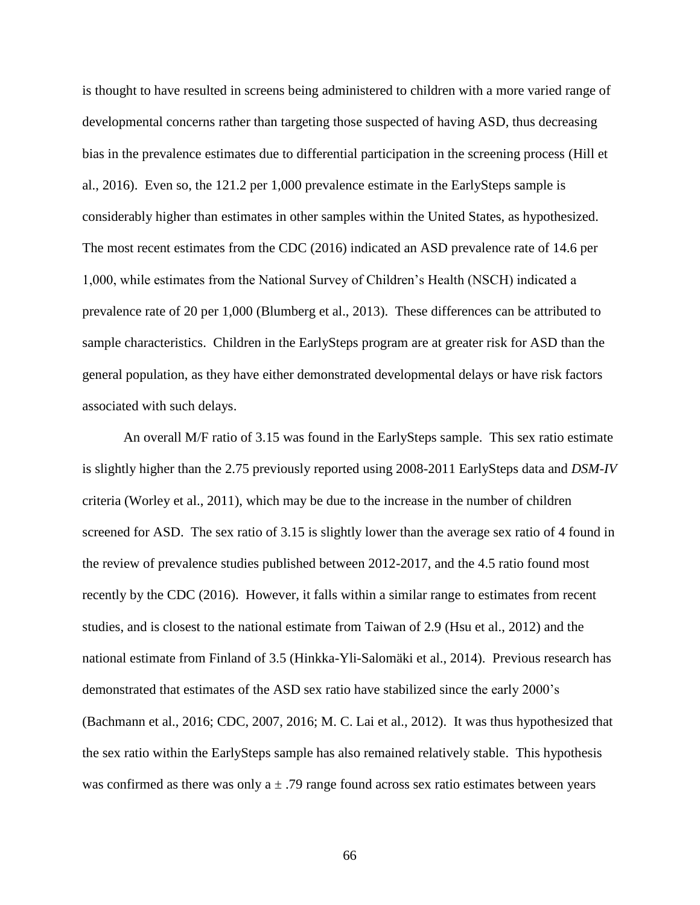is thought to have resulted in screens being administered to children with a more varied range of developmental concerns rather than targeting those suspected of having ASD, thus decreasing bias in the prevalence estimates due to differential participation in the screening process (Hill et al., 2016). Even so, the 121.2 per 1,000 prevalence estimate in the EarlySteps sample is considerably higher than estimates in other samples within the United States, as hypothesized. The most recent estimates from the CDC (2016) indicated an ASD prevalence rate of 14.6 per 1,000, while estimates from the National Survey of Children's Health (NSCH) indicated a prevalence rate of 20 per 1,000 (Blumberg et al., 2013). These differences can be attributed to sample characteristics. Children in the EarlySteps program are at greater risk for ASD than the general population, as they have either demonstrated developmental delays or have risk factors associated with such delays.

An overall M/F ratio of 3.15 was found in the EarlySteps sample. This sex ratio estimate is slightly higher than the 2.75 previously reported using 2008-2011 EarlySteps data and *DSM-IV* criteria (Worley et al., 2011), which may be due to the increase in the number of children screened for ASD. The sex ratio of 3.15 is slightly lower than the average sex ratio of 4 found in the review of prevalence studies published between 2012-2017, and the 4.5 ratio found most recently by the CDC (2016). However, it falls within a similar range to estimates from recent studies, and is closest to the national estimate from Taiwan of 2.9 (Hsu et al., 2012) and the national estimate from Finland of 3.5 (Hinkka-Yli-Salomäki et al., 2014). Previous research has demonstrated that estimates of the ASD sex ratio have stabilized since the early 2000's (Bachmann et al., 2016; CDC, 2007, 2016; M. C. Lai et al., 2012). It was thus hypothesized that the sex ratio within the EarlySteps sample has also remained relatively stable. This hypothesis was confirmed as there was only  $a \pm .79$  range found across sex ratio estimates between years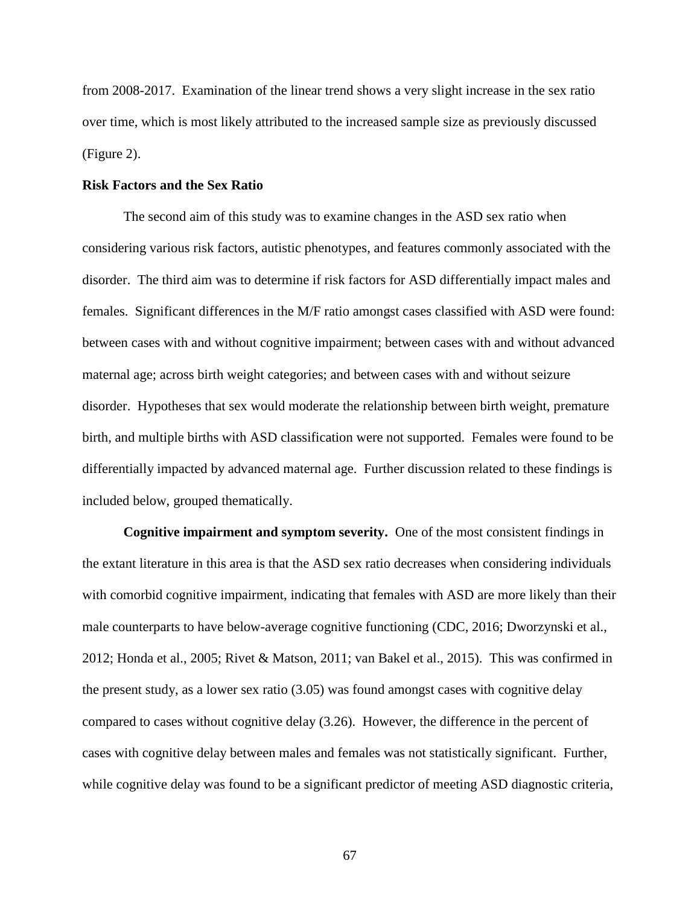from 2008-2017. Examination of the linear trend shows a very slight increase in the sex ratio over time, which is most likely attributed to the increased sample size as previously discussed (Figure 2).

### **Risk Factors and the Sex Ratio**

The second aim of this study was to examine changes in the ASD sex ratio when considering various risk factors, autistic phenotypes, and features commonly associated with the disorder. The third aim was to determine if risk factors for ASD differentially impact males and females. Significant differences in the M/F ratio amongst cases classified with ASD were found: between cases with and without cognitive impairment; between cases with and without advanced maternal age; across birth weight categories; and between cases with and without seizure disorder. Hypotheses that sex would moderate the relationship between birth weight, premature birth, and multiple births with ASD classification were not supported. Females were found to be differentially impacted by advanced maternal age. Further discussion related to these findings is included below, grouped thematically.

**Cognitive impairment and symptom severity.** One of the most consistent findings in the extant literature in this area is that the ASD sex ratio decreases when considering individuals with comorbid cognitive impairment, indicating that females with ASD are more likely than their male counterparts to have below-average cognitive functioning (CDC, 2016; Dworzynski et al., 2012; Honda et al., 2005; Rivet & Matson, 2011; van Bakel et al., 2015). This was confirmed in the present study, as a lower sex ratio (3.05) was found amongst cases with cognitive delay compared to cases without cognitive delay (3.26). However, the difference in the percent of cases with cognitive delay between males and females was not statistically significant. Further, while cognitive delay was found to be a significant predictor of meeting ASD diagnostic criteria,

67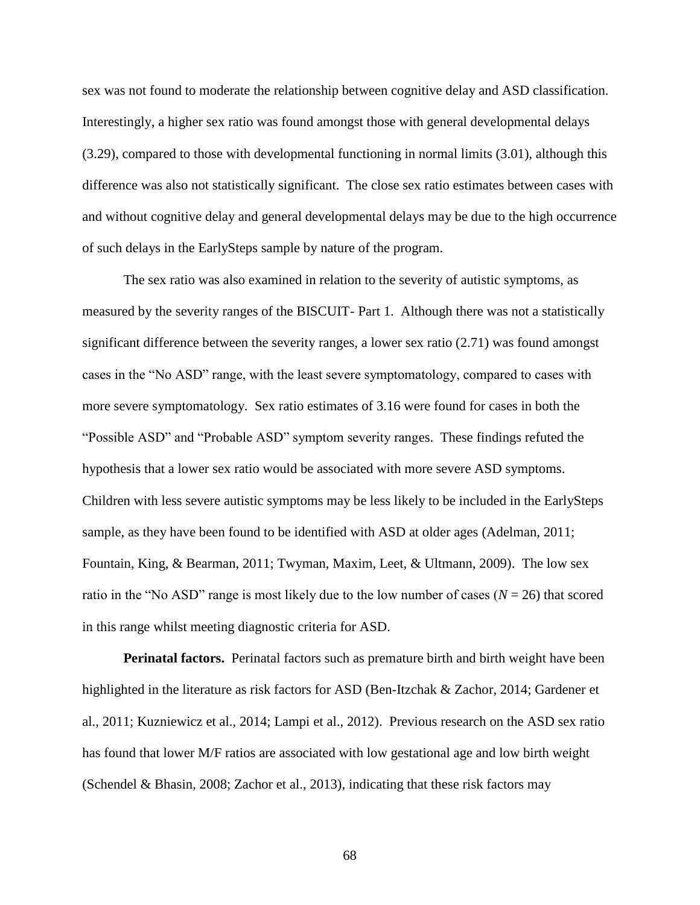sex was not found to moderate the relationship between cognitive delay and ASD classification. Interestingly, a higher sex ratio was found amongst those with general developmental delays (3.29), compared to those with developmental functioning in normal limits (3.01), although this difference was also not statistically significant. The close sex ratio estimates between cases with and without cognitive delay and general developmental delays may be due to the high occurrence of such delays in the EarlySteps sample by nature of the program.

The sex ratio was also examined in relation to the severity of autistic symptoms, as measured by the severity ranges of the BISCUIT- Part 1. Although there was not a statistically significant difference between the severity ranges, a lower sex ratio (2.71) was found amongst cases in the "No ASD" range, with the least severe symptomatology, compared to cases with more severe symptomatology. Sex ratio estimates of 3.16 were found for cases in both the "Possible ASD" and "Probable ASD" symptom severity ranges. These findings refuted the hypothesis that a lower sex ratio would be associated with more severe ASD symptoms. Children with less severe autistic symptoms may be less likely to be included in the EarlySteps sample, as they have been found to be identified with ASD at older ages (Adelman, 2011; Fountain, King, & Bearman, 2011; Twyman, Maxim, Leet, & Ultmann, 2009). The low sex ratio in the "No ASD" range is most likely due to the low number of cases ( $N = 26$ ) that scored in this range whilst meeting diagnostic criteria for ASD.

**Perinatal factors.** Perinatal factors such as premature birth and birth weight have been highlighted in the literature as risk factors for ASD (Ben-Itzchak & Zachor, 2014; Gardener et al., 2011; Kuzniewicz et al., 2014; Lampi et al., 2012). Previous research on the ASD sex ratio has found that lower M/F ratios are associated with low gestational age and low birth weight (Schendel & Bhasin, 2008; Zachor et al., 2013), indicating that these risk factors may

68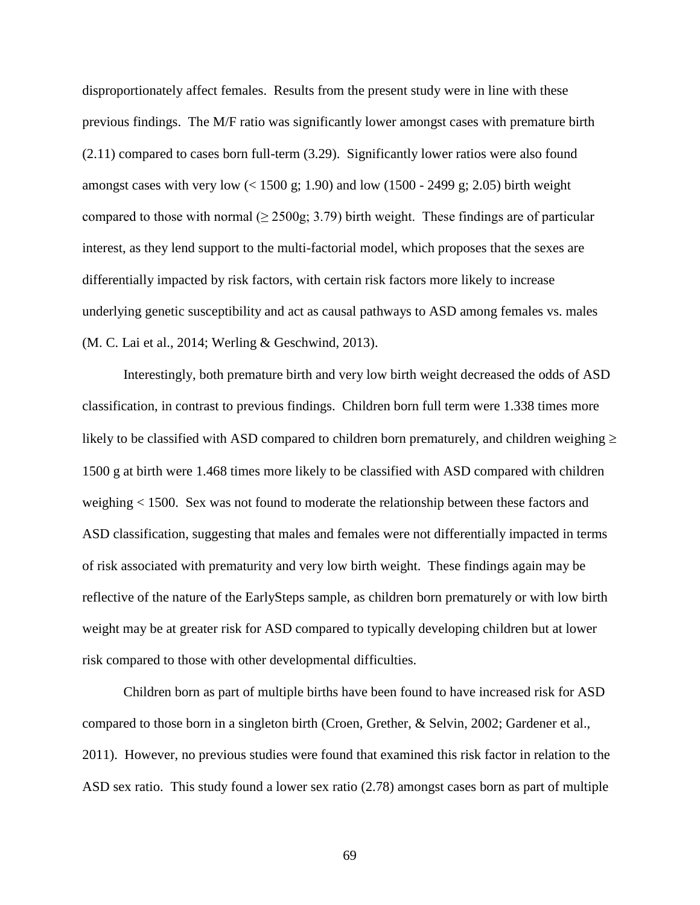disproportionately affect females. Results from the present study were in line with these previous findings. The M/F ratio was significantly lower amongst cases with premature birth (2.11) compared to cases born full-term (3.29). Significantly lower ratios were also found amongst cases with very low  $\left($  < 1500 g; 1.90) and low (1500 - 2499 g; 2.05) birth weight compared to those with normal ( $\geq$  2500g; 3.79) birth weight. These findings are of particular interest, as they lend support to the multi-factorial model, which proposes that the sexes are differentially impacted by risk factors, with certain risk factors more likely to increase underlying genetic susceptibility and act as causal pathways to ASD among females vs. males (M. C. Lai et al., 2014; Werling & Geschwind, 2013).

Interestingly, both premature birth and very low birth weight decreased the odds of ASD classification, in contrast to previous findings. Children born full term were 1.338 times more likely to be classified with ASD compared to children born prematurely, and children weighing  $\geq$ 1500 g at birth were 1.468 times more likely to be classified with ASD compared with children weighing < 1500. Sex was not found to moderate the relationship between these factors and ASD classification, suggesting that males and females were not differentially impacted in terms of risk associated with prematurity and very low birth weight. These findings again may be reflective of the nature of the EarlySteps sample, as children born prematurely or with low birth weight may be at greater risk for ASD compared to typically developing children but at lower risk compared to those with other developmental difficulties.

Children born as part of multiple births have been found to have increased risk for ASD compared to those born in a singleton birth (Croen, Grether, & Selvin, 2002; Gardener et al., 2011). However, no previous studies were found that examined this risk factor in relation to the ASD sex ratio. This study found a lower sex ratio (2.78) amongst cases born as part of multiple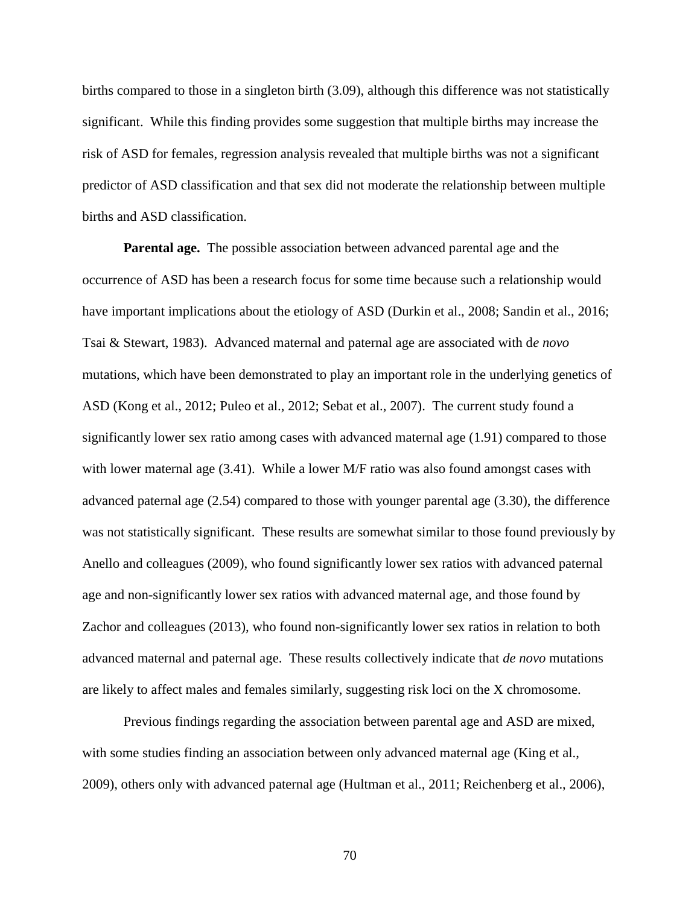births compared to those in a singleton birth (3.09), although this difference was not statistically significant. While this finding provides some suggestion that multiple births may increase the risk of ASD for females, regression analysis revealed that multiple births was not a significant predictor of ASD classification and that sex did not moderate the relationship between multiple births and ASD classification.

**Parental age.** The possible association between advanced parental age and the occurrence of ASD has been a research focus for some time because such a relationship would have important implications about the etiology of ASD (Durkin et al., 2008; Sandin et al., 2016; Tsai & Stewart, 1983). Advanced maternal and paternal age are associated with d*e novo* mutations, which have been demonstrated to play an important role in the underlying genetics of ASD (Kong et al., 2012; Puleo et al., 2012; Sebat et al., 2007). The current study found a significantly lower sex ratio among cases with advanced maternal age (1.91) compared to those with lower maternal age  $(3.41)$ . While a lower M/F ratio was also found amongst cases with advanced paternal age (2.54) compared to those with younger parental age (3.30), the difference was not statistically significant. These results are somewhat similar to those found previously by Anello and colleagues (2009), who found significantly lower sex ratios with advanced paternal age and non-significantly lower sex ratios with advanced maternal age, and those found by Zachor and colleagues (2013), who found non-significantly lower sex ratios in relation to both advanced maternal and paternal age. These results collectively indicate that *de novo* mutations are likely to affect males and females similarly, suggesting risk loci on the X chromosome.

Previous findings regarding the association between parental age and ASD are mixed, with some studies finding an association between only advanced maternal age (King et al., 2009), others only with advanced paternal age (Hultman et al., 2011; Reichenberg et al., 2006),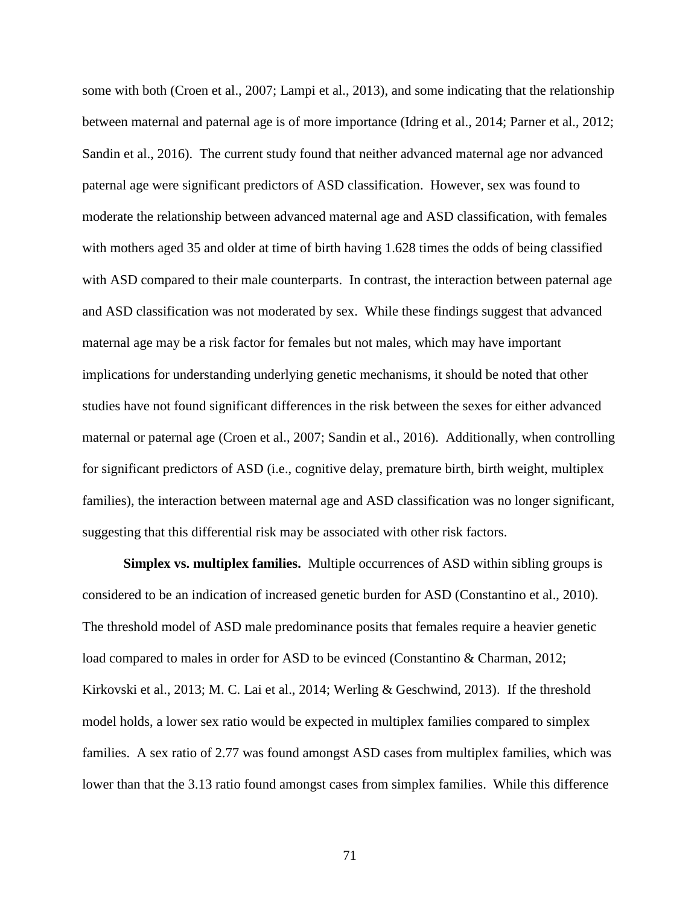some with both (Croen et al., 2007; Lampi et al., 2013), and some indicating that the relationship between maternal and paternal age is of more importance (Idring et al., 2014; Parner et al., 2012; Sandin et al., 2016). The current study found that neither advanced maternal age nor advanced paternal age were significant predictors of ASD classification. However, sex was found to moderate the relationship between advanced maternal age and ASD classification, with females with mothers aged 35 and older at time of birth having 1.628 times the odds of being classified with ASD compared to their male counterparts. In contrast, the interaction between paternal age and ASD classification was not moderated by sex. While these findings suggest that advanced maternal age may be a risk factor for females but not males, which may have important implications for understanding underlying genetic mechanisms, it should be noted that other studies have not found significant differences in the risk between the sexes for either advanced maternal or paternal age (Croen et al., 2007; Sandin et al., 2016). Additionally, when controlling for significant predictors of ASD (i.e., cognitive delay, premature birth, birth weight, multiplex families), the interaction between maternal age and ASD classification was no longer significant, suggesting that this differential risk may be associated with other risk factors.

**Simplex vs. multiplex families.** Multiple occurrences of ASD within sibling groups is considered to be an indication of increased genetic burden for ASD (Constantino et al., 2010). The threshold model of ASD male predominance posits that females require a heavier genetic load compared to males in order for ASD to be evinced (Constantino & Charman, 2012; Kirkovski et al., 2013; M. C. Lai et al., 2014; Werling & Geschwind, 2013). If the threshold model holds, a lower sex ratio would be expected in multiplex families compared to simplex families. A sex ratio of 2.77 was found amongst ASD cases from multiplex families, which was lower than that the 3.13 ratio found amongst cases from simplex families. While this difference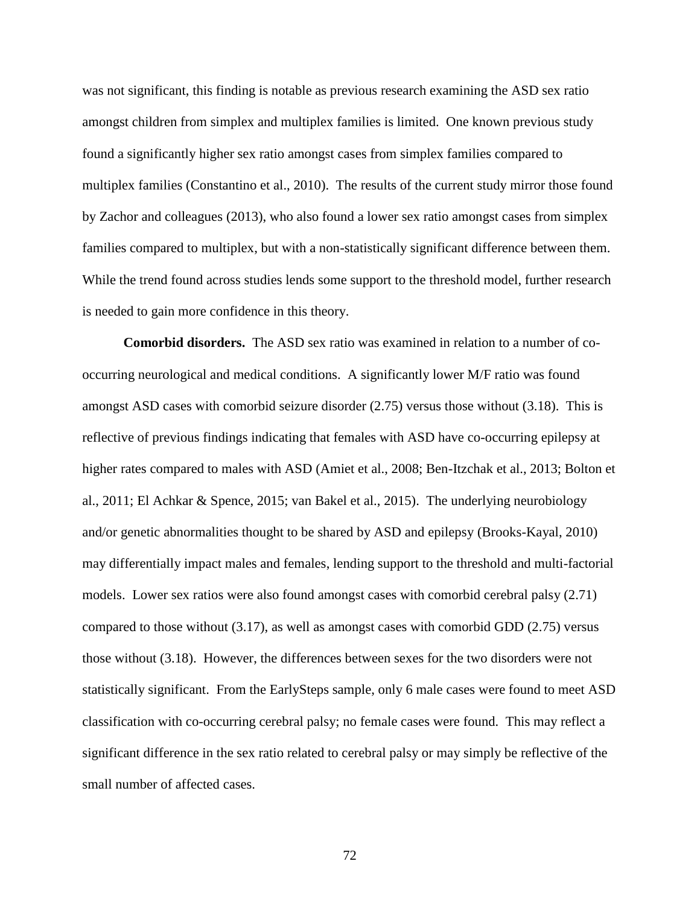was not significant, this finding is notable as previous research examining the ASD sex ratio amongst children from simplex and multiplex families is limited. One known previous study found a significantly higher sex ratio amongst cases from simplex families compared to multiplex families (Constantino et al., 2010). The results of the current study mirror those found by Zachor and colleagues (2013), who also found a lower sex ratio amongst cases from simplex families compared to multiplex, but with a non-statistically significant difference between them. While the trend found across studies lends some support to the threshold model, further research is needed to gain more confidence in this theory.

**Comorbid disorders.** The ASD sex ratio was examined in relation to a number of cooccurring neurological and medical conditions. A significantly lower M/F ratio was found amongst ASD cases with comorbid seizure disorder (2.75) versus those without (3.18). This is reflective of previous findings indicating that females with ASD have co-occurring epilepsy at higher rates compared to males with ASD (Amiet et al., 2008; Ben-Itzchak et al., 2013; Bolton et al., 2011; El Achkar & Spence, 2015; van Bakel et al., 2015). The underlying neurobiology and/or genetic abnormalities thought to be shared by ASD and epilepsy (Brooks-Kayal, 2010) may differentially impact males and females, lending support to the threshold and multi-factorial models. Lower sex ratios were also found amongst cases with comorbid cerebral palsy (2.71) compared to those without  $(3.17)$ , as well as amongst cases with comorbid GDD  $(2.75)$  versus those without (3.18). However, the differences between sexes for the two disorders were not statistically significant. From the EarlySteps sample, only 6 male cases were found to meet ASD classification with co-occurring cerebral palsy; no female cases were found. This may reflect a significant difference in the sex ratio related to cerebral palsy or may simply be reflective of the small number of affected cases.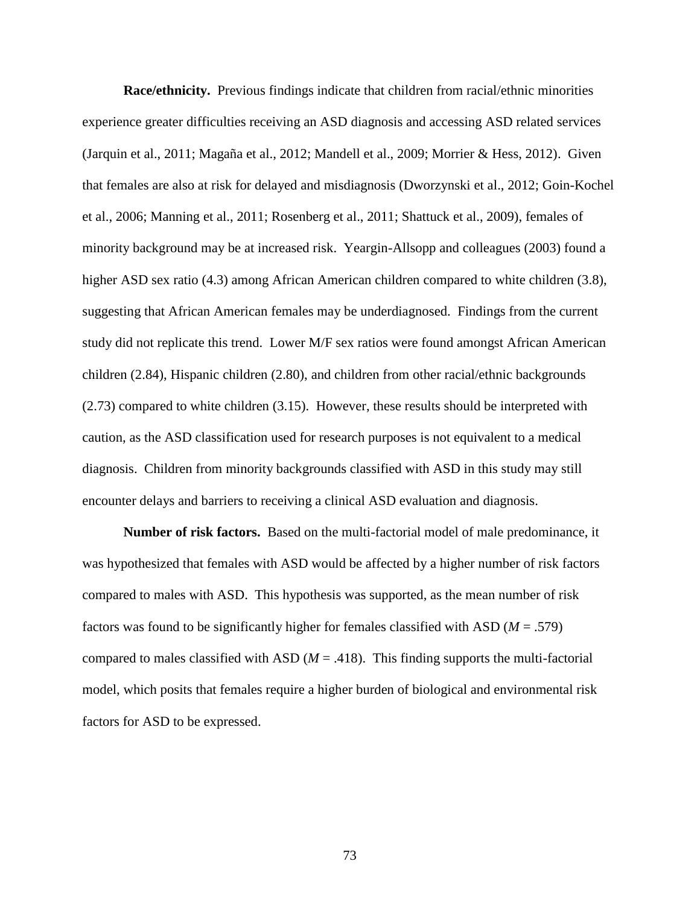**Race/ethnicity.** Previous findings indicate that children from racial/ethnic minorities experience greater difficulties receiving an ASD diagnosis and accessing ASD related services (Jarquin et al., 2011; Magaña et al., 2012; Mandell et al., 2009; Morrier & Hess, 2012). Given that females are also at risk for delayed and misdiagnosis (Dworzynski et al., 2012; Goin-Kochel et al., 2006; Manning et al., 2011; Rosenberg et al., 2011; Shattuck et al., 2009), females of minority background may be at increased risk. Yeargin-Allsopp and colleagues (2003) found a higher ASD sex ratio (4.3) among African American children compared to white children (3.8), suggesting that African American females may be underdiagnosed. Findings from the current study did not replicate this trend. Lower M/F sex ratios were found amongst African American children (2.84), Hispanic children (2.80), and children from other racial/ethnic backgrounds (2.73) compared to white children (3.15). However, these results should be interpreted with caution, as the ASD classification used for research purposes is not equivalent to a medical diagnosis. Children from minority backgrounds classified with ASD in this study may still encounter delays and barriers to receiving a clinical ASD evaluation and diagnosis.

**Number of risk factors.** Based on the multi-factorial model of male predominance, it was hypothesized that females with ASD would be affected by a higher number of risk factors compared to males with ASD. This hypothesis was supported, as the mean number of risk factors was found to be significantly higher for females classified with ASD (*M* = .579) compared to males classified with ASD  $(M = .418)$ . This finding supports the multi-factorial model, which posits that females require a higher burden of biological and environmental risk factors for ASD to be expressed.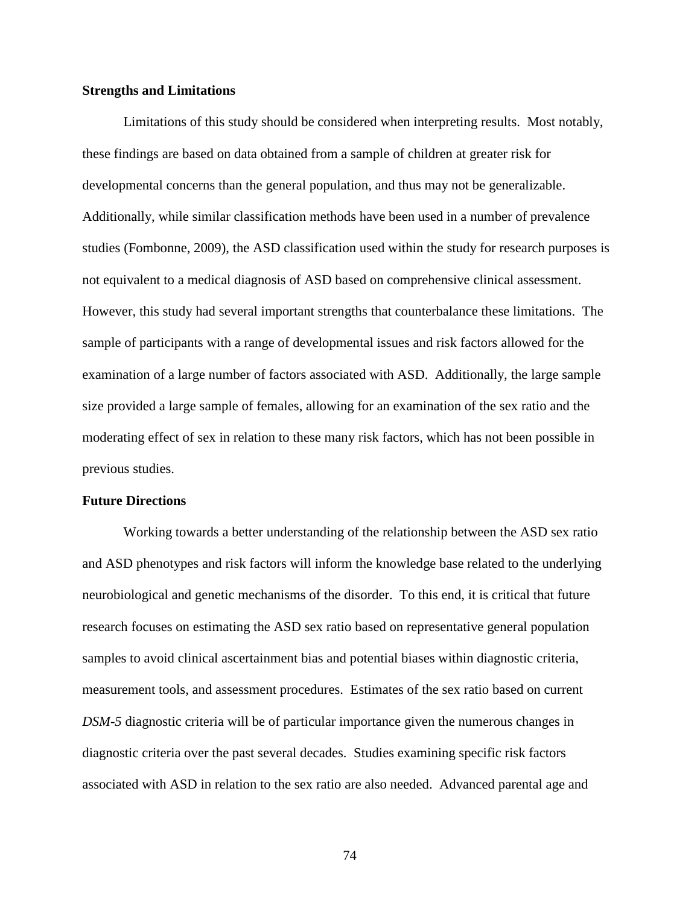## **Strengths and Limitations**

Limitations of this study should be considered when interpreting results. Most notably, these findings are based on data obtained from a sample of children at greater risk for developmental concerns than the general population, and thus may not be generalizable. Additionally, while similar classification methods have been used in a number of prevalence studies (Fombonne, 2009), the ASD classification used within the study for research purposes is not equivalent to a medical diagnosis of ASD based on comprehensive clinical assessment. However, this study had several important strengths that counterbalance these limitations. The sample of participants with a range of developmental issues and risk factors allowed for the examination of a large number of factors associated with ASD. Additionally, the large sample size provided a large sample of females, allowing for an examination of the sex ratio and the moderating effect of sex in relation to these many risk factors, which has not been possible in previous studies.

## **Future Directions**

Working towards a better understanding of the relationship between the ASD sex ratio and ASD phenotypes and risk factors will inform the knowledge base related to the underlying neurobiological and genetic mechanisms of the disorder. To this end, it is critical that future research focuses on estimating the ASD sex ratio based on representative general population samples to avoid clinical ascertainment bias and potential biases within diagnostic criteria, measurement tools, and assessment procedures. Estimates of the sex ratio based on current *DSM-5* diagnostic criteria will be of particular importance given the numerous changes in diagnostic criteria over the past several decades. Studies examining specific risk factors associated with ASD in relation to the sex ratio are also needed. Advanced parental age and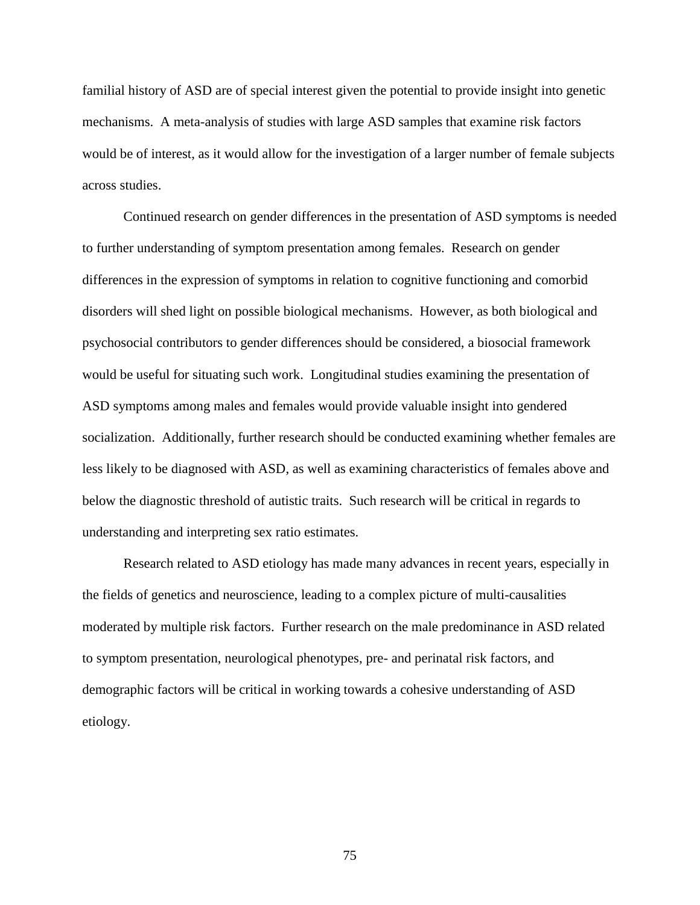familial history of ASD are of special interest given the potential to provide insight into genetic mechanisms. A meta-analysis of studies with large ASD samples that examine risk factors would be of interest, as it would allow for the investigation of a larger number of female subjects across studies.

Continued research on gender differences in the presentation of ASD symptoms is needed to further understanding of symptom presentation among females. Research on gender differences in the expression of symptoms in relation to cognitive functioning and comorbid disorders will shed light on possible biological mechanisms. However, as both biological and psychosocial contributors to gender differences should be considered, a biosocial framework would be useful for situating such work. Longitudinal studies examining the presentation of ASD symptoms among males and females would provide valuable insight into gendered socialization. Additionally, further research should be conducted examining whether females are less likely to be diagnosed with ASD, as well as examining characteristics of females above and below the diagnostic threshold of autistic traits. Such research will be critical in regards to understanding and interpreting sex ratio estimates.

Research related to ASD etiology has made many advances in recent years, especially in the fields of genetics and neuroscience, leading to a complex picture of multi-causalities moderated by multiple risk factors. Further research on the male predominance in ASD related to symptom presentation, neurological phenotypes, pre- and perinatal risk factors, and demographic factors will be critical in working towards a cohesive understanding of ASD etiology.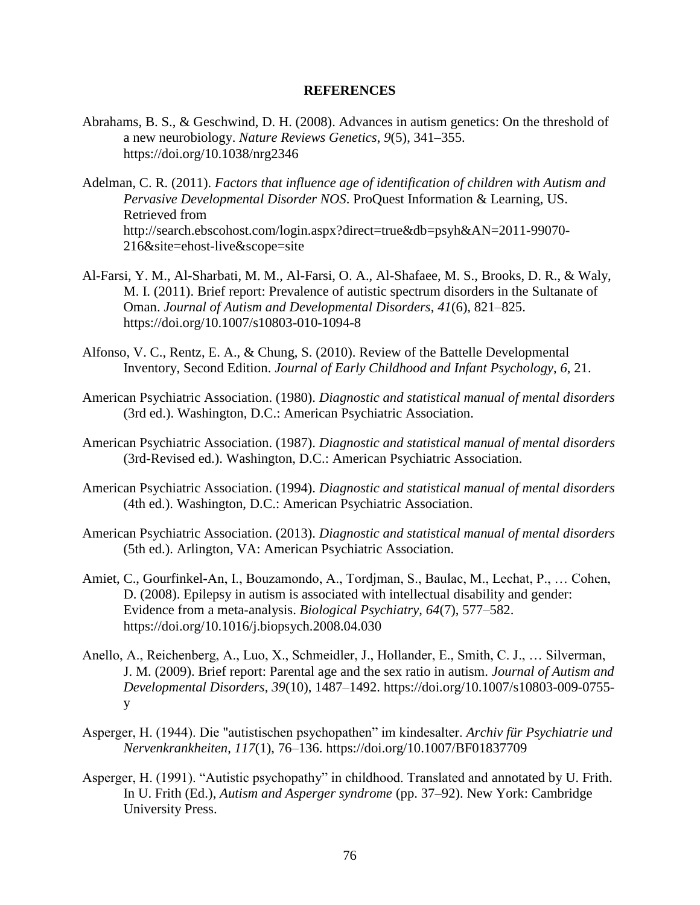## **REFERENCES**

- Abrahams, B. S., & Geschwind, D. H. (2008). Advances in autism genetics: On the threshold of a new neurobiology. *Nature Reviews Genetics*, *9*(5), 341–355. https://doi.org/10.1038/nrg2346
- Adelman, C. R. (2011). *Factors that influence age of identification of children with Autism and Pervasive Developmental Disorder NOS*. ProQuest Information & Learning, US. Retrieved from http://search.ebscohost.com/login.aspx?direct=true&db=psyh&AN=2011-99070- 216&site=ehost-live&scope=site
- Al-Farsi, Y. M., Al-Sharbati, M. M., Al-Farsi, O. A., Al-Shafaee, M. S., Brooks, D. R., & Waly, M. I. (2011). Brief report: Prevalence of autistic spectrum disorders in the Sultanate of Oman. *Journal of Autism and Developmental Disorders*, *41*(6), 821–825. https://doi.org/10.1007/s10803-010-1094-8
- Alfonso, V. C., Rentz, E. A., & Chung, S. (2010). Review of the Battelle Developmental Inventory, Second Edition. *Journal of Early Childhood and Infant Psychology*, *6*, 21.
- American Psychiatric Association. (1980). *Diagnostic and statistical manual of mental disorders* (3rd ed.). Washington, D.C.: American Psychiatric Association.
- American Psychiatric Association. (1987). *Diagnostic and statistical manual of mental disorders* (3rd-Revised ed.). Washington, D.C.: American Psychiatric Association.
- American Psychiatric Association. (1994). *Diagnostic and statistical manual of mental disorders* (4th ed.). Washington, D.C.: American Psychiatric Association.
- American Psychiatric Association. (2013). *Diagnostic and statistical manual of mental disorders* (5th ed.). Arlington, VA: American Psychiatric Association.
- Amiet, C., Gourfinkel-An, I., Bouzamondo, A., Tordjman, S., Baulac, M., Lechat, P., … Cohen, D. (2008). Epilepsy in autism is associated with intellectual disability and gender: Evidence from a meta-analysis. *Biological Psychiatry*, *64*(7), 577–582. https://doi.org/10.1016/j.biopsych.2008.04.030
- Anello, A., Reichenberg, A., Luo, X., Schmeidler, J., Hollander, E., Smith, C. J., … Silverman, J. M. (2009). Brief report: Parental age and the sex ratio in autism. *Journal of Autism and Developmental Disorders*, *39*(10), 1487–1492. https://doi.org/10.1007/s10803-009-0755 y
- Asperger, H. (1944). Die "autistischen psychopathen" im kindesalter. *Archiv für Psychiatrie und Nervenkrankheiten*, *117*(1), 76–136. https://doi.org/10.1007/BF01837709
- Asperger, H. (1991). "Autistic psychopathy" in childhood. Translated and annotated by U. Frith. In U. Frith (Ed.), *Autism and Asperger syndrome* (pp. 37–92). New York: Cambridge University Press.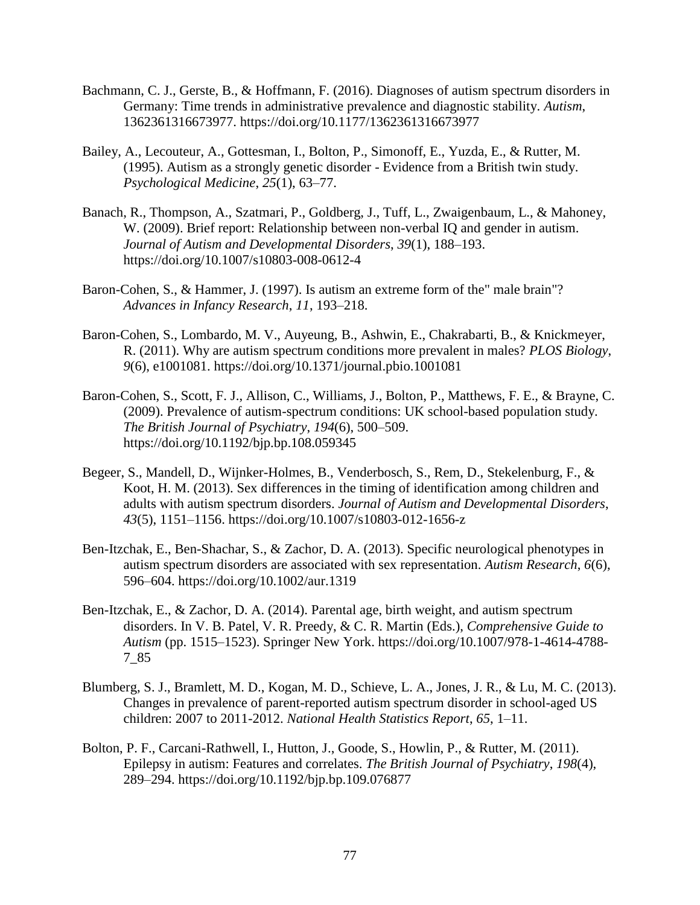- Bachmann, C. J., Gerste, B., & Hoffmann, F. (2016). Diagnoses of autism spectrum disorders in Germany: Time trends in administrative prevalence and diagnostic stability. *Autism*, 1362361316673977. https://doi.org/10.1177/1362361316673977
- Bailey, A., Lecouteur, A., Gottesman, I., Bolton, P., Simonoff, E., Yuzda, E., & Rutter, M. (1995). Autism as a strongly genetic disorder - Evidence from a British twin study. *Psychological Medicine*, *25*(1), 63–77.
- Banach, R., Thompson, A., Szatmari, P., Goldberg, J., Tuff, L., Zwaigenbaum, L., & Mahoney, W. (2009). Brief report: Relationship between non-verbal IQ and gender in autism. *Journal of Autism and Developmental Disorders*, *39*(1), 188–193. https://doi.org/10.1007/s10803-008-0612-4
- Baron-Cohen, S., & Hammer, J. (1997). Is autism an extreme form of the" male brain"? *Advances in Infancy Research*, *11*, 193–218.
- Baron-Cohen, S., Lombardo, M. V., Auyeung, B., Ashwin, E., Chakrabarti, B., & Knickmeyer, R. (2011). Why are autism spectrum conditions more prevalent in males? *PLOS Biology*, *9*(6), e1001081. https://doi.org/10.1371/journal.pbio.1001081
- Baron-Cohen, S., Scott, F. J., Allison, C., Williams, J., Bolton, P., Matthews, F. E., & Brayne, C. (2009). Prevalence of autism-spectrum conditions: UK school-based population study. *The British Journal of Psychiatry*, *194*(6), 500–509. https://doi.org/10.1192/bjp.bp.108.059345
- Begeer, S., Mandell, D., Wijnker-Holmes, B., Venderbosch, S., Rem, D., Stekelenburg, F., & Koot, H. M. (2013). Sex differences in the timing of identification among children and adults with autism spectrum disorders. *Journal of Autism and Developmental Disorders*, *43*(5), 1151–1156. https://doi.org/10.1007/s10803-012-1656-z
- Ben-Itzchak, E., Ben-Shachar, S., & Zachor, D. A. (2013). Specific neurological phenotypes in autism spectrum disorders are associated with sex representation. *Autism Research*, *6*(6), 596–604. https://doi.org/10.1002/aur.1319
- Ben-Itzchak, E., & Zachor, D. A. (2014). Parental age, birth weight, and autism spectrum disorders. In V. B. Patel, V. R. Preedy, & C. R. Martin (Eds.), *Comprehensive Guide to Autism* (pp. 1515–1523). Springer New York. https://doi.org/10.1007/978-1-4614-4788- 7\_85
- Blumberg, S. J., Bramlett, M. D., Kogan, M. D., Schieve, L. A., Jones, J. R., & Lu, M. C. (2013). Changes in prevalence of parent-reported autism spectrum disorder in school-aged US children: 2007 to 2011-2012. *National Health Statistics Report*, *65*, 1–11.
- Bolton, P. F., Carcani-Rathwell, I., Hutton, J., Goode, S., Howlin, P., & Rutter, M. (2011). Epilepsy in autism: Features and correlates. *The British Journal of Psychiatry*, *198*(4), 289–294. https://doi.org/10.1192/bjp.bp.109.076877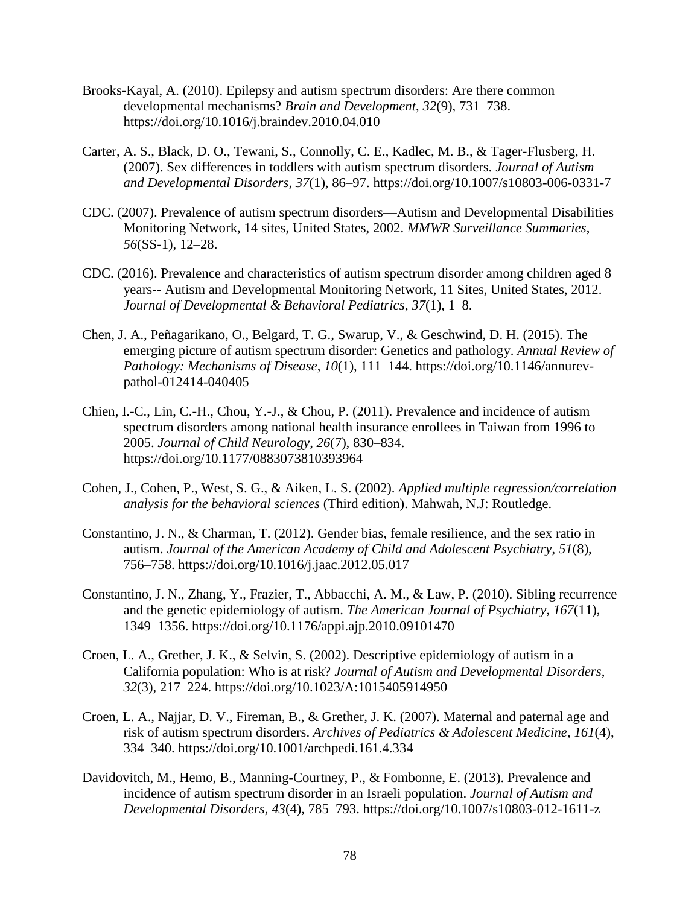- Brooks-Kayal, A. (2010). Epilepsy and autism spectrum disorders: Are there common developmental mechanisms? *Brain and Development*, *32*(9), 731–738. https://doi.org/10.1016/j.braindev.2010.04.010
- Carter, A. S., Black, D. O., Tewani, S., Connolly, C. E., Kadlec, M. B., & Tager-Flusberg, H. (2007). Sex differences in toddlers with autism spectrum disorders. *Journal of Autism and Developmental Disorders*, *37*(1), 86–97. https://doi.org/10.1007/s10803-006-0331-7
- CDC. (2007). Prevalence of autism spectrum disorders—Autism and Developmental Disabilities Monitoring Network, 14 sites, United States, 2002. *MMWR Surveillance Summaries*, *56*(SS-1), 12–28.
- CDC. (2016). Prevalence and characteristics of autism spectrum disorder among children aged 8 years-- Autism and Developmental Monitoring Network, 11 Sites, United States, 2012. *Journal of Developmental & Behavioral Pediatrics*, *37*(1), 1–8.
- Chen, J. A., Peñagarikano, O., Belgard, T. G., Swarup, V., & Geschwind, D. H. (2015). The emerging picture of autism spectrum disorder: Genetics and pathology. *Annual Review of Pathology: Mechanisms of Disease*, *10*(1), 111–144. https://doi.org/10.1146/annurevpathol-012414-040405
- Chien, I.-C., Lin, C.-H., Chou, Y.-J., & Chou, P. (2011). Prevalence and incidence of autism spectrum disorders among national health insurance enrollees in Taiwan from 1996 to 2005. *Journal of Child Neurology*, *26*(7), 830–834. https://doi.org/10.1177/0883073810393964
- Cohen, J., Cohen, P., West, S. G., & Aiken, L. S. (2002). *Applied multiple regression/correlation analysis for the behavioral sciences* (Third edition). Mahwah, N.J: Routledge.
- Constantino, J. N., & Charman, T. (2012). Gender bias, female resilience, and the sex ratio in autism. *Journal of the American Academy of Child and Adolescent Psychiatry*, *51*(8), 756–758. https://doi.org/10.1016/j.jaac.2012.05.017
- Constantino, J. N., Zhang, Y., Frazier, T., Abbacchi, A. M., & Law, P. (2010). Sibling recurrence and the genetic epidemiology of autism. *The American Journal of Psychiatry*, *167*(11), 1349–1356. https://doi.org/10.1176/appi.ajp.2010.09101470
- Croen, L. A., Grether, J. K., & Selvin, S. (2002). Descriptive epidemiology of autism in a California population: Who is at risk? *Journal of Autism and Developmental Disorders*, *32*(3), 217–224. https://doi.org/10.1023/A:1015405914950
- Croen, L. A., Najjar, D. V., Fireman, B., & Grether, J. K. (2007). Maternal and paternal age and risk of autism spectrum disorders. *Archives of Pediatrics & Adolescent Medicine*, *161*(4), 334–340. https://doi.org/10.1001/archpedi.161.4.334
- Davidovitch, M., Hemo, B., Manning-Courtney, P., & Fombonne, E. (2013). Prevalence and incidence of autism spectrum disorder in an Israeli population. *Journal of Autism and Developmental Disorders*, *43*(4), 785–793. https://doi.org/10.1007/s10803-012-1611-z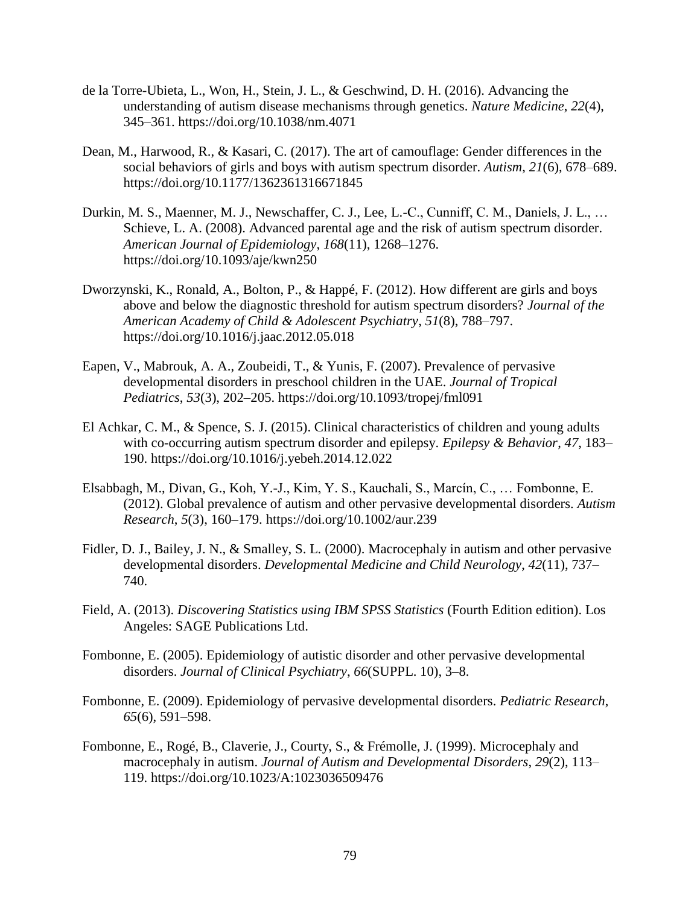- de la Torre-Ubieta, L., Won, H., Stein, J. L., & Geschwind, D. H. (2016). Advancing the understanding of autism disease mechanisms through genetics. *Nature Medicine*, *22*(4), 345–361. https://doi.org/10.1038/nm.4071
- Dean, M., Harwood, R., & Kasari, C. (2017). The art of camouflage: Gender differences in the social behaviors of girls and boys with autism spectrum disorder. *Autism*, *21*(6), 678–689. https://doi.org/10.1177/1362361316671845
- Durkin, M. S., Maenner, M. J., Newschaffer, C. J., Lee, L.-C., Cunniff, C. M., Daniels, J. L., … Schieve, L. A. (2008). Advanced parental age and the risk of autism spectrum disorder. *American Journal of Epidemiology*, *168*(11), 1268–1276. https://doi.org/10.1093/aje/kwn250
- Dworzynski, K., Ronald, A., Bolton, P., & Happé, F. (2012). How different are girls and boys above and below the diagnostic threshold for autism spectrum disorders? *Journal of the American Academy of Child & Adolescent Psychiatry*, *51*(8), 788–797. https://doi.org/10.1016/j.jaac.2012.05.018
- Eapen, V., Mabrouk, A. A., Zoubeidi, T., & Yunis, F. (2007). Prevalence of pervasive developmental disorders in preschool children in the UAE. *Journal of Tropical Pediatrics*, *53*(3), 202–205. https://doi.org/10.1093/tropej/fml091
- El Achkar, C. M., & Spence, S. J. (2015). Clinical characteristics of children and young adults with co-occurring autism spectrum disorder and epilepsy. *Epilepsy & Behavior*, *47*, 183– 190. https://doi.org/10.1016/j.yebeh.2014.12.022
- Elsabbagh, M., Divan, G., Koh, Y.-J., Kim, Y. S., Kauchali, S., Marcín, C., … Fombonne, E. (2012). Global prevalence of autism and other pervasive developmental disorders. *Autism Research*, *5*(3), 160–179. https://doi.org/10.1002/aur.239
- Fidler, D. J., Bailey, J. N., & Smalley, S. L. (2000). Macrocephaly in autism and other pervasive developmental disorders. *Developmental Medicine and Child Neurology*, *42*(11), 737– 740.
- Field, A. (2013). *Discovering Statistics using IBM SPSS Statistics* (Fourth Edition edition). Los Angeles: SAGE Publications Ltd.
- Fombonne, E. (2005). Epidemiology of autistic disorder and other pervasive developmental disorders. *Journal of Clinical Psychiatry*, *66*(SUPPL. 10), 3–8.
- Fombonne, E. (2009). Epidemiology of pervasive developmental disorders. *Pediatric Research*, *65*(6), 591–598.
- Fombonne, E., Rogé, B., Claverie, J., Courty, S., & Frémolle, J. (1999). Microcephaly and macrocephaly in autism. *Journal of Autism and Developmental Disorders*, *29*(2), 113– 119. https://doi.org/10.1023/A:1023036509476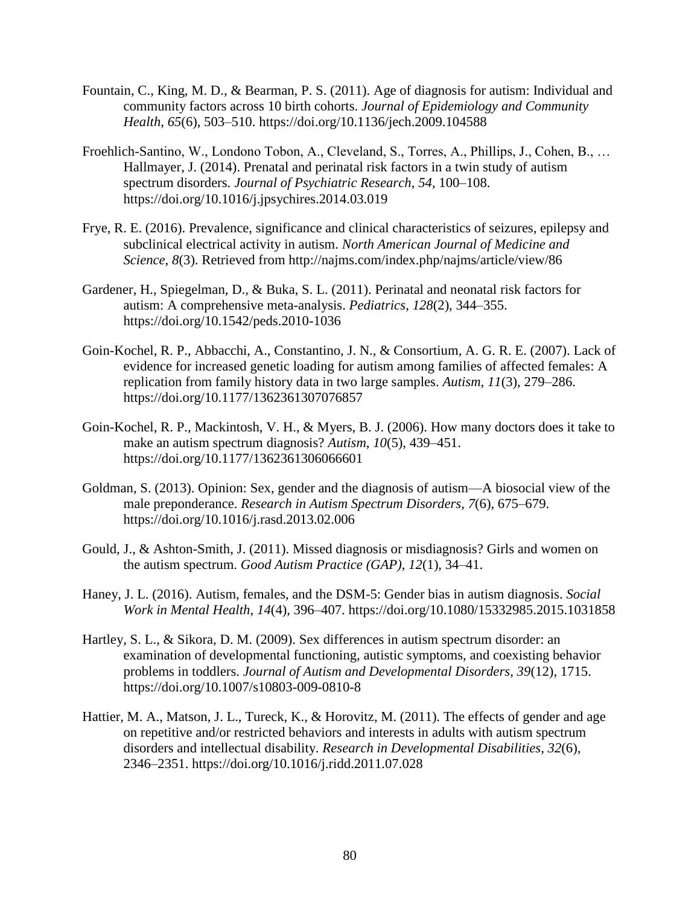- Fountain, C., King, M. D., & Bearman, P. S. (2011). Age of diagnosis for autism: Individual and community factors across 10 birth cohorts. *Journal of Epidemiology and Community Health*, *65*(6), 503–510. https://doi.org/10.1136/jech.2009.104588
- Froehlich-Santino, W., Londono Tobon, A., Cleveland, S., Torres, A., Phillips, J., Cohen, B., … Hallmayer, J. (2014). Prenatal and perinatal risk factors in a twin study of autism spectrum disorders. *Journal of Psychiatric Research*, *54*, 100–108. https://doi.org/10.1016/j.jpsychires.2014.03.019
- Frye, R. E. (2016). Prevalence, significance and clinical characteristics of seizures, epilepsy and subclinical electrical activity in autism. *North American Journal of Medicine and Science*, *8*(3). Retrieved from http://najms.com/index.php/najms/article/view/86
- Gardener, H., Spiegelman, D., & Buka, S. L. (2011). Perinatal and neonatal risk factors for autism: A comprehensive meta-analysis. *Pediatrics*, *128*(2), 344–355. https://doi.org/10.1542/peds.2010-1036
- Goin-Kochel, R. P., Abbacchi, A., Constantino, J. N., & Consortium, A. G. R. E. (2007). Lack of evidence for increased genetic loading for autism among families of affected females: A replication from family history data in two large samples. *Autism*, *11*(3), 279–286. https://doi.org/10.1177/1362361307076857
- Goin-Kochel, R. P., Mackintosh, V. H., & Myers, B. J. (2006). How many doctors does it take to make an autism spectrum diagnosis? *Autism*, *10*(5), 439–451. https://doi.org/10.1177/1362361306066601
- Goldman, S. (2013). Opinion: Sex, gender and the diagnosis of autism—A biosocial view of the male preponderance. *Research in Autism Spectrum Disorders*, *7*(6), 675–679. https://doi.org/10.1016/j.rasd.2013.02.006
- Gould, J., & Ashton-Smith, J. (2011). Missed diagnosis or misdiagnosis? Girls and women on the autism spectrum. *Good Autism Practice (GAP)*, *12*(1), 34–41.
- Haney, J. L. (2016). Autism, females, and the DSM-5: Gender bias in autism diagnosis. *Social Work in Mental Health*, *14*(4), 396–407. https://doi.org/10.1080/15332985.2015.1031858
- Hartley, S. L., & Sikora, D. M. (2009). Sex differences in autism spectrum disorder: an examination of developmental functioning, autistic symptoms, and coexisting behavior problems in toddlers. *Journal of Autism and Developmental Disorders*, *39*(12), 1715. https://doi.org/10.1007/s10803-009-0810-8
- Hattier, M. A., Matson, J. L., Tureck, K., & Horovitz, M. (2011). The effects of gender and age on repetitive and/or restricted behaviors and interests in adults with autism spectrum disorders and intellectual disability. *Research in Developmental Disabilities*, *32*(6), 2346–2351. https://doi.org/10.1016/j.ridd.2011.07.028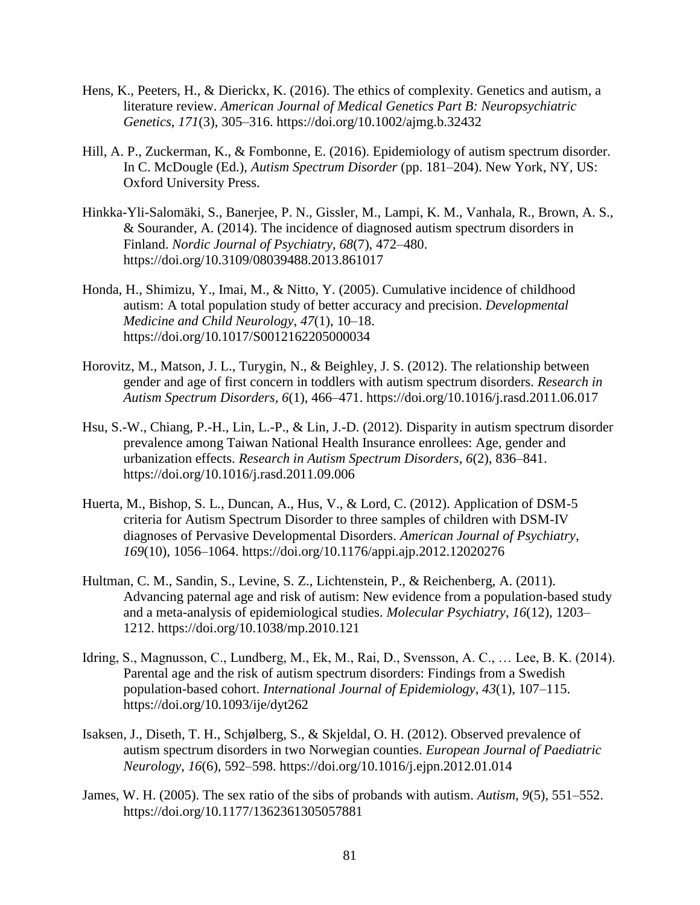- Hens, K., Peeters, H., & Dierickx, K. (2016). The ethics of complexity. Genetics and autism, a literature review. *American Journal of Medical Genetics Part B: Neuropsychiatric Genetics*, *171*(3), 305–316. https://doi.org/10.1002/ajmg.b.32432
- Hill, A. P., Zuckerman, K., & Fombonne, E. (2016). Epidemiology of autism spectrum disorder. In C. McDougle (Ed.), *Autism Spectrum Disorder* (pp. 181–204). New York, NY, US: Oxford University Press.
- Hinkka-Yli-Salomäki, S., Banerjee, P. N., Gissler, M., Lampi, K. M., Vanhala, R., Brown, A. S., & Sourander, A. (2014). The incidence of diagnosed autism spectrum disorders in Finland. *Nordic Journal of Psychiatry*, *68*(7), 472–480. https://doi.org/10.3109/08039488.2013.861017
- Honda, H., Shimizu, Y., Imai, M., & Nitto, Y. (2005). Cumulative incidence of childhood autism: A total population study of better accuracy and precision. *Developmental Medicine and Child Neurology*, *47*(1), 10–18. https://doi.org/10.1017/S0012162205000034
- Horovitz, M., Matson, J. L., Turygin, N., & Beighley, J. S. (2012). The relationship between gender and age of first concern in toddlers with autism spectrum disorders. *Research in Autism Spectrum Disorders*, *6*(1), 466–471. https://doi.org/10.1016/j.rasd.2011.06.017
- Hsu, S.-W., Chiang, P.-H., Lin, L.-P., & Lin, J.-D. (2012). Disparity in autism spectrum disorder prevalence among Taiwan National Health Insurance enrollees: Age, gender and urbanization effects. *Research in Autism Spectrum Disorders*, *6*(2), 836–841. https://doi.org/10.1016/j.rasd.2011.09.006
- Huerta, M., Bishop, S. L., Duncan, A., Hus, V., & Lord, C. (2012). Application of DSM-5 criteria for Autism Spectrum Disorder to three samples of children with DSM-IV diagnoses of Pervasive Developmental Disorders. *American Journal of Psychiatry*, *169*(10), 1056–1064. https://doi.org/10.1176/appi.ajp.2012.12020276
- Hultman, C. M., Sandin, S., Levine, S. Z., Lichtenstein, P., & Reichenberg, A. (2011). Advancing paternal age and risk of autism: New evidence from a population-based study and a meta-analysis of epidemiological studies. *Molecular Psychiatry*, *16*(12), 1203– 1212. https://doi.org/10.1038/mp.2010.121
- Idring, S., Magnusson, C., Lundberg, M., Ek, M., Rai, D., Svensson, A. C., … Lee, B. K. (2014). Parental age and the risk of autism spectrum disorders: Findings from a Swedish population-based cohort. *International Journal of Epidemiology*, *43*(1), 107–115. https://doi.org/10.1093/ije/dyt262
- Isaksen, J., Diseth, T. H., Schjølberg, S., & Skjeldal, O. H. (2012). Observed prevalence of autism spectrum disorders in two Norwegian counties. *European Journal of Paediatric Neurology*, *16*(6), 592–598. https://doi.org/10.1016/j.ejpn.2012.01.014
- James, W. H. (2005). The sex ratio of the sibs of probands with autism. *Autism*, *9*(5), 551–552. https://doi.org/10.1177/1362361305057881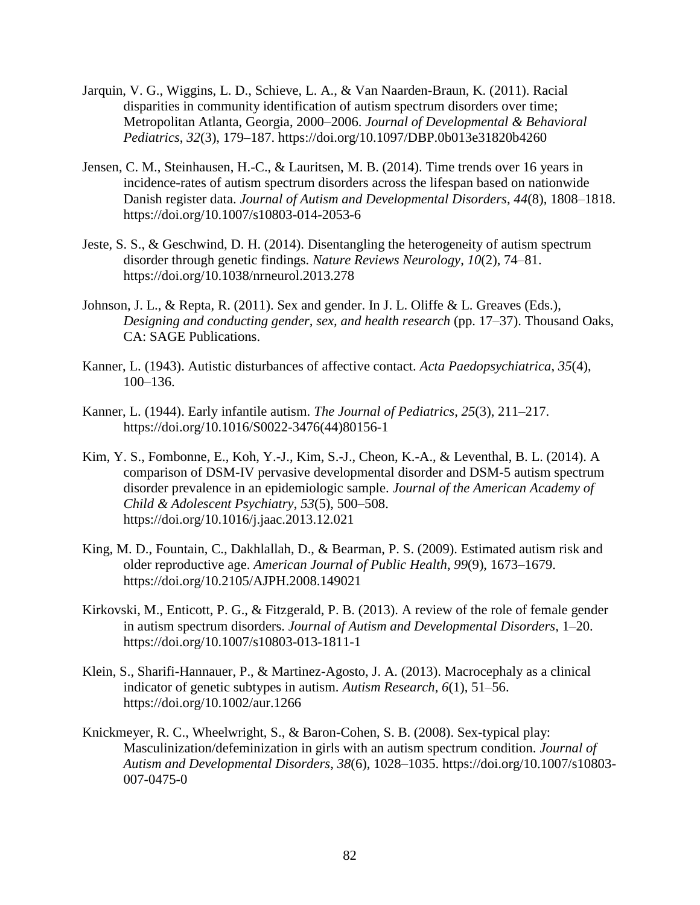- Jarquin, V. G., Wiggins, L. D., Schieve, L. A., & Van Naarden-Braun, K. (2011). Racial disparities in community identification of autism spectrum disorders over time; Metropolitan Atlanta, Georgia, 2000–2006. *Journal of Developmental & Behavioral Pediatrics*, *32*(3), 179–187. https://doi.org/10.1097/DBP.0b013e31820b4260
- Jensen, C. M., Steinhausen, H.-C., & Lauritsen, M. B. (2014). Time trends over 16 years in incidence-rates of autism spectrum disorders across the lifespan based on nationwide Danish register data. *Journal of Autism and Developmental Disorders*, *44*(8), 1808–1818. https://doi.org/10.1007/s10803-014-2053-6
- Jeste, S. S., & Geschwind, D. H. (2014). Disentangling the heterogeneity of autism spectrum disorder through genetic findings. *Nature Reviews Neurology*, *10*(2), 74–81. https://doi.org/10.1038/nrneurol.2013.278
- Johnson, J. L., & Repta, R. (2011). Sex and gender. In J. L. Oliffe & L. Greaves (Eds.), *Designing and conducting gender, sex, and health research* (pp. 17–37). Thousand Oaks, CA: SAGE Publications.
- Kanner, L. (1943). Autistic disturbances of affective contact. *Acta Paedopsychiatrica*, *35*(4), 100–136.
- Kanner, L. (1944). Early infantile autism. *The Journal of Pediatrics*, *25*(3), 211–217. https://doi.org/10.1016/S0022-3476(44)80156-1
- Kim, Y. S., Fombonne, E., Koh, Y.-J., Kim, S.-J., Cheon, K.-A., & Leventhal, B. L. (2014). A comparison of DSM-IV pervasive developmental disorder and DSM-5 autism spectrum disorder prevalence in an epidemiologic sample. *Journal of the American Academy of Child & Adolescent Psychiatry*, *53*(5), 500–508. https://doi.org/10.1016/j.jaac.2013.12.021
- King, M. D., Fountain, C., Dakhlallah, D., & Bearman, P. S. (2009). Estimated autism risk and older reproductive age. *American Journal of Public Health*, *99*(9), 1673–1679. https://doi.org/10.2105/AJPH.2008.149021
- Kirkovski, M., Enticott, P. G., & Fitzgerald, P. B. (2013). A review of the role of female gender in autism spectrum disorders. *Journal of Autism and Developmental Disorders*, 1–20. https://doi.org/10.1007/s10803-013-1811-1
- Klein, S., Sharifi-Hannauer, P., & Martinez-Agosto, J. A. (2013). Macrocephaly as a clinical indicator of genetic subtypes in autism. *Autism Research*, *6*(1), 51–56. https://doi.org/10.1002/aur.1266
- Knickmeyer, R. C., Wheelwright, S., & Baron-Cohen, S. B. (2008). Sex-typical play: Masculinization/defeminization in girls with an autism spectrum condition. *Journal of Autism and Developmental Disorders*, *38*(6), 1028–1035. https://doi.org/10.1007/s10803- 007-0475-0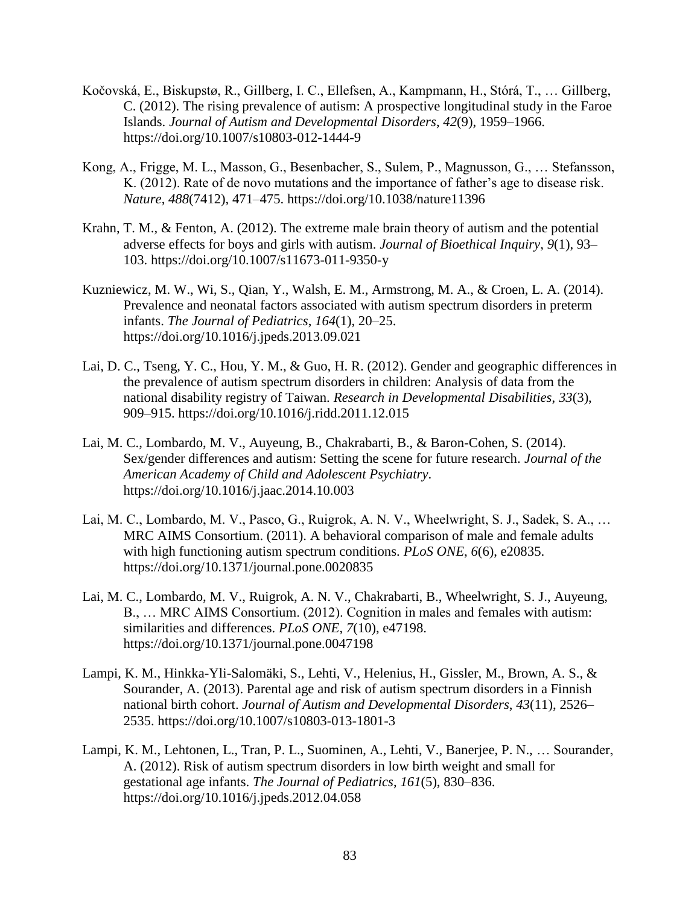- Kočovská, E., Biskupstø, R., Gillberg, I. C., Ellefsen, A., Kampmann, H., Stórá, T., … Gillberg, C. (2012). The rising prevalence of autism: A prospective longitudinal study in the Faroe Islands. *Journal of Autism and Developmental Disorders*, *42*(9), 1959–1966. https://doi.org/10.1007/s10803-012-1444-9
- Kong, A., Frigge, M. L., Masson, G., Besenbacher, S., Sulem, P., Magnusson, G., … Stefansson, K. (2012). Rate of de novo mutations and the importance of father's age to disease risk. *Nature*, *488*(7412), 471–475. https://doi.org/10.1038/nature11396
- Krahn, T. M., & Fenton, A. (2012). The extreme male brain theory of autism and the potential adverse effects for boys and girls with autism. *Journal of Bioethical Inquiry*, *9*(1), 93– 103. https://doi.org/10.1007/s11673-011-9350-y
- Kuzniewicz, M. W., Wi, S., Qian, Y., Walsh, E. M., Armstrong, M. A., & Croen, L. A. (2014). Prevalence and neonatal factors associated with autism spectrum disorders in preterm infants. *The Journal of Pediatrics*, *164*(1), 20–25. https://doi.org/10.1016/j.jpeds.2013.09.021
- Lai, D. C., Tseng, Y. C., Hou, Y. M., & Guo, H. R. (2012). Gender and geographic differences in the prevalence of autism spectrum disorders in children: Analysis of data from the national disability registry of Taiwan. *Research in Developmental Disabilities*, *33*(3), 909–915. https://doi.org/10.1016/j.ridd.2011.12.015
- Lai, M. C., Lombardo, M. V., Auyeung, B., Chakrabarti, B., & Baron-Cohen, S. (2014). Sex/gender differences and autism: Setting the scene for future research. *Journal of the American Academy of Child and Adolescent Psychiatry*. https://doi.org/10.1016/j.jaac.2014.10.003
- Lai, M. C., Lombardo, M. V., Pasco, G., Ruigrok, A. N. V., Wheelwright, S. J., Sadek, S. A., … MRC AIMS Consortium. (2011). A behavioral comparison of male and female adults with high functioning autism spectrum conditions. *PLoS ONE*, *6*(6), e20835. https://doi.org/10.1371/journal.pone.0020835
- Lai, M. C., Lombardo, M. V., Ruigrok, A. N. V., Chakrabarti, B., Wheelwright, S. J., Auyeung, B., … MRC AIMS Consortium. (2012). Cognition in males and females with autism: similarities and differences. *PLoS ONE*, *7*(10), e47198. https://doi.org/10.1371/journal.pone.0047198
- Lampi, K. M., Hinkka-Yli-Salomäki, S., Lehti, V., Helenius, H., Gissler, M., Brown, A. S., & Sourander, A. (2013). Parental age and risk of autism spectrum disorders in a Finnish national birth cohort. *Journal of Autism and Developmental Disorders*, *43*(11), 2526– 2535. https://doi.org/10.1007/s10803-013-1801-3
- Lampi, K. M., Lehtonen, L., Tran, P. L., Suominen, A., Lehti, V., Banerjee, P. N., … Sourander, A. (2012). Risk of autism spectrum disorders in low birth weight and small for gestational age infants. *The Journal of Pediatrics*, *161*(5), 830–836. https://doi.org/10.1016/j.jpeds.2012.04.058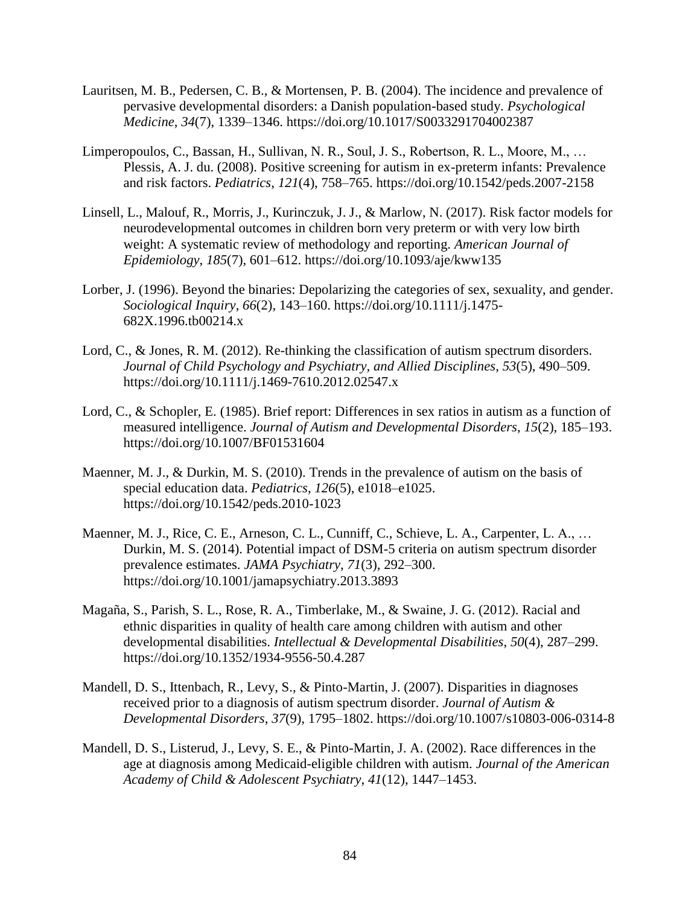- Lauritsen, M. B., Pedersen, C. B., & Mortensen, P. B. (2004). The incidence and prevalence of pervasive developmental disorders: a Danish population-based study. *Psychological Medicine*, *34*(7), 1339–1346. https://doi.org/10.1017/S0033291704002387
- Limperopoulos, C., Bassan, H., Sullivan, N. R., Soul, J. S., Robertson, R. L., Moore, M., … Plessis, A. J. du. (2008). Positive screening for autism in ex-preterm infants: Prevalence and risk factors. *Pediatrics*, *121*(4), 758–765. https://doi.org/10.1542/peds.2007-2158
- Linsell, L., Malouf, R., Morris, J., Kurinczuk, J. J., & Marlow, N. (2017). Risk factor models for neurodevelopmental outcomes in children born very preterm or with very low birth weight: A systematic review of methodology and reporting. *American Journal of Epidemiology*, *185*(7), 601–612. https://doi.org/10.1093/aje/kww135
- Lorber, J. (1996). Beyond the binaries: Depolarizing the categories of sex, sexuality, and gender. *Sociological Inquiry*, *66*(2), 143–160. https://doi.org/10.1111/j.1475- 682X.1996.tb00214.x
- Lord, C., & Jones, R. M. (2012). Re-thinking the classification of autism spectrum disorders. *Journal of Child Psychology and Psychiatry, and Allied Disciplines*, *53*(5), 490–509. https://doi.org/10.1111/j.1469-7610.2012.02547.x
- Lord, C., & Schopler, E. (1985). Brief report: Differences in sex ratios in autism as a function of measured intelligence. *Journal of Autism and Developmental Disorders*, *15*(2), 185–193. https://doi.org/10.1007/BF01531604
- Maenner, M. J., & Durkin, M. S. (2010). Trends in the prevalence of autism on the basis of special education data. *Pediatrics*, *126*(5), e1018–e1025. https://doi.org/10.1542/peds.2010-1023
- Maenner, M. J., Rice, C. E., Arneson, C. L., Cunniff, C., Schieve, L. A., Carpenter, L. A., … Durkin, M. S. (2014). Potential impact of DSM-5 criteria on autism spectrum disorder prevalence estimates. *JAMA Psychiatry*, *71*(3), 292–300. https://doi.org/10.1001/jamapsychiatry.2013.3893
- Magaña, S., Parish, S. L., Rose, R. A., Timberlake, M., & Swaine, J. G. (2012). Racial and ethnic disparities in quality of health care among children with autism and other developmental disabilities. *Intellectual & Developmental Disabilities*, *50*(4), 287–299. https://doi.org/10.1352/1934-9556-50.4.287
- Mandell, D. S., Ittenbach, R., Levy, S., & Pinto-Martin, J. (2007). Disparities in diagnoses received prior to a diagnosis of autism spectrum disorder. *Journal of Autism & Developmental Disorders*, *37*(9), 1795–1802. https://doi.org/10.1007/s10803-006-0314-8
- Mandell, D. S., Listerud, J., Levy, S. E., & Pinto-Martin, J. A. (2002). Race differences in the age at diagnosis among Medicaid-eligible children with autism. *Journal of the American Academy of Child & Adolescent Psychiatry*, *41*(12), 1447–1453.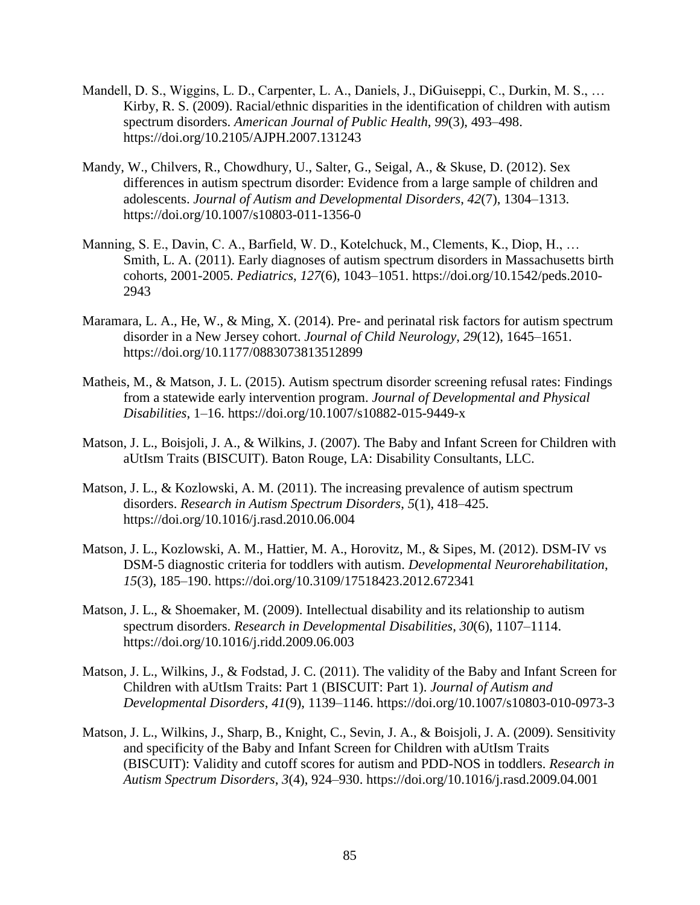- Mandell, D. S., Wiggins, L. D., Carpenter, L. A., Daniels, J., DiGuiseppi, C., Durkin, M. S., … Kirby, R. S. (2009). Racial/ethnic disparities in the identification of children with autism spectrum disorders. *American Journal of Public Health*, *99*(3), 493–498. https://doi.org/10.2105/AJPH.2007.131243
- Mandy, W., Chilvers, R., Chowdhury, U., Salter, G., Seigal, A., & Skuse, D. (2012). Sex differences in autism spectrum disorder: Evidence from a large sample of children and adolescents. *Journal of Autism and Developmental Disorders*, *42*(7), 1304–1313. https://doi.org/10.1007/s10803-011-1356-0
- Manning, S. E., Davin, C. A., Barfield, W. D., Kotelchuck, M., Clements, K., Diop, H., … Smith, L. A. (2011). Early diagnoses of autism spectrum disorders in Massachusetts birth cohorts, 2001-2005. *Pediatrics*, *127*(6), 1043–1051. https://doi.org/10.1542/peds.2010- 2943
- Maramara, L. A., He, W., & Ming, X. (2014). Pre- and perinatal risk factors for autism spectrum disorder in a New Jersey cohort. *Journal of Child Neurology*, *29*(12), 1645–1651. https://doi.org/10.1177/0883073813512899
- Matheis, M., & Matson, J. L. (2015). Autism spectrum disorder screening refusal rates: Findings from a statewide early intervention program. *Journal of Developmental and Physical Disabilities*, 1–16. https://doi.org/10.1007/s10882-015-9449-x
- Matson, J. L., Boisjoli, J. A., & Wilkins, J. (2007). The Baby and Infant Screen for Children with aUtIsm Traits (BISCUIT). Baton Rouge, LA: Disability Consultants, LLC.
- Matson, J. L., & Kozlowski, A. M. (2011). The increasing prevalence of autism spectrum disorders. *Research in Autism Spectrum Disorders*, *5*(1), 418–425. https://doi.org/10.1016/j.rasd.2010.06.004
- Matson, J. L., Kozlowski, A. M., Hattier, M. A., Horovitz, M., & Sipes, M. (2012). DSM-IV vs DSM-5 diagnostic criteria for toddlers with autism. *Developmental Neurorehabilitation*, *15*(3), 185–190. https://doi.org/10.3109/17518423.2012.672341
- Matson, J. L., & Shoemaker, M. (2009). Intellectual disability and its relationship to autism spectrum disorders. *Research in Developmental Disabilities*, *30*(6), 1107–1114. https://doi.org/10.1016/j.ridd.2009.06.003
- Matson, J. L., Wilkins, J., & Fodstad, J. C. (2011). The validity of the Baby and Infant Screen for Children with aUtIsm Traits: Part 1 (BISCUIT: Part 1). *Journal of Autism and Developmental Disorders*, *41*(9), 1139–1146. https://doi.org/10.1007/s10803-010-0973-3
- Matson, J. L., Wilkins, J., Sharp, B., Knight, C., Sevin, J. A., & Boisjoli, J. A. (2009). Sensitivity and specificity of the Baby and Infant Screen for Children with aUtIsm Traits (BISCUIT): Validity and cutoff scores for autism and PDD-NOS in toddlers. *Research in Autism Spectrum Disorders*, *3*(4), 924–930. https://doi.org/10.1016/j.rasd.2009.04.001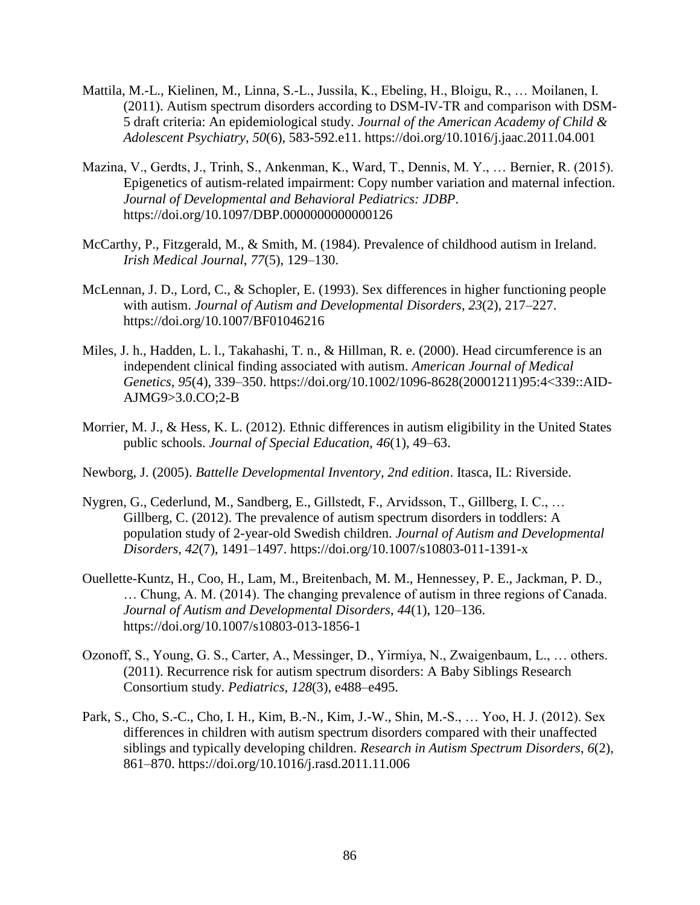- Mattila, M.-L., Kielinen, M., Linna, S.-L., Jussila, K., Ebeling, H., Bloigu, R., … Moilanen, I. (2011). Autism spectrum disorders according to DSM-IV-TR and comparison with DSM-5 draft criteria: An epidemiological study. *Journal of the American Academy of Child & Adolescent Psychiatry*, *50*(6), 583-592.e11. https://doi.org/10.1016/j.jaac.2011.04.001
- Mazina, V., Gerdts, J., Trinh, S., Ankenman, K., Ward, T., Dennis, M. Y., … Bernier, R. (2015). Epigenetics of autism-related impairment: Copy number variation and maternal infection. *Journal of Developmental and Behavioral Pediatrics: JDBP*. https://doi.org/10.1097/DBP.0000000000000126
- McCarthy, P., Fitzgerald, M., & Smith, M. (1984). Prevalence of childhood autism in Ireland. *Irish Medical Journal*, *77*(5), 129–130.
- McLennan, J. D., Lord, C., & Schopler, E. (1993). Sex differences in higher functioning people with autism. *Journal of Autism and Developmental Disorders*, *23*(2), 217–227. https://doi.org/10.1007/BF01046216
- Miles, J. h., Hadden, L. l., Takahashi, T. n., & Hillman, R. e. (2000). Head circumference is an independent clinical finding associated with autism. *American Journal of Medical Genetics*, *95*(4), 339–350. https://doi.org/10.1002/1096-8628(20001211)95:4<339::AID-AJMG9>3.0.CO;2-B
- Morrier, M. J., & Hess, K. L. (2012). Ethnic differences in autism eligibility in the United States public schools. *Journal of Special Education*, *46*(1), 49–63.
- Newborg, J. (2005). *Battelle Developmental Inventory, 2nd edition*. Itasca, IL: Riverside.
- Nygren, G., Cederlund, M., Sandberg, E., Gillstedt, F., Arvidsson, T., Gillberg, I. C., … Gillberg, C. (2012). The prevalence of autism spectrum disorders in toddlers: A population study of 2-year-old Swedish children. *Journal of Autism and Developmental Disorders*, *42*(7), 1491–1497. https://doi.org/10.1007/s10803-011-1391-x
- Ouellette-Kuntz, H., Coo, H., Lam, M., Breitenbach, M. M., Hennessey, P. E., Jackman, P. D., … Chung, A. M. (2014). The changing prevalence of autism in three regions of Canada. *Journal of Autism and Developmental Disorders*, *44*(1), 120–136. https://doi.org/10.1007/s10803-013-1856-1
- Ozonoff, S., Young, G. S., Carter, A., Messinger, D., Yirmiya, N., Zwaigenbaum, L., … others. (2011). Recurrence risk for autism spectrum disorders: A Baby Siblings Research Consortium study. *Pediatrics*, *128*(3), e488–e495.
- Park, S., Cho, S.-C., Cho, I. H., Kim, B.-N., Kim, J.-W., Shin, M.-S., … Yoo, H. J. (2012). Sex differences in children with autism spectrum disorders compared with their unaffected siblings and typically developing children. *Research in Autism Spectrum Disorders*, *6*(2), 861–870. https://doi.org/10.1016/j.rasd.2011.11.006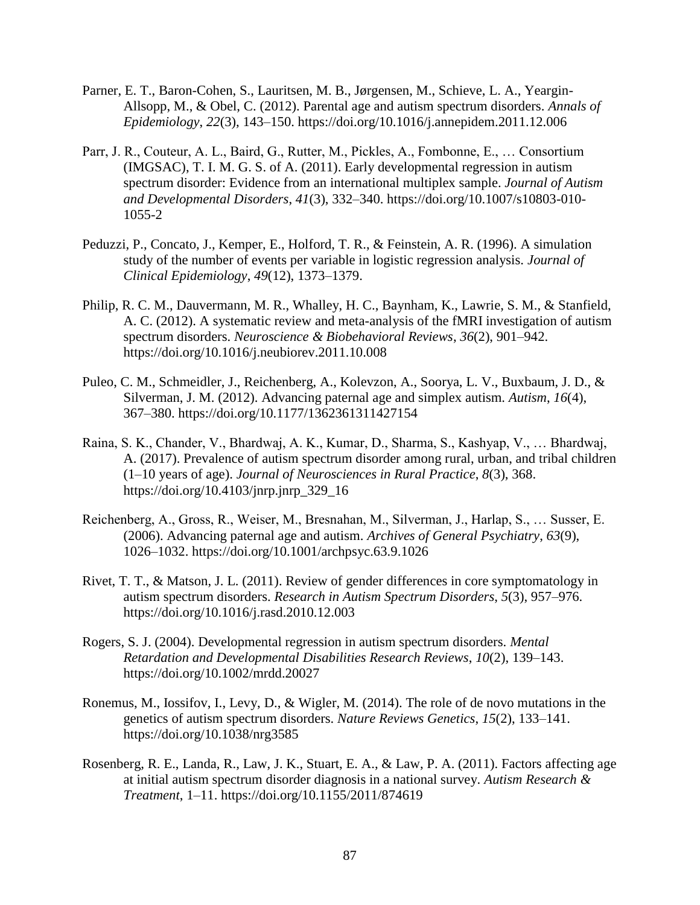- Parner, E. T., Baron-Cohen, S., Lauritsen, M. B., Jørgensen, M., Schieve, L. A., Yeargin-Allsopp, M., & Obel, C. (2012). Parental age and autism spectrum disorders. *Annals of Epidemiology*, *22*(3), 143–150. https://doi.org/10.1016/j.annepidem.2011.12.006
- Parr, J. R., Couteur, A. L., Baird, G., Rutter, M., Pickles, A., Fombonne, E., … Consortium (IMGSAC), T. I. M. G. S. of A. (2011). Early developmental regression in autism spectrum disorder: Evidence from an international multiplex sample. *Journal of Autism and Developmental Disorders*, *41*(3), 332–340. https://doi.org/10.1007/s10803-010- 1055-2
- Peduzzi, P., Concato, J., Kemper, E., Holford, T. R., & Feinstein, A. R. (1996). A simulation study of the number of events per variable in logistic regression analysis. *Journal of Clinical Epidemiology*, *49*(12), 1373–1379.
- Philip, R. C. M., Dauvermann, M. R., Whalley, H. C., Baynham, K., Lawrie, S. M., & Stanfield, A. C. (2012). A systematic review and meta-analysis of the fMRI investigation of autism spectrum disorders. *Neuroscience & Biobehavioral Reviews*, *36*(2), 901–942. https://doi.org/10.1016/j.neubiorev.2011.10.008
- Puleo, C. M., Schmeidler, J., Reichenberg, A., Kolevzon, A., Soorya, L. V., Buxbaum, J. D., & Silverman, J. M. (2012). Advancing paternal age and simplex autism. *Autism*, *16*(4), 367–380. https://doi.org/10.1177/1362361311427154
- Raina, S. K., Chander, V., Bhardwaj, A. K., Kumar, D., Sharma, S., Kashyap, V., … Bhardwaj, A. (2017). Prevalence of autism spectrum disorder among rural, urban, and tribal children (1–10 years of age). *Journal of Neurosciences in Rural Practice*, *8*(3), 368. https://doi.org/10.4103/jnrp.jnrp\_329\_16
- Reichenberg, A., Gross, R., Weiser, M., Bresnahan, M., Silverman, J., Harlap, S., … Susser, E. (2006). Advancing paternal age and autism. *Archives of General Psychiatry*, *63*(9), 1026–1032. https://doi.org/10.1001/archpsyc.63.9.1026
- Rivet, T. T., & Matson, J. L. (2011). Review of gender differences in core symptomatology in autism spectrum disorders. *Research in Autism Spectrum Disorders*, *5*(3), 957–976. https://doi.org/10.1016/j.rasd.2010.12.003
- Rogers, S. J. (2004). Developmental regression in autism spectrum disorders. *Mental Retardation and Developmental Disabilities Research Reviews*, *10*(2), 139–143. https://doi.org/10.1002/mrdd.20027
- Ronemus, M., Iossifov, I., Levy, D., & Wigler, M. (2014). The role of de novo mutations in the genetics of autism spectrum disorders. *Nature Reviews Genetics*, *15*(2), 133–141. https://doi.org/10.1038/nrg3585
- Rosenberg, R. E., Landa, R., Law, J. K., Stuart, E. A., & Law, P. A. (2011). Factors affecting age at initial autism spectrum disorder diagnosis in a national survey. *Autism Research & Treatment*, 1–11. https://doi.org/10.1155/2011/874619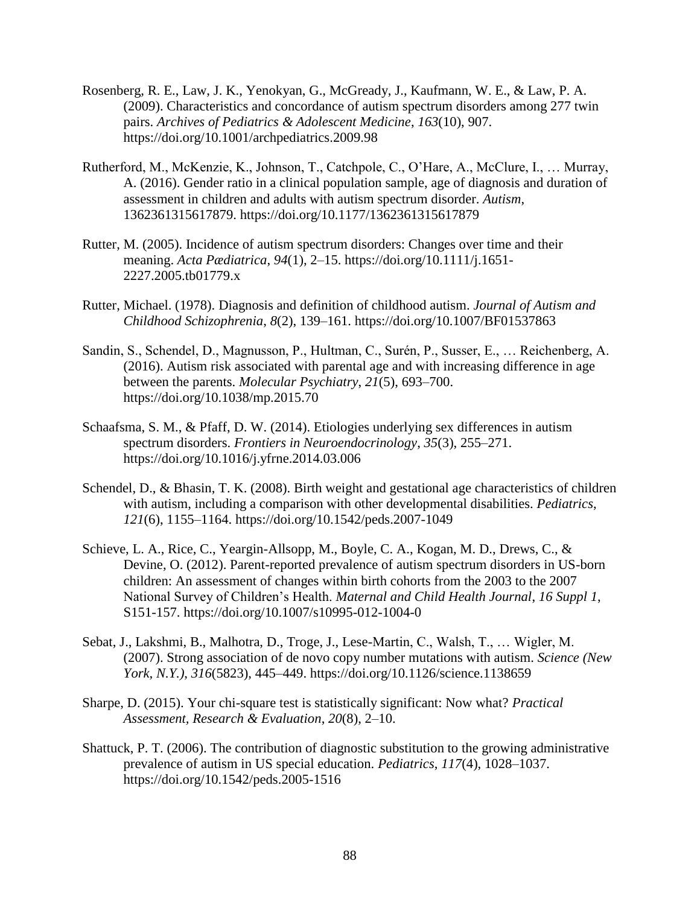- Rosenberg, R. E., Law, J. K., Yenokyan, G., McGready, J., Kaufmann, W. E., & Law, P. A. (2009). Characteristics and concordance of autism spectrum disorders among 277 twin pairs. *Archives of Pediatrics & Adolescent Medicine*, *163*(10), 907. https://doi.org/10.1001/archpediatrics.2009.98
- Rutherford, M., McKenzie, K., Johnson, T., Catchpole, C., O'Hare, A., McClure, I., … Murray, A. (2016). Gender ratio in a clinical population sample, age of diagnosis and duration of assessment in children and adults with autism spectrum disorder. *Autism*, 1362361315617879. https://doi.org/10.1177/1362361315617879
- Rutter, M. (2005). Incidence of autism spectrum disorders: Changes over time and their meaning. *Acta Pædiatrica*, *94*(1), 2–15. https://doi.org/10.1111/j.1651- 2227.2005.tb01779.x
- Rutter, Michael. (1978). Diagnosis and definition of childhood autism. *Journal of Autism and Childhood Schizophrenia*, *8*(2), 139–161. https://doi.org/10.1007/BF01537863
- Sandin, S., Schendel, D., Magnusson, P., Hultman, C., Surén, P., Susser, E., … Reichenberg, A. (2016). Autism risk associated with parental age and with increasing difference in age between the parents. *Molecular Psychiatry*, *21*(5), 693–700. https://doi.org/10.1038/mp.2015.70
- Schaafsma, S. M., & Pfaff, D. W. (2014). Etiologies underlying sex differences in autism spectrum disorders. *Frontiers in Neuroendocrinology*, *35*(3), 255–271. https://doi.org/10.1016/j.yfrne.2014.03.006
- Schendel, D., & Bhasin, T. K. (2008). Birth weight and gestational age characteristics of children with autism, including a comparison with other developmental disabilities. *Pediatrics*, *121*(6), 1155–1164. https://doi.org/10.1542/peds.2007-1049
- Schieve, L. A., Rice, C., Yeargin-Allsopp, M., Boyle, C. A., Kogan, M. D., Drews, C., & Devine, O. (2012). Parent-reported prevalence of autism spectrum disorders in US-born children: An assessment of changes within birth cohorts from the 2003 to the 2007 National Survey of Children's Health. *Maternal and Child Health Journal*, *16 Suppl 1*, S151-157. https://doi.org/10.1007/s10995-012-1004-0
- Sebat, J., Lakshmi, B., Malhotra, D., Troge, J., Lese-Martin, C., Walsh, T., … Wigler, M. (2007). Strong association of de novo copy number mutations with autism. *Science (New York, N.Y.)*, *316*(5823), 445–449. https://doi.org/10.1126/science.1138659
- Sharpe, D. (2015). Your chi-square test is statistically significant: Now what? *Practical Assessment, Research & Evaluation*, *20*(8), 2–10.
- Shattuck, P. T. (2006). The contribution of diagnostic substitution to the growing administrative prevalence of autism in US special education. *Pediatrics*, *117*(4), 1028–1037. https://doi.org/10.1542/peds.2005-1516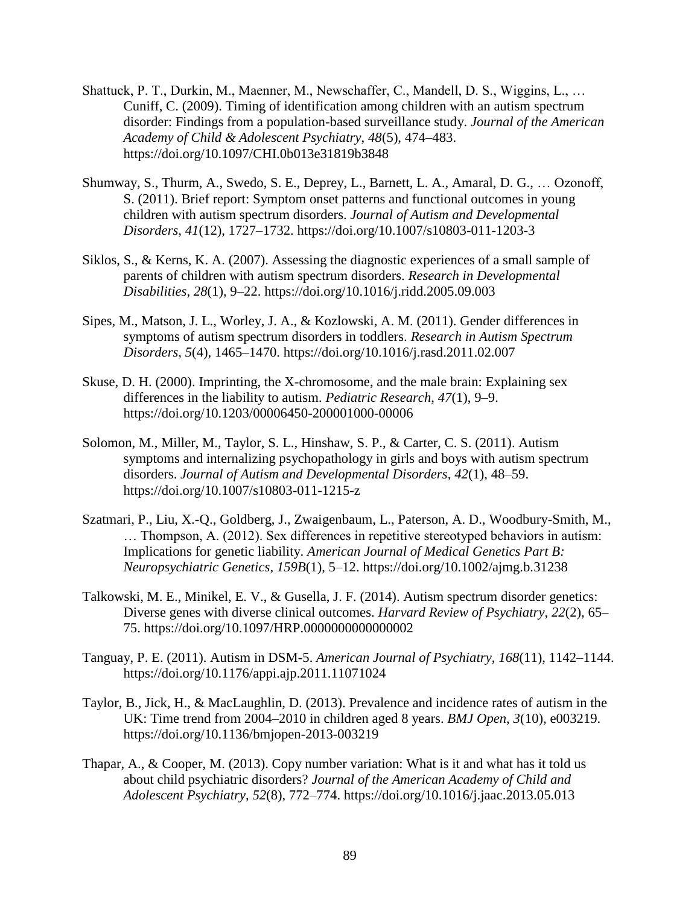- Shattuck, P. T., Durkin, M., Maenner, M., Newschaffer, C., Mandell, D. S., Wiggins, L., … Cuniff, C. (2009). Timing of identification among children with an autism spectrum disorder: Findings from a population-based surveillance study. *Journal of the American Academy of Child & Adolescent Psychiatry*, *48*(5), 474–483. https://doi.org/10.1097/CHI.0b013e31819b3848
- Shumway, S., Thurm, A., Swedo, S. E., Deprey, L., Barnett, L. A., Amaral, D. G., … Ozonoff, S. (2011). Brief report: Symptom onset patterns and functional outcomes in young children with autism spectrum disorders. *Journal of Autism and Developmental Disorders*, *41*(12), 1727–1732. https://doi.org/10.1007/s10803-011-1203-3
- Siklos, S., & Kerns, K. A. (2007). Assessing the diagnostic experiences of a small sample of parents of children with autism spectrum disorders. *Research in Developmental Disabilities*, *28*(1), 9–22. https://doi.org/10.1016/j.ridd.2005.09.003
- Sipes, M., Matson, J. L., Worley, J. A., & Kozlowski, A. M. (2011). Gender differences in symptoms of autism spectrum disorders in toddlers. *Research in Autism Spectrum Disorders*, *5*(4), 1465–1470. https://doi.org/10.1016/j.rasd.2011.02.007
- Skuse, D. H. (2000). Imprinting, the X-chromosome, and the male brain: Explaining sex differences in the liability to autism. *Pediatric Research*, *47*(1), 9–9. https://doi.org/10.1203/00006450-200001000-00006
- Solomon, M., Miller, M., Taylor, S. L., Hinshaw, S. P., & Carter, C. S. (2011). Autism symptoms and internalizing psychopathology in girls and boys with autism spectrum disorders. *Journal of Autism and Developmental Disorders*, *42*(1), 48–59. https://doi.org/10.1007/s10803-011-1215-z
- Szatmari, P., Liu, X.-Q., Goldberg, J., Zwaigenbaum, L., Paterson, A. D., Woodbury-Smith, M., … Thompson, A. (2012). Sex differences in repetitive stereotyped behaviors in autism: Implications for genetic liability. *American Journal of Medical Genetics Part B: Neuropsychiatric Genetics*, *159B*(1), 5–12. https://doi.org/10.1002/ajmg.b.31238
- Talkowski, M. E., Minikel, E. V., & Gusella, J. F. (2014). Autism spectrum disorder genetics: Diverse genes with diverse clinical outcomes. *Harvard Review of Psychiatry*, *22*(2), 65– 75. https://doi.org/10.1097/HRP.0000000000000002
- Tanguay, P. E. (2011). Autism in DSM-5. *American Journal of Psychiatry*, *168*(11), 1142–1144. https://doi.org/10.1176/appi.ajp.2011.11071024
- Taylor, B., Jick, H., & MacLaughlin, D. (2013). Prevalence and incidence rates of autism in the UK: Time trend from 2004–2010 in children aged 8 years. *BMJ Open*, *3*(10), e003219. https://doi.org/10.1136/bmjopen-2013-003219
- Thapar, A., & Cooper, M. (2013). Copy number variation: What is it and what has it told us about child psychiatric disorders? *Journal of the American Academy of Child and Adolescent Psychiatry*, *52*(8), 772–774. https://doi.org/10.1016/j.jaac.2013.05.013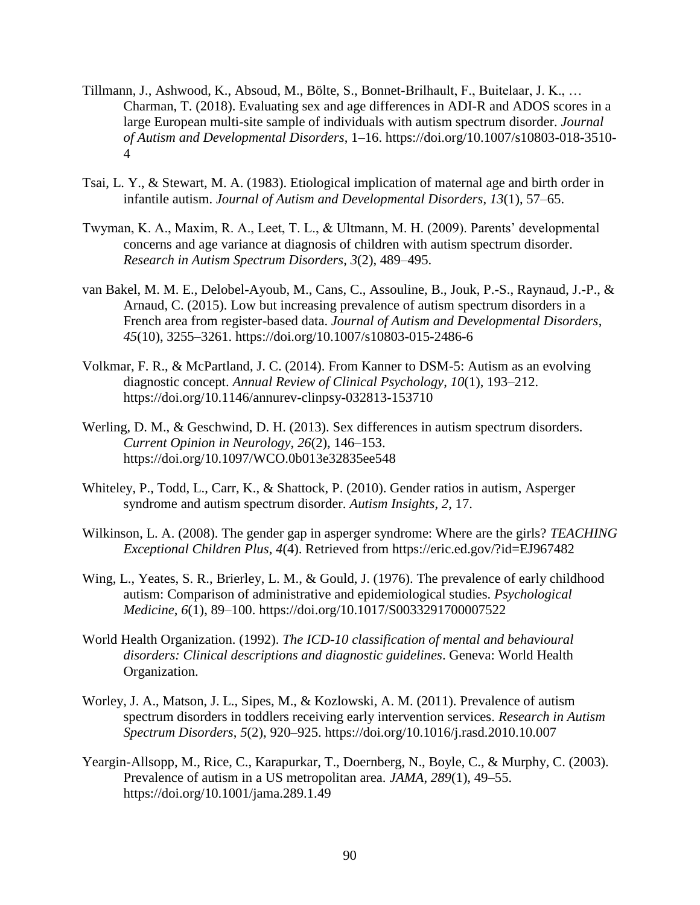- Tillmann, J., Ashwood, K., Absoud, M., Bölte, S., Bonnet-Brilhault, F., Buitelaar, J. K., … Charman, T. (2018). Evaluating sex and age differences in ADI-R and ADOS scores in a large European multi-site sample of individuals with autism spectrum disorder. *Journal of Autism and Developmental Disorders*, 1–16. https://doi.org/10.1007/s10803-018-3510- 4
- Tsai, L. Y., & Stewart, M. A. (1983). Etiological implication of maternal age and birth order in infantile autism. *Journal of Autism and Developmental Disorders*, *13*(1), 57–65.
- Twyman, K. A., Maxim, R. A., Leet, T. L., & Ultmann, M. H. (2009). Parents' developmental concerns and age variance at diagnosis of children with autism spectrum disorder. *Research in Autism Spectrum Disorders*, *3*(2), 489–495.
- van Bakel, M. M. E., Delobel-Ayoub, M., Cans, C., Assouline, B., Jouk, P.-S., Raynaud, J.-P., & Arnaud, C. (2015). Low but increasing prevalence of autism spectrum disorders in a French area from register-based data. *Journal of Autism and Developmental Disorders*, *45*(10), 3255–3261. https://doi.org/10.1007/s10803-015-2486-6
- Volkmar, F. R., & McPartland, J. C. (2014). From Kanner to DSM-5: Autism as an evolving diagnostic concept. *Annual Review of Clinical Psychology*, *10*(1), 193–212. https://doi.org/10.1146/annurev-clinpsy-032813-153710
- Werling, D. M., & Geschwind, D. H. (2013). Sex differences in autism spectrum disorders. *Current Opinion in Neurology*, *26*(2), 146–153. https://doi.org/10.1097/WCO.0b013e32835ee548
- Whiteley, P., Todd, L., Carr, K., & Shattock, P. (2010). Gender ratios in autism, Asperger syndrome and autism spectrum disorder. *Autism Insights*, *2*, 17.
- Wilkinson, L. A. (2008). The gender gap in asperger syndrome: Where are the girls? *TEACHING Exceptional Children Plus*, *4*(4). Retrieved from https://eric.ed.gov/?id=EJ967482
- Wing, L., Yeates, S. R., Brierley, L. M., & Gould, J. (1976). The prevalence of early childhood autism: Comparison of administrative and epidemiological studies. *Psychological Medicine*, *6*(1), 89–100. https://doi.org/10.1017/S0033291700007522
- World Health Organization. (1992). *The ICD-10 classification of mental and behavioural disorders: Clinical descriptions and diagnostic guidelines*. Geneva: World Health Organization.
- Worley, J. A., Matson, J. L., Sipes, M., & Kozlowski, A. M. (2011). Prevalence of autism spectrum disorders in toddlers receiving early intervention services. *Research in Autism Spectrum Disorders*, *5*(2), 920–925. https://doi.org/10.1016/j.rasd.2010.10.007
- Yeargin-Allsopp, M., Rice, C., Karapurkar, T., Doernberg, N., Boyle, C., & Murphy, C. (2003). Prevalence of autism in a US metropolitan area. *JAMA*, *289*(1), 49–55. https://doi.org/10.1001/jama.289.1.49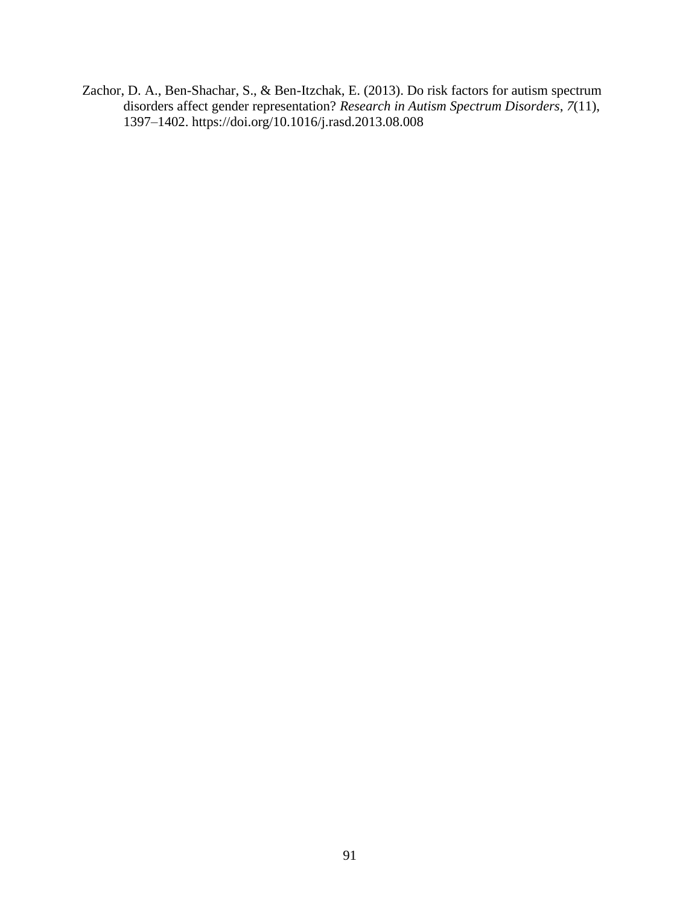Zachor, D. A., Ben-Shachar, S., & Ben-Itzchak, E. (2013). Do risk factors for autism spectrum disorders affect gender representation? *Research in Autism Spectrum Disorders*, *7*(11), 1397–1402. https://doi.org/10.1016/j.rasd.2013.08.008